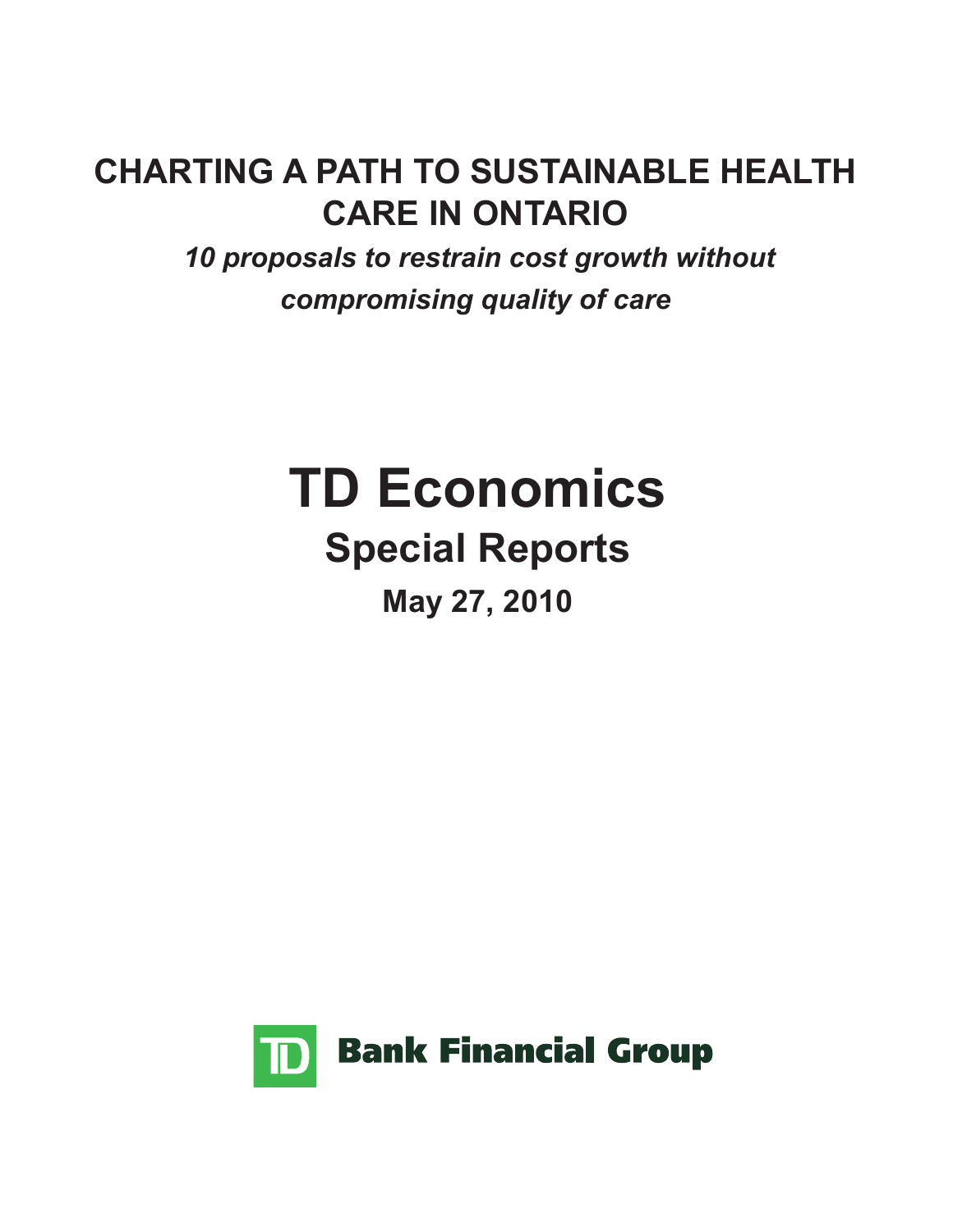# **CHARTING A PATH TO SUSTAINABLE HEALTH CARE IN ONTARIO**

 *10 proposals to restrain cost growth without compromising quality of care* 

# **TD Economics Special Reports May 27, 2010**

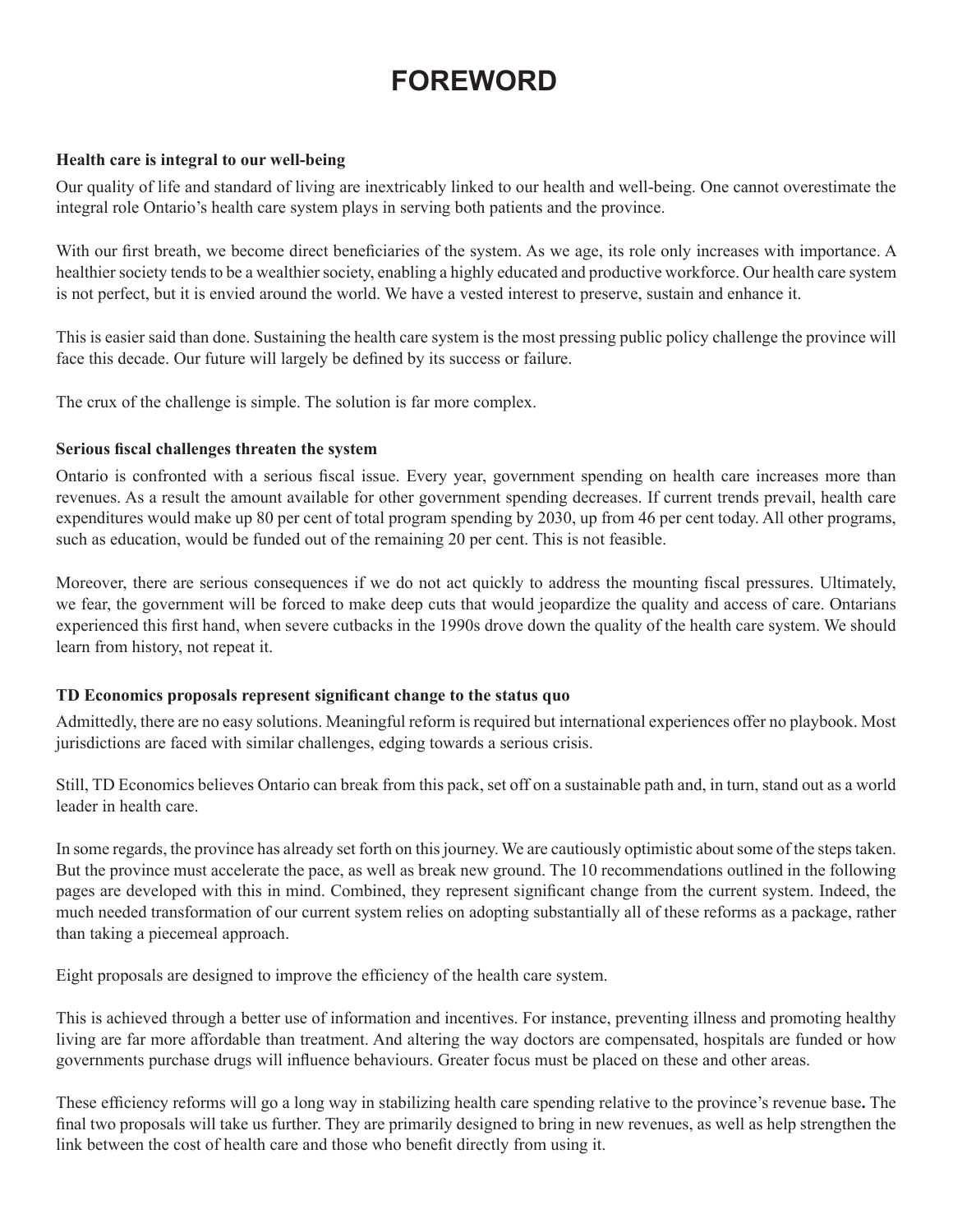# **FOREWORD**

#### **Health care is integral to our well-being**

Our quality of life and standard of living are inextricably linked to our health and well-being. One cannot overestimate the integral role Ontario's health care system plays in serving both patients and the province.

With our first breath, we become direct beneficiaries of the system. As we age, its role only increases with importance. A healthier society tends to be a wealthier society, enabling a highly educated and productive workforce. Our health care system is not perfect, but it is envied around the world. We have a vested interest to preserve, sustain and enhance it.

This is easier said than done. Sustaining the health care system is the most pressing public policy challenge the province will face this decade. Our future will largely be defined by its success or failure.

The crux of the challenge is simple. The solution is far more complex.

#### **Serious fiscal challenges threaten the system**

Ontario is confronted with a serious fiscal issue. Every year, government spending on health care increases more than revenues. As a result the amount available for other government spending decreases. If current trends prevail, health care expenditures would make up 80 per cent of total program spending by 2030, up from 46 per cent today. All other programs, such as education, would be funded out of the remaining 20 per cent. This is not feasible.

Moreover, there are serious consequences if we do not act quickly to address the mounting fiscal pressures. Ultimately, we fear, the government will be forced to make deep cuts that would jeopardize the quality and access of care. Ontarians experienced this first hand, when severe cutbacks in the 1990s drove down the quality of the health care system. We should learn from history, not repeat it.

#### **TD Economics proposals represent significant change to the status quo**

Admittedly, there are no easy solutions. Meaningful reform is required but international experiences offer no playbook. Most jurisdictions are faced with similar challenges, edging towards a serious crisis.

Still, TD Economics believes Ontario can break from this pack, set off on a sustainable path and, in turn, stand out as a world leader in health care.

In some regards, the province has already set forth on this journey. We are cautiously optimistic about some of the steps taken. But the province must accelerate the pace, as well as break new ground. The 10 recommendations outlined in the following pages are developed with this in mind. Combined, they represent significant change from the current system. Indeed, the much needed transformation of our current system relies on adopting substantially all of these reforms as a package, rather than taking a piecemeal approach.

Eight proposals are designed to improve the efficiency of the health care system.

This is achieved through a better use of information and incentives. For instance, preventing illness and promoting healthy living are far more affordable than treatment. And altering the way doctors are compensated, hospitals are funded or how governments purchase drugs will influence behaviours. Greater focus must be placed on these and other areas.

These efficiency reforms will go a long way in stabilizing health care spending relative to the province's revenue base**.** The final two proposals will take us further. They are primarily designed to bring in new revenues, as well as help strengthen the link between the cost of health care and those who benefit directly from using it.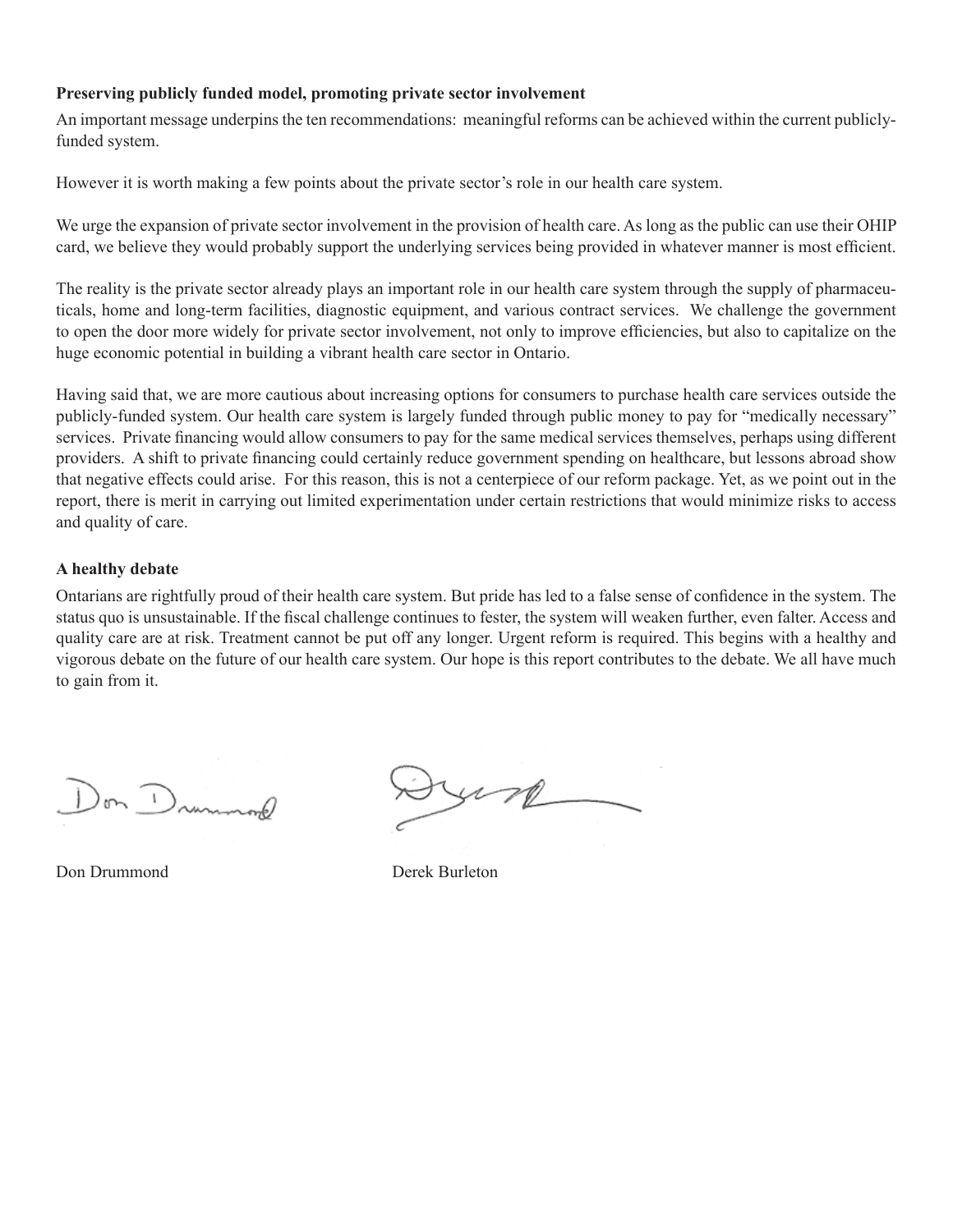#### **Preserving publicly funded model, promoting private sector involvement**

An important message underpins the ten recommendations: meaningful reforms can be achieved within the current publiclyfunded system.

However it is worth making a few points about the private sector's role in our health care system.

We urge the expansion of private sector involvement in the provision of health care. As long as the public can use their OHIP card, we believe they would probably support the underlying services being provided in whatever manner is most efficient.

The reality is the private sector already plays an important role in our health care system through the supply of pharmaceuticals, home and long-term facilities, diagnostic equipment, and various contract services. We challenge the government to open the door more widely for private sector involvement, not only to improve efficiencies, but also to capitalize on the huge economic potential in building a vibrant health care sector in Ontario.

Having said that, we are more cautious about increasing options for consumers to purchase health care services outside the publicly-funded system. Our health care system is largely funded through public money to pay for "medically necessary" services. Private financing would allow consumers to pay for the same medical services themselves, perhaps using different providers. A shift to private financing could certainly reduce government spending on healthcare, but lessons abroad show that negative effects could arise. For this reason, this is not a centerpiece of our reform package. Yet, as we point out in the report, there is merit in carrying out limited experimentation under certain restrictions that would minimize risks to access and quality of care.

#### **A healthy debate**

Ontarians are rightfully proud of their health care system. But pride has led to a false sense of confidence in the system. The status quo is unsustainable. If the fiscal challenge continues to fester, the system will weaken further, even falter. Access and quality care are at risk. Treatment cannot be put off any longer. Urgent reform is required. This begins with a healthy and vigorous debate on the future of our health care system. Our hope is this report contributes to the debate. We all have much to gain from it.

Don Drummond

 $y\rightarrow p$ 

Don Drummond Derek Burleton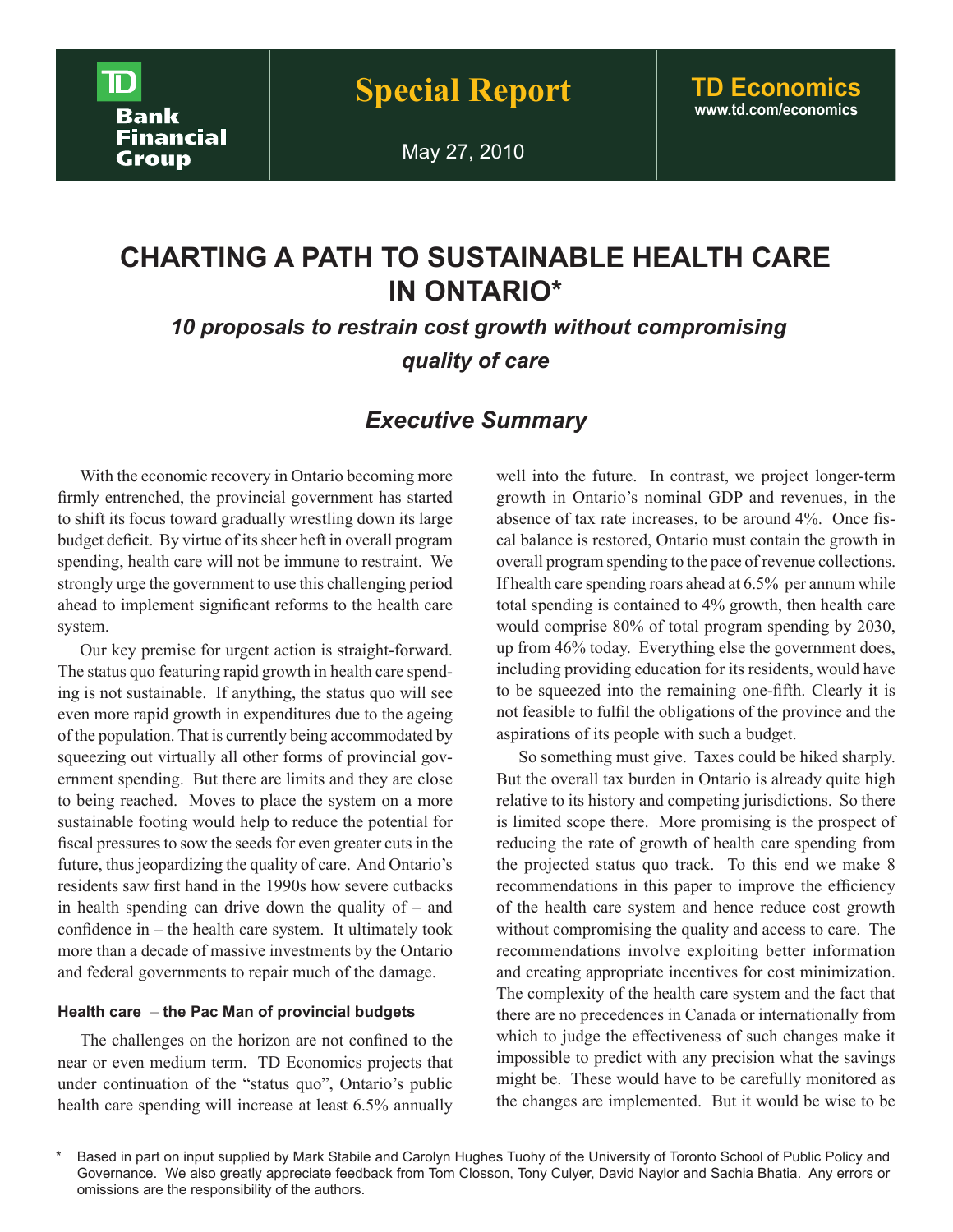May 27, 2010

### **CHARTING A PATH TO SUSTAINABLE HEALTH CARE IN ONTARIO\***

 *10 proposals to restrain cost growth without compromising quality of care* 

### *Executive Summary*

With the economic recovery in Ontario becoming more firmly entrenched, the provincial government has started to shift its focus toward gradually wrestling down its large budget deficit. By virtue of its sheer heft in overall program spending, health care will not be immune to restraint. We strongly urge the government to use this challenging period ahead to implement significant reforms to the health care system.

Our key premise for urgent action is straight-forward. The status quo featuring rapid growth in health care spending is not sustainable. If anything, the status quo will see even more rapid growth in expenditures due to the ageing of the population. That is currently being accommodated by squeezing out virtually all other forms of provincial government spending. But there are limits and they are close to being reached. Moves to place the system on a more sustainable footing would help to reduce the potential for fiscal pressures to sow the seeds for even greater cuts in the future, thus jeopardizing the quality of care. And Ontario's residents saw first hand in the 1990s how severe cutbacks in health spending can drive down the quality of – and confidence in – the health care system. It ultimately took more than a decade of massive investments by the Ontario and federal governments to repair much of the damage.

#### **Health care** – **the Pac Man of provincial budgets**

The challenges on the horizon are not confined to the near or even medium term. TD Economics projects that under continuation of the "status quo", Ontario's public health care spending will increase at least 6.5% annually well into the future. In contrast, we project longer-term growth in Ontario's nominal GDP and revenues, in the absence of tax rate increases, to be around 4%. Once fiscal balance is restored, Ontario must contain the growth in overall program spending to the pace of revenue collections. If health care spending roars ahead at 6.5% per annum while total spending is contained to 4% growth, then health care would comprise 80% of total program spending by 2030, up from 46% today. Everything else the government does, including providing education for its residents, would have to be squeezed into the remaining one-fifth. Clearly it is not feasible to fulfil the obligations of the province and the aspirations of its people with such a budget.

So something must give. Taxes could be hiked sharply. But the overall tax burden in Ontario is already quite high relative to its history and competing jurisdictions. So there is limited scope there. More promising is the prospect of reducing the rate of growth of health care spending from the projected status quo track. To this end we make 8 recommendations in this paper to improve the efficiency of the health care system and hence reduce cost growth without compromising the quality and access to care. The recommendations involve exploiting better information and creating appropriate incentives for cost minimization. The complexity of the health care system and the fact that there are no precedences in Canada or internationally from which to judge the effectiveness of such changes make it impossible to predict with any precision what the savings might be. These would have to be carefully monitored as the changes are implemented. But it would be wise to be

Based in part on input supplied by Mark Stabile and Carolyn Hughes Tuohy of the University of Toronto School of Public Policy and Governance. We also greatly appreciate feedback from Tom Closson, Tony Culyer, David Naylor and Sachia Bhatia. Any errors or omissions are the responsibility of the authors.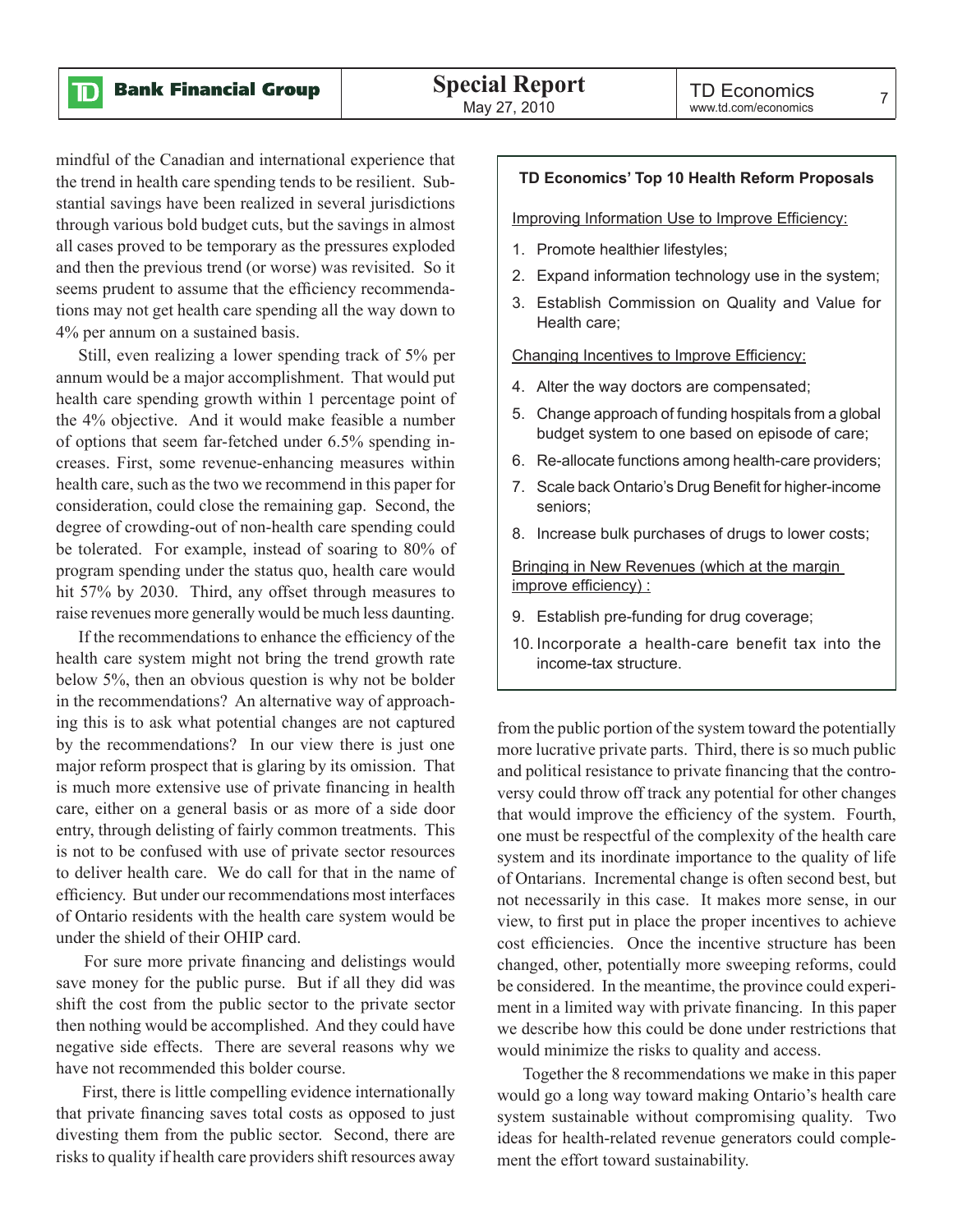${\bf D}$ 

mindful of the Canadian and international experience that the trend in health care spending tends to be resilient. Substantial savings have been realized in several jurisdictions through various bold budget cuts, but the savings in almost all cases proved to be temporary as the pressures exploded and then the previous trend (or worse) was revisited. So it seems prudent to assume that the efficiency recommendations may not get health care spending all the way down to 4% per annum on a sustained basis.

Still, even realizing a lower spending track of 5% per annum would be a major accomplishment. That would put health care spending growth within 1 percentage point of the 4% objective. And it would make feasible a number of options that seem far-fetched under 6.5% spending increases. First, some revenue-enhancing measures within health care, such as the two we recommend in this paper for consideration, could close the remaining gap. Second, the degree of crowding-out of non-health care spending could be tolerated. For example, instead of soaring to 80% of program spending under the status quo, health care would hit 57% by 2030. Third, any offset through measures to raise revenues more generally would be much less daunting.

If the recommendations to enhance the efficiency of the health care system might not bring the trend growth rate below 5%, then an obvious question is why not be bolder in the recommendations? An alternative way of approaching this is to ask what potential changes are not captured by the recommendations? In our view there is just one major reform prospect that is glaring by its omission. That is much more extensive use of private financing in health care, either on a general basis or as more of a side door entry, through delisting of fairly common treatments. This is not to be confused with use of private sector resources to deliver health care. We do call for that in the name of efficiency. But under our recommendations most interfaces of Ontario residents with the health care system would be under the shield of their OHIP card.

 For sure more private financing and delistings would save money for the public purse. But if all they did was shift the cost from the public sector to the private sector then nothing would be accomplished. And they could have negative side effects. There are several reasons why we have not recommended this bolder course.

 First, there is little compelling evidence internationally that private financing saves total costs as opposed to just divesting them from the public sector. Second, there are risks to quality if health care providers shift resources away

#### **TD Economics' Top 10 Health Reform Proposals**

Improving Information Use to Improve Efficiency:

- 1. Promote healthier lifestyles;
- 2. Expand information technology use in the system;
- 3. Establish Commission on Quality and Value for Health care;

Changing Incentives to Improve Efficiency:

- 4. Alter the way doctors are compensated;
- 5. Change approach of funding hospitals from a global budget system to one based on episode of care;
- 6. Re-allocate functions among health-care providers;
- 7. Scale back Ontario's Drug Benefit for higher-income seniors;
- 8. Increase bulk purchases of drugs to lower costs;

Bringing in New Revenues (which at the margin improve efficiency) :

- 9. Establish pre-funding for drug coverage;
- 10. Incorporate a health-care benefit tax into the income-tax structure.

from the public portion of the system toward the potentially more lucrative private parts. Third, there is so much public and political resistance to private financing that the controversy could throw off track any potential for other changes that would improve the efficiency of the system. Fourth, one must be respectful of the complexity of the health care system and its inordinate importance to the quality of life of Ontarians. Incremental change is often second best, but not necessarily in this case. It makes more sense, in our view, to first put in place the proper incentives to achieve cost efficiencies. Once the incentive structure has been changed, other, potentially more sweeping reforms, could be considered. In the meantime, the province could experiment in a limited way with private financing. In this paper we describe how this could be done under restrictions that would minimize the risks to quality and access.

 Together the 8 recommendations we make in this paper would go a long way toward making Ontario's health care system sustainable without compromising quality. Two ideas for health-related revenue generators could complement the effort toward sustainability.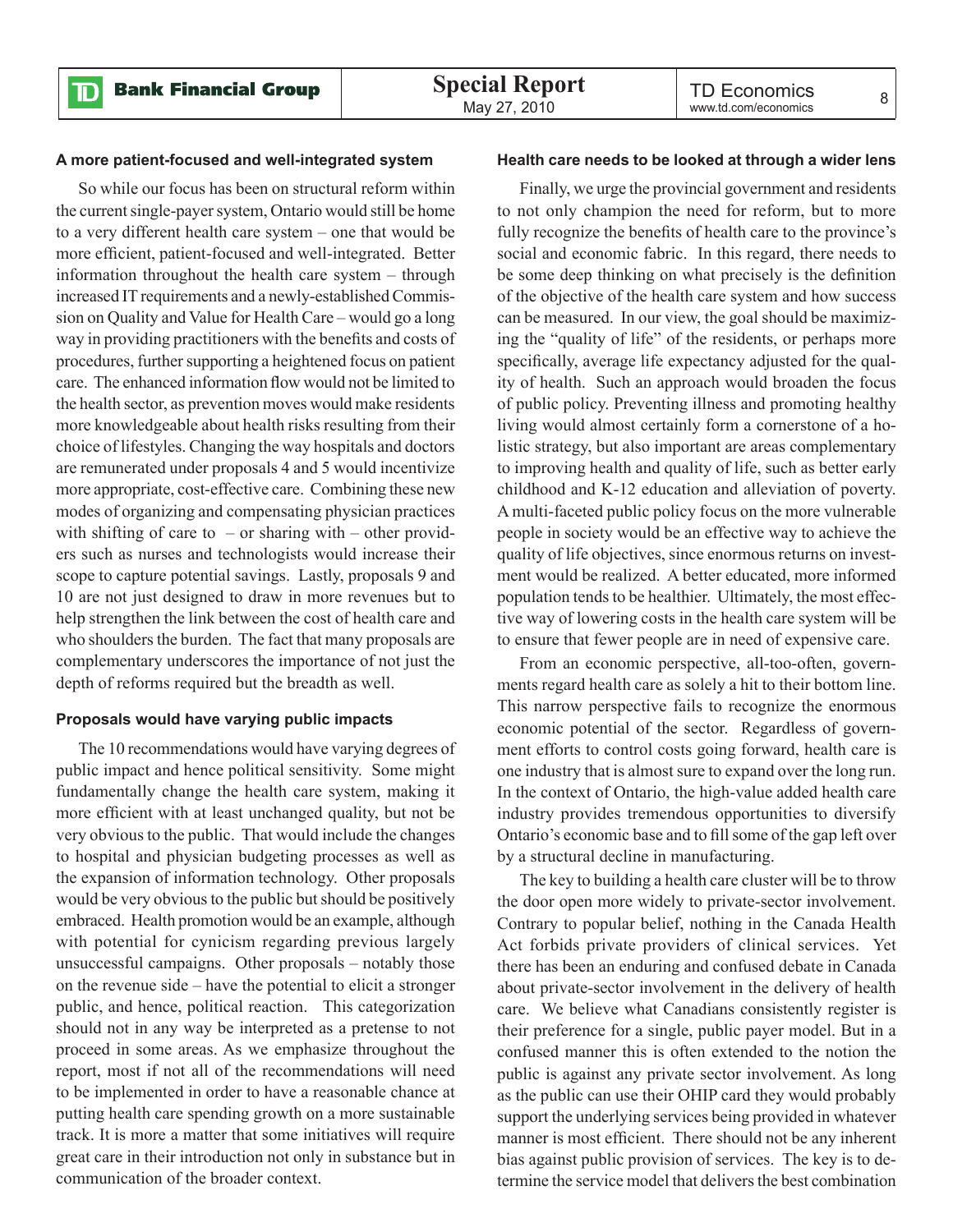#### **A more patient-focused and well-integrated system**

So while our focus has been on structural reform within the current single-payer system, Ontario would still be home to a very different health care system – one that would be more efficient, patient-focused and well-integrated. Better information throughout the health care system – through increased IT requirements and a newly-established Commission on Quality and Value for Health Care – would go a long way in providing practitioners with the benefits and costs of procedures, further supporting a heightened focus on patient care. The enhanced information flow would not be limited to the health sector, as prevention moves would make residents more knowledgeable about health risks resulting from their choice of lifestyles. Changing the way hospitals and doctors are remunerated under proposals 4 and 5 would incentivize more appropriate, cost-effective care. Combining these new modes of organizing and compensating physician practices with shifting of care to  $-$  or sharing with  $-$  other providers such as nurses and technologists would increase their scope to capture potential savings. Lastly, proposals 9 and 10 are not just designed to draw in more revenues but to help strengthen the link between the cost of health care and who shoulders the burden. The fact that many proposals are complementary underscores the importance of not just the depth of reforms required but the breadth as well.

#### **Proposals would have varying public impacts**

The 10 recommendations would have varying degrees of public impact and hence political sensitivity. Some might fundamentally change the health care system, making it more efficient with at least unchanged quality, but not be very obvious to the public. That would include the changes to hospital and physician budgeting processes as well as the expansion of information technology. Other proposals would be very obvious to the public but should be positively embraced. Health promotion would be an example, although with potential for cynicism regarding previous largely unsuccessful campaigns. Other proposals – notably those on the revenue side – have the potential to elicit a stronger public, and hence, political reaction. This categorization should not in any way be interpreted as a pretense to not proceed in some areas. As we emphasize throughout the report, most if not all of the recommendations will need to be implemented in order to have a reasonable chance at putting health care spending growth on a more sustainable track. It is more a matter that some initiatives will require great care in their introduction not only in substance but in communication of the broader context.

#### **Health care needs to be looked at through a wider lens**

Finally, we urge the provincial government and residents to not only champion the need for reform, but to more fully recognize the benefits of health care to the province's social and economic fabric. In this regard, there needs to be some deep thinking on what precisely is the definition of the objective of the health care system and how success can be measured. In our view, the goal should be maximizing the "quality of life" of the residents, or perhaps more specifically, average life expectancy adjusted for the quality of health. Such an approach would broaden the focus of public policy. Preventing illness and promoting healthy living would almost certainly form a cornerstone of a holistic strategy, but also important are areas complementary to improving health and quality of life, such as better early childhood and K-12 education and alleviation of poverty. A multi-faceted public policy focus on the more vulnerable people in society would be an effective way to achieve the quality of life objectives, since enormous returns on investment would be realized. A better educated, more informed population tends to be healthier. Ultimately, the most effective way of lowering costs in the health care system will be to ensure that fewer people are in need of expensive care.

From an economic perspective, all-too-often, governments regard health care as solely a hit to their bottom line. This narrow perspective fails to recognize the enormous economic potential of the sector. Regardless of government efforts to control costs going forward, health care is one industry that is almost sure to expand over the long run. In the context of Ontario, the high-value added health care industry provides tremendous opportunities to diversify Ontario's economic base and to fill some of the gap left over by a structural decline in manufacturing.

The key to building a health care cluster will be to throw the door open more widely to private-sector involvement. Contrary to popular belief, nothing in the Canada Health Act forbids private providers of clinical services. Yet there has been an enduring and confused debate in Canada about private-sector involvement in the delivery of health care. We believe what Canadians consistently register is their preference for a single, public payer model. But in a confused manner this is often extended to the notion the public is against any private sector involvement. As long as the public can use their OHIP card they would probably support the underlying services being provided in whatever manner is most efficient. There should not be any inherent bias against public provision of services. The key is to determine the service model that delivers the best combination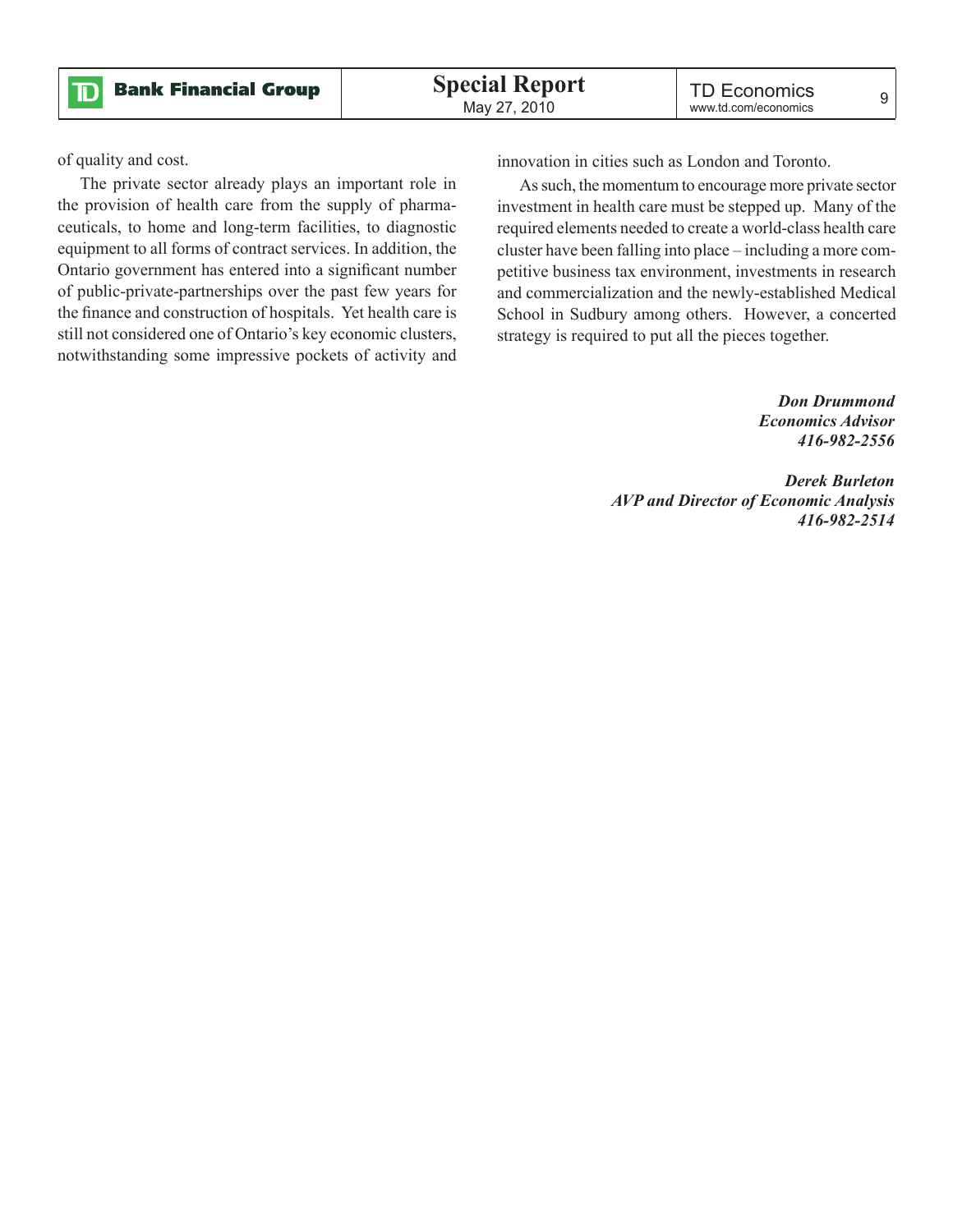of quality and cost.

The private sector already plays an important role in the provision of health care from the supply of pharmaceuticals, to home and long-term facilities, to diagnostic equipment to all forms of contract services. In addition, the Ontario government has entered into a significant number of public-private-partnerships over the past few years for the finance and construction of hospitals. Yet health care is still not considered one of Ontario's key economic clusters, notwithstanding some impressive pockets of activity and innovation in cities such as London and Toronto.

As such, the momentum to encourage more private sector investment in health care must be stepped up. Many of the required elements needed to create a world-class health care cluster have been falling into place – including a more competitive business tax environment, investments in research and commercialization and the newly-established Medical School in Sudbury among others. However, a concerted strategy is required to put all the pieces together.

> *Don Drummond Economics Advisor 416-982-2556*

*Derek Burleton AVP and Director of Economic Analysis 416-982-2514*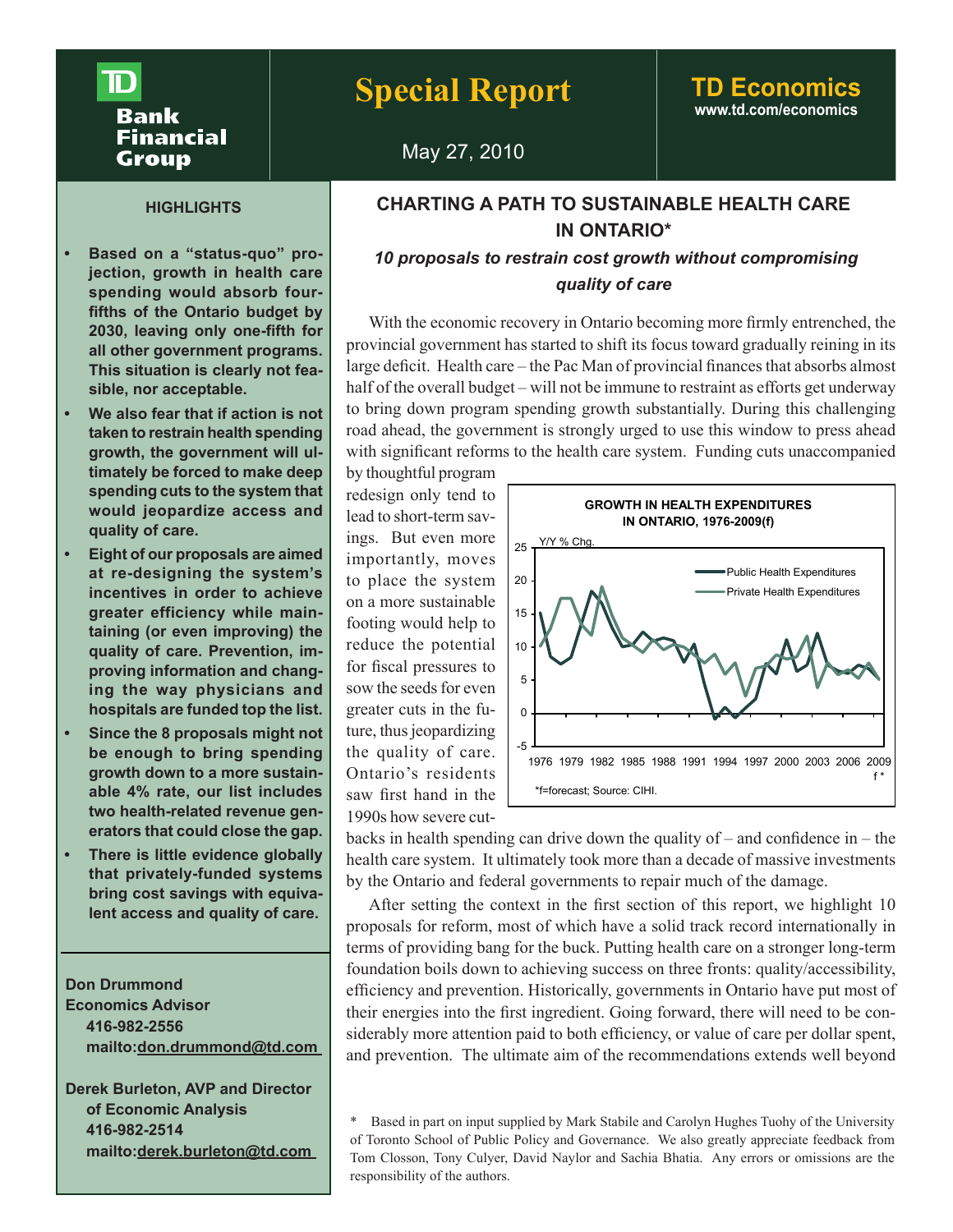## **Bank** Financial Group

## **Special Report TD Economics**

# **www.td.com/economics**

### May 27, 2010

### **CHARTING A PATH TO SUSTAINABLE HEALTH CARE IN ONTARIO\***

### *10 proposals to restrain cost growth without compromising quality of care*

With the economic recovery in Ontario becoming more firmly entrenched, the provincial government has started to shift its focus toward gradually reining in its large deficit. Health care – the Pac Man of provincial finances that absorbs almost half of the overall budget – will not be immune to restraint as efforts get underway to bring down program spending growth substantially. During this challenging road ahead, the government is strongly urged to use this window to press ahead with significant reforms to the health care system. Funding cuts unaccompanied

by thoughtful program redesign only tend to lead to short-term savings. But even more importantly, moves to place the system on a more sustainable footing would help to reduce the potential for fiscal pressures to sow the seeds for even greater cuts in the future, thus jeopardizing the quality of care. Ontario's residents saw first hand in the 1990s how severe cut-



backs in health spending can drive down the quality of – and confidence in – the health care system. It ultimately took more than a decade of massive investments by the Ontario and federal governments to repair much of the damage.

After setting the context in the first section of this report, we highlight 10 proposals for reform, most of which have a solid track record internationally in terms of providing bang for the buck. Putting health care on a stronger long-term foundation boils down to achieving success on three fronts: quality/accessibility, efficiency and prevention. Historically, governments in Ontario have put most of their energies into the first ingredient. Going forward, there will need to be considerably more attention paid to both efficiency, or value of care per dollar spent, and prevention. The ultimate aim of the recommendations extends well beyond

#### **HIGHLIGHTS**

- Based on a "status-quo" pro**jection, growth in health care spending would absorb fourfifths of the Ontario budget by 2030, leaving only one-fifth for all other government programs. This situation is clearly not feasible, nor acceptable.**
- **• We also fear that if action is not taken to restrain health spending growth, the government will ultimately be forced to make deep spending cuts to the system that would jeopardize access and quality of care.**
- **• Eight of our proposals are aimed at re-designing the system's incentives in order to achieve greater efficiency while maintaining (or even improving) the quality of care. Prevention, improving information and changing the way physicians and hospitals are funded top the list.**
- **• Since the 8 proposals might not be enough to bring spending growth down to a more sustainable 4% rate, our list includes two health-related revenue generators that could close the gap.**
- **• There is little evidence globally that privately-funded systems bring cost savings with equivalent access and quality of care.**

**Don Drummond Economics Advisor 416-982-2556 mailto:don.drummond@td.com** 

**Derek Burleton, AVP and Director of Economic Analysis 416-982-2514 mailto:derek.burleton@td.com** 

Based in part on input supplied by Mark Stabile and Carolyn Hughes Tuohy of the University of Toronto School of Public Policy and Governance. We also greatly appreciate feedback from Tom Closson, Tony Culyer, David Naylor and Sachia Bhatia. Any errors or omissions are the responsibility of the authors.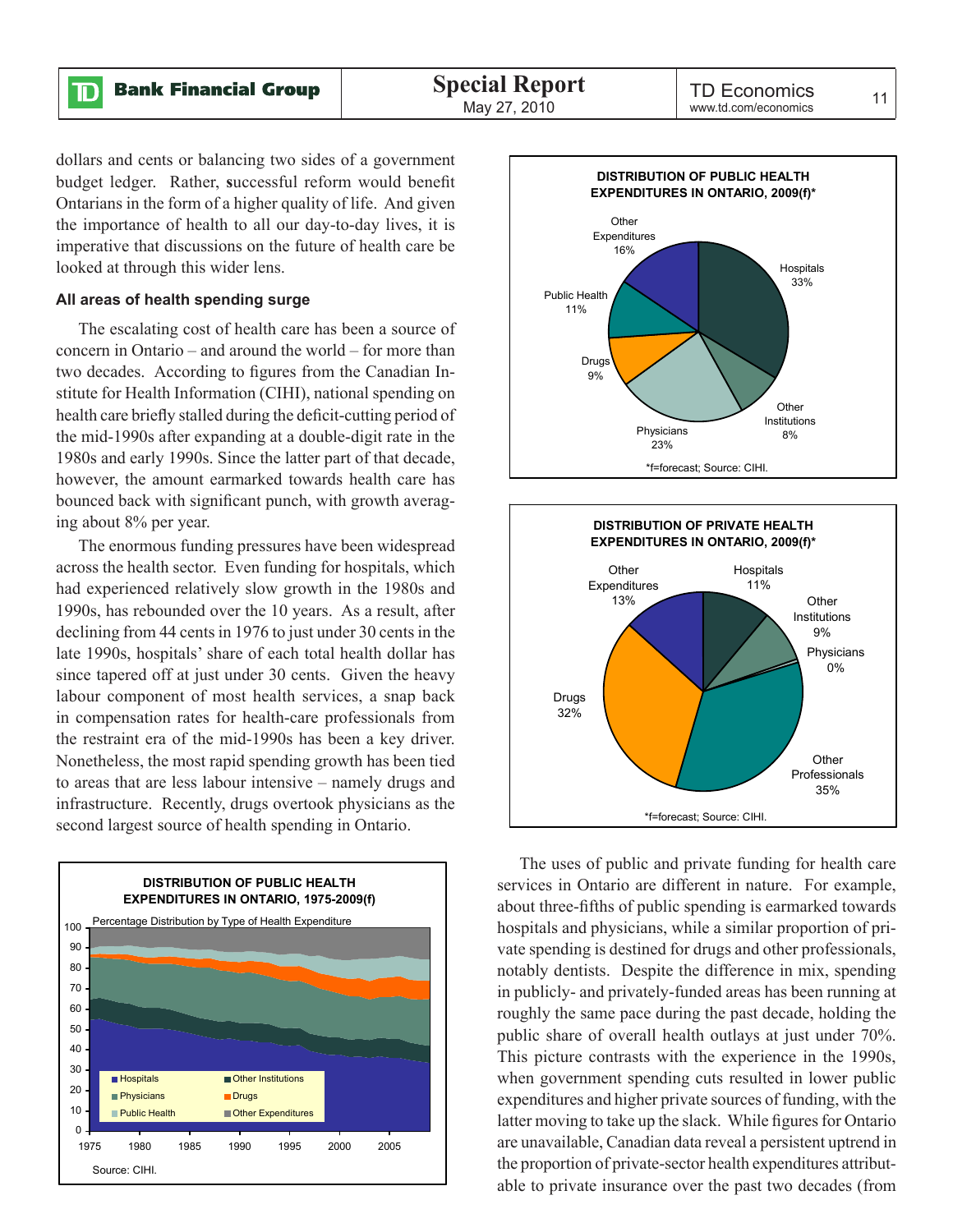$\mathbf{D}% _{T}=\mathbf{D}_{T}\times\mathbf{D}_{T}$ 

dollars and cents or balancing two sides of a government budget ledger. Rather, **s**uccessful reform would benefit Ontarians in the form of a higher quality of life. And given the importance of health to all our day-to-day lives, it is imperative that discussions on the future of health care be looked at through this wider lens.

#### **All areas of health spending surge**

The escalating cost of health care has been a source of concern in Ontario – and around the world – for more than two decades. According to figures from the Canadian Institute for Health Information (CIHI), national spending on health care briefly stalled during the deficit-cutting period of the mid-1990s after expanding at a double-digit rate in the 1980s and early 1990s. Since the latter part of that decade, however, the amount earmarked towards health care has bounced back with significant punch, with growth averaging about 8% per year.

The enormous funding pressures have been widespread across the health sector. Even funding for hospitals, which had experienced relatively slow growth in the 1980s and 1990s, has rebounded over the 10 years. As a result, after declining from 44 cents in 1976 to just under 30 cents in the late 1990s, hospitals' share of each total health dollar has since tapered off at just under 30 cents. Given the heavy labour component of most health services, a snap back in compensation rates for health-care professionals from the restraint era of the mid-1990s has been a key driver. Nonetheless, the most rapid spending growth has been tied to areas that are less labour intensive – namely drugs and infrastructure. Recently, drugs overtook physicians as the second largest source of health spending in Ontario.







The uses of public and private funding for health care services in Ontario are different in nature. For example, about three-fifths of public spending is earmarked towards hospitals and physicians, while a similar proportion of private spending is destined for drugs and other professionals, notably dentists. Despite the difference in mix, spending in publicly- and privately-funded areas has been running at roughly the same pace during the past decade, holding the public share of overall health outlays at just under 70%. This picture contrasts with the experience in the 1990s, when government spending cuts resulted in lower public expenditures and higher private sources of funding, with the latter moving to take up the slack. While figures for Ontario are unavailable, Canadian data reveal a persistent uptrend in the proportion of private-sector health expenditures attributable to private insurance over the past two decades (from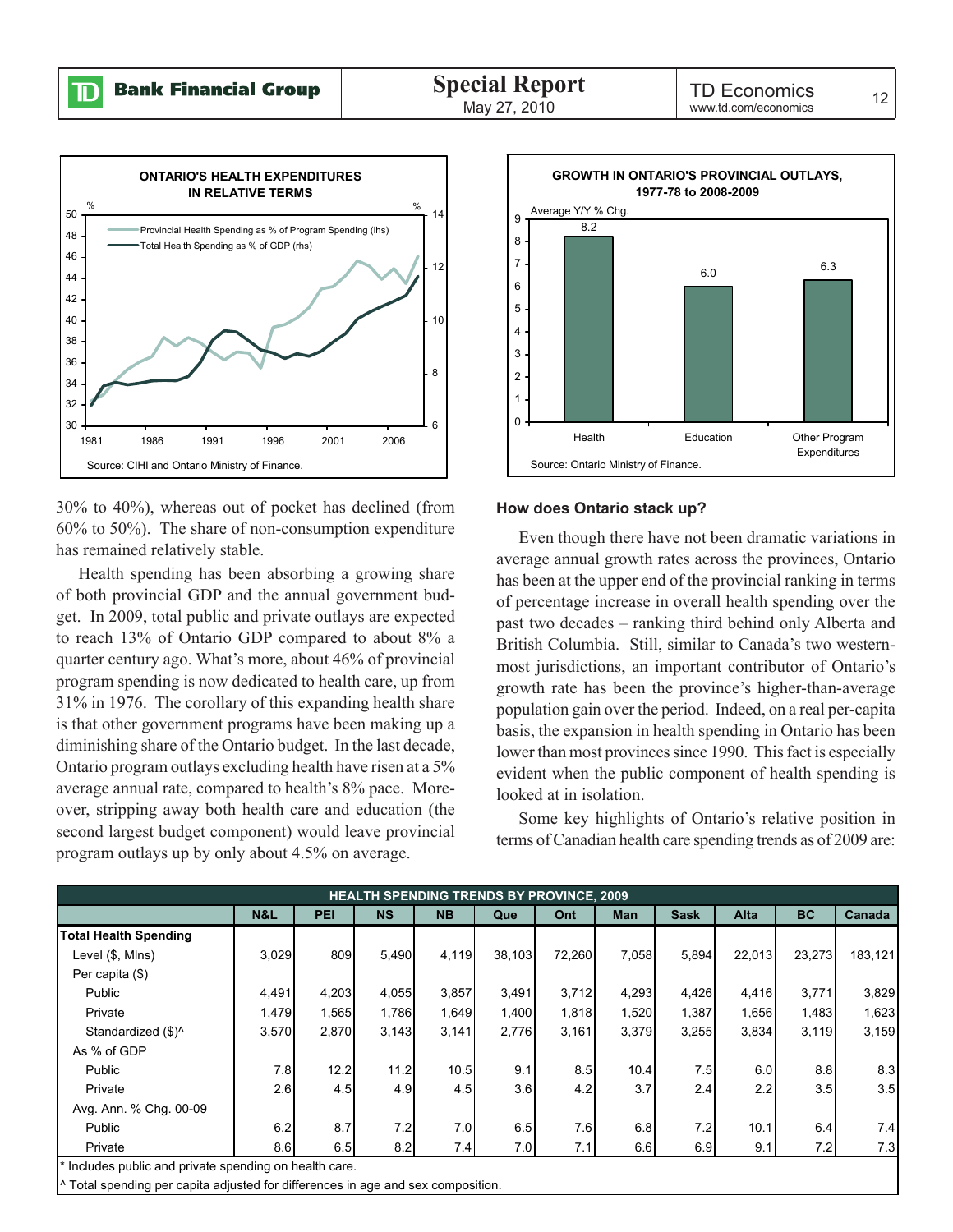

30% to 40%), whereas out of pocket has declined (from 60% to 50%). The share of non-consumption expenditure has remained relatively stable.

Health spending has been absorbing a growing share of both provincial GDP and the annual government budget. In 2009, total public and private outlays are expected to reach 13% of Ontario GDP compared to about 8% a quarter century ago. What's more, about 46% of provincial program spending is now dedicated to health care, up from 31% in 1976. The corollary of this expanding health share is that other government programs have been making up a diminishing share of the Ontario budget. In the last decade, Ontario program outlays excluding health have risen at a 5% average annual rate, compared to health's 8% pace. Moreover, stripping away both health care and education (the second largest budget component) would leave provincial program outlays up by only about 4.5% on average.



#### **How does Ontario stack up?**

Even though there have not been dramatic variations in average annual growth rates across the provinces, Ontario has been at the upper end of the provincial ranking in terms of percentage increase in overall health spending over the past two decades – ranking third behind only Alberta and British Columbia. Still, similar to Canada's two westernmost jurisdictions, an important contributor of Ontario's growth rate has been the province's higher-than-average population gain over the period. Indeed, on a real per-capita basis, the expansion in health spending in Ontario has been lower than most provinces since 1990. This fact is especially evident when the public component of health spending is looked at in isolation.

Some key highlights of Ontario's relative position in terms of Canadian health care spending trends as of 2009 are:

| <b>HEALTH SPENDING TRENDS BY PROVINCE, 2009</b>        |                |            |                  |           |        |        |       |             |             |           |         |
|--------------------------------------------------------|----------------|------------|------------------|-----------|--------|--------|-------|-------------|-------------|-----------|---------|
|                                                        | <b>N&amp;L</b> | <b>PEI</b> | <b>NS</b>        | <b>NB</b> | Que    | Ont    | Man   | <b>Sask</b> | <b>Alta</b> | <b>BC</b> | Canada  |
| <b>Total Health Spending</b>                           |                |            |                  |           |        |        |       |             |             |           |         |
| Level (\$, Mins)                                       | 3,029          | 809        | 5,490            | 4,119     | 38,103 | 72,260 | 7,058 | 5,894       | 22,013      | 23,273    | 183,121 |
| Per capita (\$)                                        |                |            |                  |           |        |        |       |             |             |           |         |
| Public                                                 | 4,491          | 4,203      | 4,055            | 3,857     | 3,491  | 3,712  | 4,293 | 4,426       | 4,416       | 3,771     | 3,829   |
| Private                                                | 1,479          | 1,565      | 1,786            | 1,649     | 1,400  | 1,818  | 1,520 | 1,387       | 1,656       | 1,483     | 1,623   |
| Standardized (\$)^                                     | 3,570          | 2,870      | 3,143            | 3,141     | 2,776  | 3,161  | 3,379 | 3,255       | 3,834       | 3,119     | 3,159   |
| As % of GDP                                            |                |            |                  |           |        |        |       |             |             |           |         |
| Public                                                 | 7.8            | 12.2       | 11.2             | 10.5      | 9.1    | 8.5    | 10.4  | 7.5         | 6.0         | 8.8       | 8.3     |
| Private                                                | 2.6            | 4.5        | 4.9 <sub>l</sub> | 4.5       | 3.6    | 4.2    | 3.7   | 2.4         | 2.2         | 3.5       | 3.5     |
| Avg. Ann. % Chg. 00-09                                 |                |            |                  |           |        |        |       |             |             |           |         |
| Public                                                 | 6.2            | 8.7        | 7.2              | 7.0       | 6.5    | 7.6    | 6.8   | 7.2         | 10.1        | 6.4       | 7.4     |
| Private                                                | 8.6            | 6.5        | 8.2              | 7.4       | 7.0    | 7.1    | 6.6   | 6.9         | 9.1         | 7.2       | 7.3     |
| * Includes public and private spending on health care. |                |            |                  |           |        |        |       |             |             |           |         |

\* Includes public and private spending on health care.

Total spending per capita adjusted for differences in age and sex composition.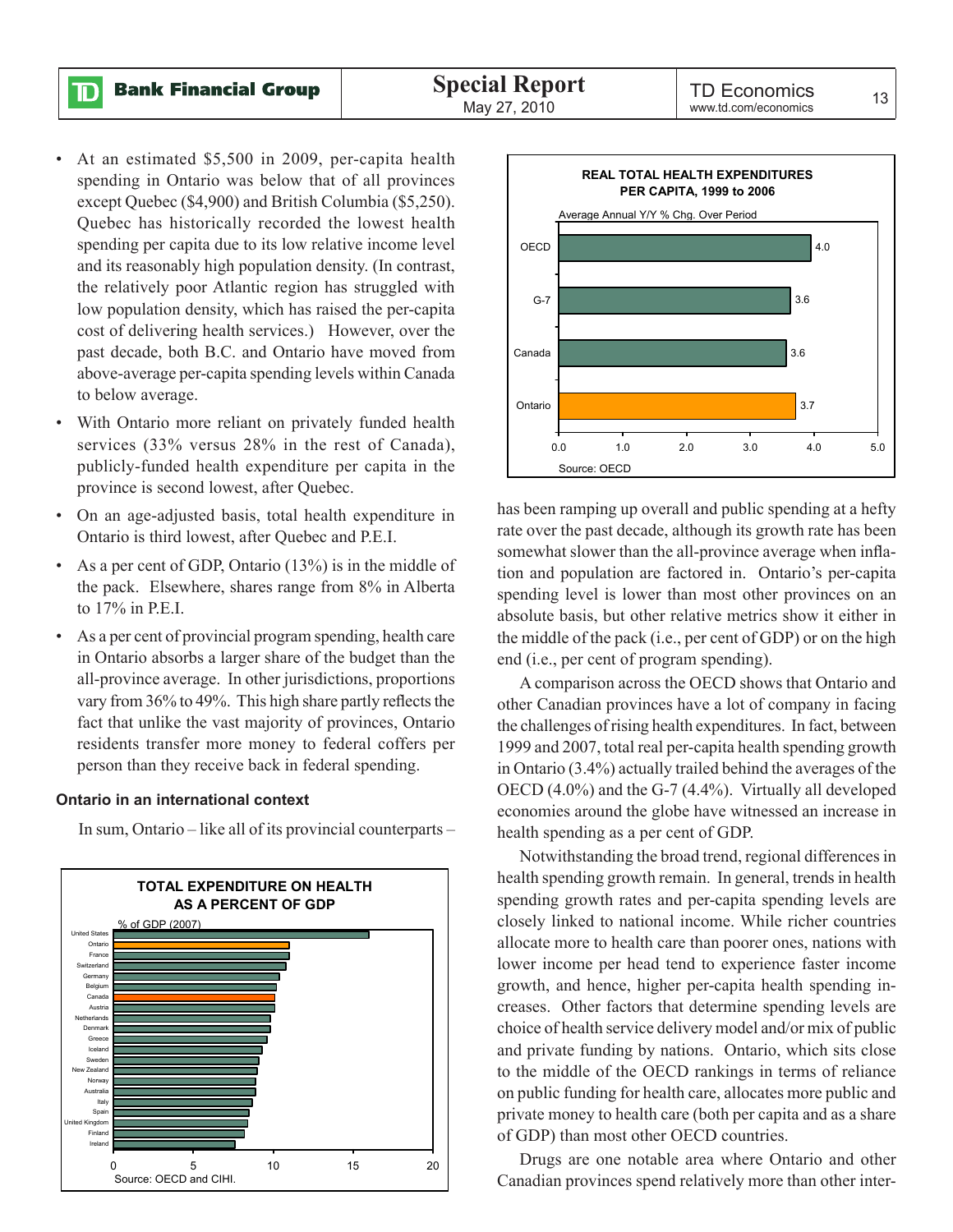**Bank Financial Group** 

ID

- At an estimated \$5,500 in 2009, per-capita health spending in Ontario was below that of all provinces except Quebec (\$4,900) and British Columbia (\$5,250). Quebec has historically recorded the lowest health spending per capita due to its low relative income level and its reasonably high population density. (In contrast, the relatively poor Atlantic region has struggled with low population density, which has raised the per-capita cost of delivering health services.) However, over the past decade, both B.C. and Ontario have moved from above-average per-capita spending levels within Canada to below average.
- With Ontario more reliant on privately funded health services (33% versus 28% in the rest of Canada), publicly-funded health expenditure per capita in the province is second lowest, after Quebec.
- On an age-adjusted basis, total health expenditure in Ontario is third lowest, after Quebec and P.E.I.
- As a per cent of GDP, Ontario (13%) is in the middle of the pack. Elsewhere, shares range from 8% in Alberta to 17% in P.E.I.
- As a per cent of provincial program spending, health care in Ontario absorbs a larger share of the budget than the all-province average. In other jurisdictions, proportions vary from 36% to 49%. This high share partly reflects the fact that unlike the vast majority of provinces, Ontario residents transfer more money to federal coffers per person than they receive back in federal spending.

#### **Ontario in an international context**

In sum, Ontario – like all of its provincial counterparts –





has been ramping up overall and public spending at a hefty rate over the past decade, although its growth rate has been somewhat slower than the all-province average when inflation and population are factored in. Ontario's per-capita spending level is lower than most other provinces on an absolute basis, but other relative metrics show it either in the middle of the pack (i.e., per cent of GDP) or on the high end (i.e., per cent of program spending).

A comparison across the OECD shows that Ontario and other Canadian provinces have a lot of company in facing the challenges of rising health expenditures. In fact, between 1999 and 2007, total real per-capita health spending growth in Ontario (3.4%) actually trailed behind the averages of the OECD (4.0%) and the G-7 (4.4%). Virtually all developed economies around the globe have witnessed an increase in health spending as a per cent of GDP.

Notwithstanding the broad trend, regional differences in health spending growth remain. In general, trends in health spending growth rates and per-capita spending levels are closely linked to national income. While richer countries allocate more to health care than poorer ones, nations with lower income per head tend to experience faster income growth, and hence, higher per-capita health spending increases. Other factors that determine spending levels are choice of health service delivery model and/or mix of public and private funding by nations. Ontario, which sits close to the middle of the OECD rankings in terms of reliance on public funding for health care, allocates more public and private money to health care (both per capita and as a share of GDP) than most other OECD countries.

Drugs are one notable area where Ontario and other Canadian provinces spend relatively more than other inter-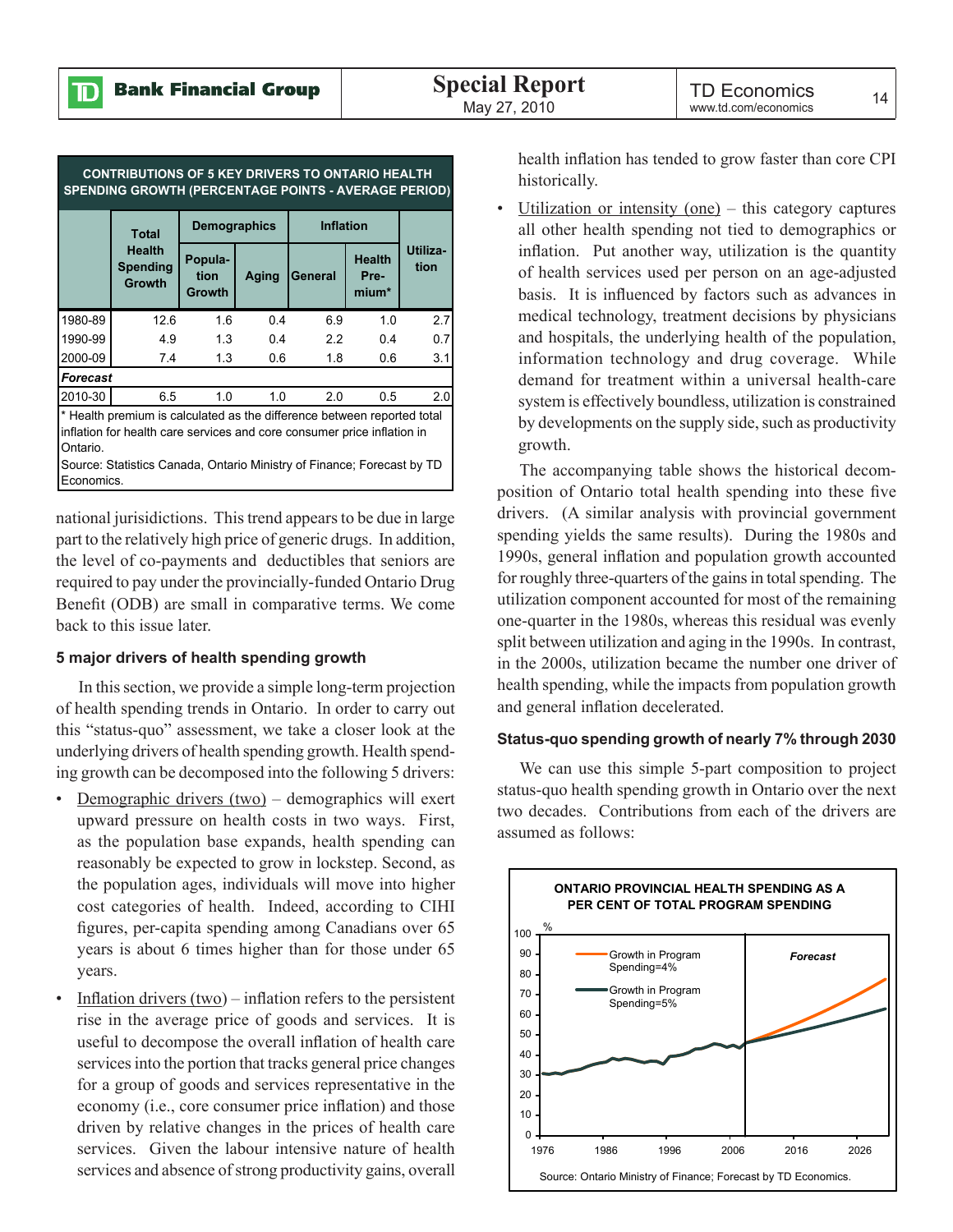| <b>CONTRIBUTIONS OF 5 KEY DRIVERS TO ONTARIO HEALTH</b><br><b>SPENDING GROWTH (PERCENTAGE POINTS - AVERAGE PERIOD)</b> |                                                                                                                                                    |                                  |       |                  |                                |                  |  |
|------------------------------------------------------------------------------------------------------------------------|----------------------------------------------------------------------------------------------------------------------------------------------------|----------------------------------|-------|------------------|--------------------------------|------------------|--|
|                                                                                                                        | <b>Total</b>                                                                                                                                       | <b>Demographics</b>              |       | <b>Inflation</b> |                                |                  |  |
|                                                                                                                        | <b>Health</b><br><b>Spending</b><br><b>Growth</b>                                                                                                  | Popula-<br>tion<br><b>Growth</b> | Aging | General          | <b>Health</b><br>Pre-<br>mium* | Utiliza-<br>tion |  |
| 1980-89                                                                                                                | 12.6                                                                                                                                               | 1.6                              | 0.4   | 6.9              | 1.0                            | 2.7              |  |
| 1990-99                                                                                                                | 4.9                                                                                                                                                | 1.3                              | 0.4   | 2.2              | 0.4                            | 0.7              |  |
| 2000-09                                                                                                                | 7.4                                                                                                                                                | 1.3                              | 0.6   | 1.8              | 0.6                            | 3.1              |  |
| <b>Forecast</b>                                                                                                        |                                                                                                                                                    |                                  |       |                  |                                |                  |  |
| 2010-30                                                                                                                | 6.5                                                                                                                                                | 1.0                              | 1.0   | 2.0              | 0.5                            | 2.0              |  |
| Ontario.                                                                                                               | * Health premium is calculated as the difference between reported total<br>inflation for health care services and core consumer price inflation in |                                  |       |                  |                                |                  |  |

Source: Statistics Canada, Ontario Ministry of Finance; Forecast by TD **Economics** 

national jurisidictions. This trend appears to be due in large part to the relatively high price of generic drugs. In addition, the level of co-payments and deductibles that seniors are required to pay under the provincially-funded Ontario Drug Benefit (ODB) are small in comparative terms. We come back to this issue later.

#### **5 major drivers of health spending growth**

In this section, we provide a simple long-term projection of health spending trends in Ontario. In order to carry out this "status-quo" assessment, we take a closer look at the underlying drivers of health spending growth. Health spending growth can be decomposed into the following 5 drivers:

- Demographic drivers (two) demographics will exert upward pressure on health costs in two ways. First, as the population base expands, health spending can reasonably be expected to grow in lockstep. Second, as the population ages, individuals will move into higher cost categories of health. Indeed, according to CIHI figures, per-capita spending among Canadians over 65 years is about 6 times higher than for those under 65 years.
- Inflation drivers  $(tw<sub>0</sub>)$  inflation refers to the persistent rise in the average price of goods and services. It is useful to decompose the overall inflation of health care services into the portion that tracks general price changes for a group of goods and services representative in the economy (i.e., core consumer price inflation) and those driven by relative changes in the prices of health care services. Given the labour intensive nature of health services and absence of strong productivity gains, overall

health inflation has tended to grow faster than core CPI historically.

• Utilization or intensity (one) – this category captures all other health spending not tied to demographics or inflation. Put another way, utilization is the quantity of health services used per person on an age-adjusted basis. It is influenced by factors such as advances in medical technology, treatment decisions by physicians and hospitals, the underlying health of the population, information technology and drug coverage. While demand for treatment within a universal health-care system is effectively boundless, utilization is constrained by developments on the supply side, such as productivity growth.

The accompanying table shows the historical decomposition of Ontario total health spending into these five drivers. (A similar analysis with provincial government spending yields the same results). During the 1980s and 1990s, general inflation and population growth accounted for roughly three-quarters of the gains in total spending. The utilization component accounted for most of the remaining one-quarter in the 1980s, whereas this residual was evenly split between utilization and aging in the 1990s. In contrast, in the 2000s, utilization became the number one driver of health spending, while the impacts from population growth and general inflation decelerated.

#### **Status-quo spending growth of nearly 7% through 2030**

We can use this simple 5-part composition to project status-quo health spending growth in Ontario over the next two decades. Contributions from each of the drivers are assumed as follows:

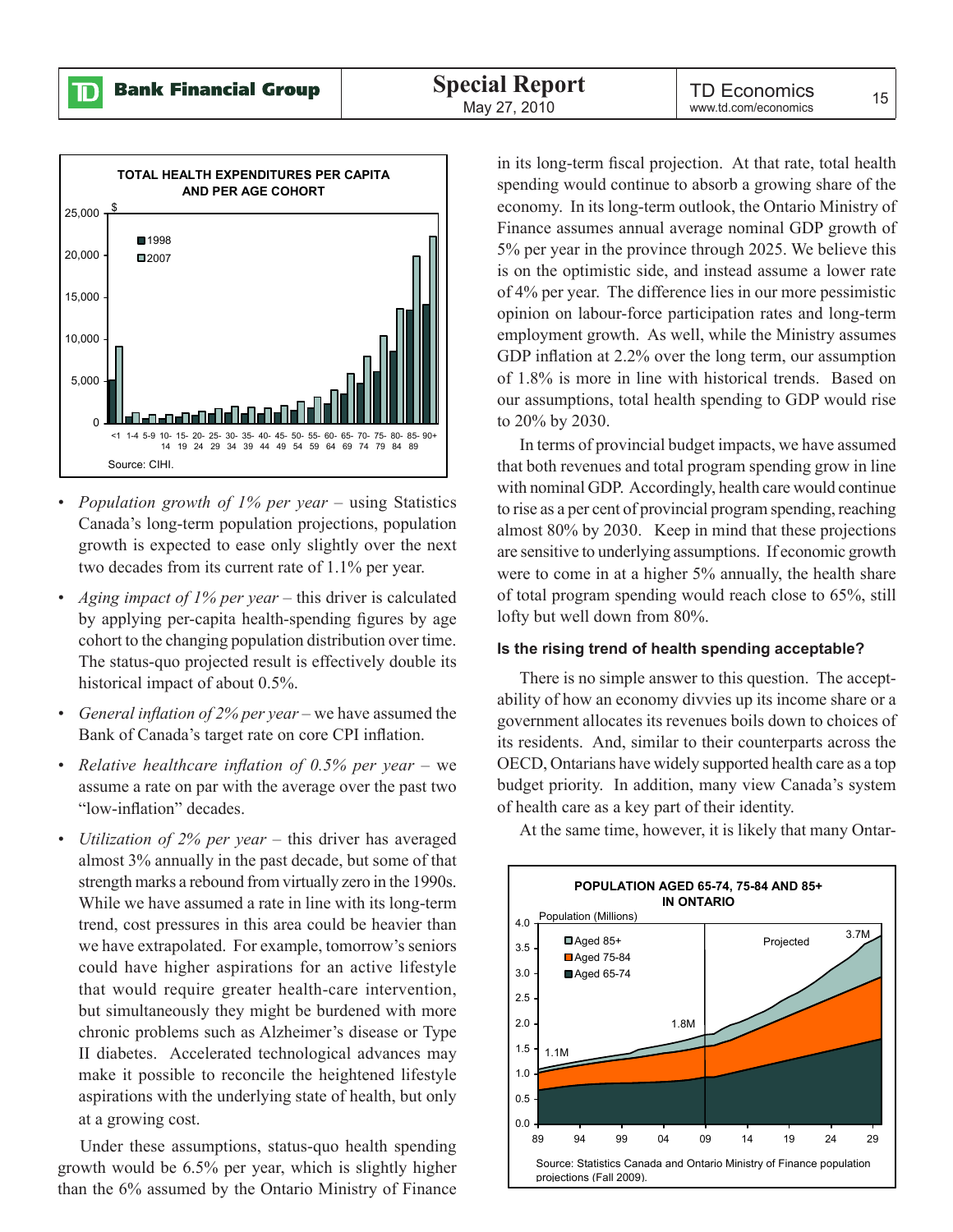$\mathbb D$ 



- *• Population growth of 1% per year –* using Statistics Canada's long-term population projections, population growth is expected to ease only slightly over the next two decades from its current rate of 1.1% per year.
- *• Aging impact of 1% per year –* this driver is calculated by applying per-capita health-spending figures by age cohort to the changing population distribution over time. The status-quo projected result is effectively double its historical impact of about 0.5%.
- *• General inflation of 2% per year –* we have assumed the Bank of Canada's target rate on core CPI inflation.
- *• Relative healthcare inflation of 0.5% per year –* we assume a rate on par with the average over the past two "low-inflation" decades.
- *• Utilization of 2% per year –* this driver has averaged almost 3% annually in the past decade, but some of that strength marks a rebound from virtually zero in the 1990s. While we have assumed a rate in line with its long-term trend, cost pressures in this area could be heavier than we have extrapolated. For example, tomorrow's seniors could have higher aspirations for an active lifestyle that would require greater health-care intervention, but simultaneously they might be burdened with more chronic problems such as Alzheimer's disease or Type II diabetes. Accelerated technological advances may make it possible to reconcile the heightened lifestyle aspirations with the underlying state of health, but only at a growing cost.

Under these assumptions, status-quo health spending growth would be 6.5% per year, which is slightly higher than the 6% assumed by the Ontario Ministry of Finance

in its long-term fiscal projection. At that rate, total health spending would continue to absorb a growing share of the economy. In its long-term outlook, the Ontario Ministry of Finance assumes annual average nominal GDP growth of 5% per year in the province through 2025. We believe this is on the optimistic side, and instead assume a lower rate of 4% per year. The difference lies in our more pessimistic opinion on labour-force participation rates and long-term employment growth. As well, while the Ministry assumes GDP inflation at 2.2% over the long term, our assumption of 1.8% is more in line with historical trends. Based on our assumptions, total health spending to GDP would rise to 20% by 2030.

In terms of provincial budget impacts, we have assumed that both revenues and total program spending grow in line with nominal GDP. Accordingly, health care would continue to rise as a per cent of provincial program spending, reaching almost 80% by 2030. Keep in mind that these projections are sensitive to underlying assumptions. If economic growth were to come in at a higher 5% annually, the health share of total program spending would reach close to 65%, still lofty but well down from 80%.

#### **Is the rising trend of health spending acceptable?**

There is no simple answer to this question. The acceptability of how an economy divvies up its income share or a government allocates its revenues boils down to choices of its residents. And, similar to their counterparts across the OECD, Ontarians have widely supported health care as a top budget priority. In addition, many view Canada's system of health care as a key part of their identity.

![](_page_12_Figure_14.jpeg)

At the same time, however, it is likely that many Ontar-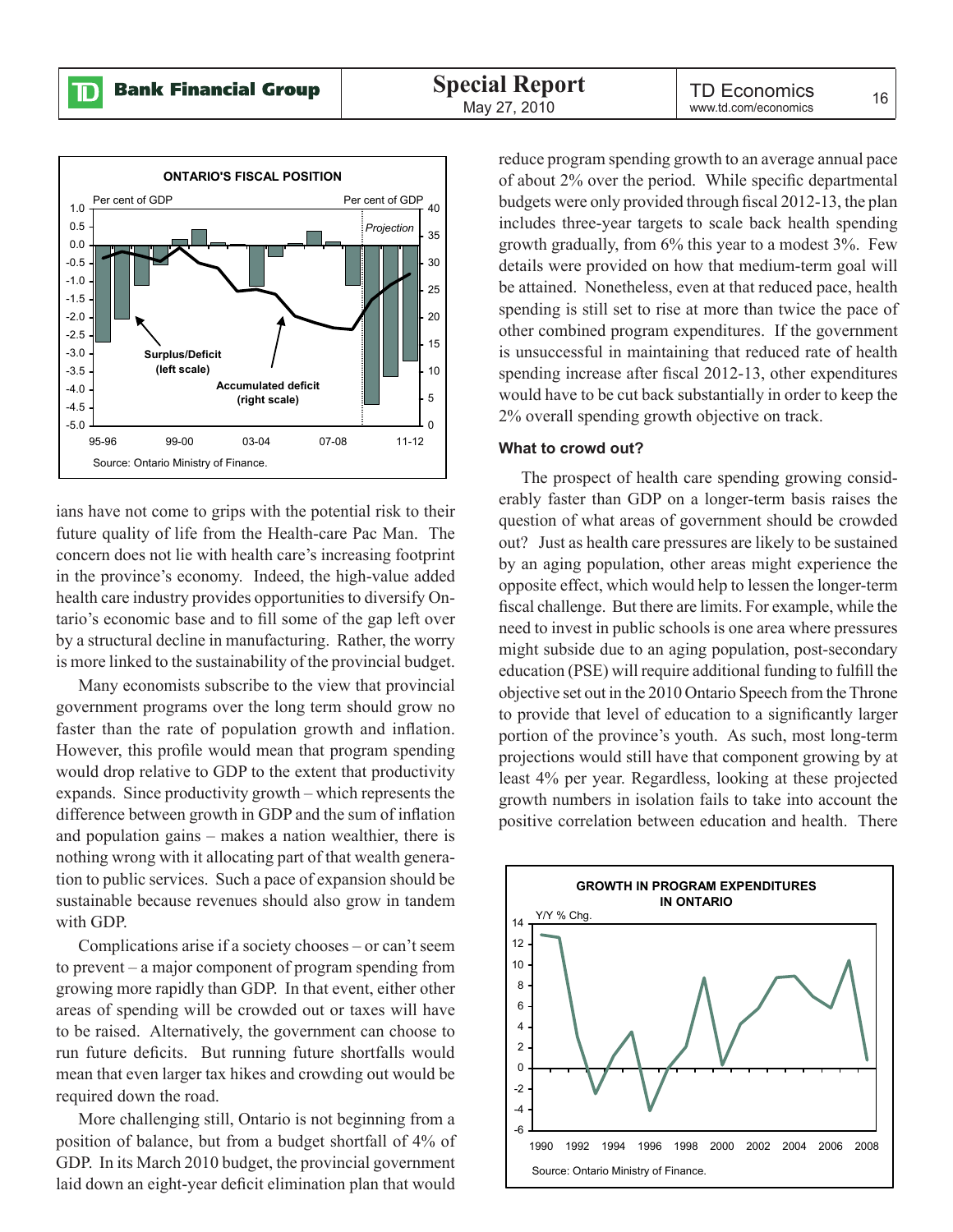$\mathbf{D}% _{T}=\mathbf{D}_{T}\times\mathbf{D}_{T}$ 

![](_page_13_Figure_3.jpeg)

ians have not come to grips with the potential risk to their future quality of life from the Health-care Pac Man. The concern does not lie with health care's increasing footprint in the province's economy. Indeed, the high-value added health care industry provides opportunities to diversify Ontario's economic base and to fill some of the gap left over by a structural decline in manufacturing. Rather, the worry is more linked to the sustainability of the provincial budget.

Many economists subscribe to the view that provincial government programs over the long term should grow no faster than the rate of population growth and inflation. However, this profile would mean that program spending would drop relative to GDP to the extent that productivity expands. Since productivity growth – which represents the difference between growth in GDP and the sum of inflation and population gains – makes a nation wealthier, there is nothing wrong with it allocating part of that wealth generation to public services. Such a pace of expansion should be sustainable because revenues should also grow in tandem with GDP.

Complications arise if a society chooses – or can't seem to prevent – a major component of program spending from growing more rapidly than GDP. In that event, either other areas of spending will be crowded out or taxes will have to be raised. Alternatively, the government can choose to run future deficits. But running future shortfalls would mean that even larger tax hikes and crowding out would be required down the road.

More challenging still, Ontario is not beginning from a position of balance, but from a budget shortfall of 4% of GDP. In its March 2010 budget, the provincial government laid down an eight-year deficit elimination plan that would

reduce program spending growth to an average annual pace of about 2% over the period. While specific departmental budgets were only provided through fiscal 2012-13, the plan includes three-year targets to scale back health spending growth gradually, from 6% this year to a modest 3%. Few details were provided on how that medium-term goal will be attained. Nonetheless, even at that reduced pace, health spending is still set to rise at more than twice the pace of other combined program expenditures. If the government is unsuccessful in maintaining that reduced rate of health spending increase after fiscal 2012-13, other expenditures would have to be cut back substantially in order to keep the 2% overall spending growth objective on track.

#### **What to crowd out?**

The prospect of health care spending growing considerably faster than GDP on a longer-term basis raises the question of what areas of government should be crowded out? Just as health care pressures are likely to be sustained by an aging population, other areas might experience the opposite effect, which would help to lessen the longer-term fiscal challenge. But there are limits. For example, while the need to invest in public schools is one area where pressures might subside due to an aging population, post-secondary education (PSE) will require additional funding to fulfill the objective set out in the 2010 Ontario Speech from the Throne to provide that level of education to a significantly larger portion of the province's youth. As such, most long-term projections would still have that component growing by at least 4% per year. Regardless, looking at these projected growth numbers in isolation fails to take into account the positive correlation between education and health. There

![](_page_13_Figure_11.jpeg)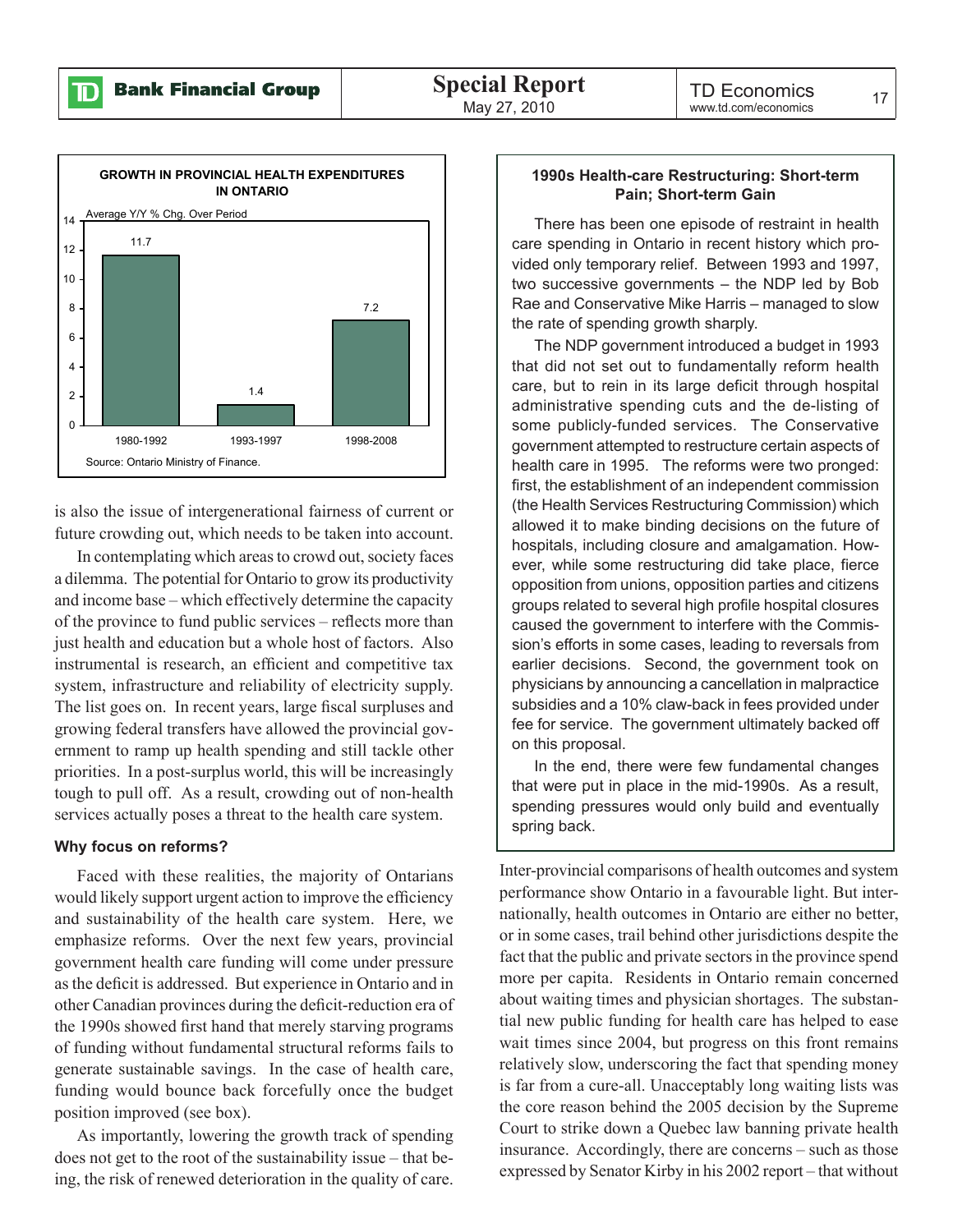![](_page_14_Figure_3.jpeg)

is also the issue of intergenerational fairness of current or future crowding out, which needs to be taken into account.

In contemplating which areas to crowd out, society faces a dilemma. The potential for Ontario to grow its productivity and income base – which effectively determine the capacity of the province to fund public services – reflects more than just health and education but a whole host of factors. Also instrumental is research, an efficient and competitive tax system, infrastructure and reliability of electricity supply. The list goes on. In recent years, large fiscal surpluses and growing federal transfers have allowed the provincial government to ramp up health spending and still tackle other priorities. In a post-surplus world, this will be increasingly tough to pull off. As a result, crowding out of non-health services actually poses a threat to the health care system.

#### **Why focus on reforms?**

Faced with these realities, the majority of Ontarians would likely support urgent action to improve the efficiency and sustainability of the health care system. Here, we emphasize reforms. Over the next few years, provincial government health care funding will come under pressure as the deficit is addressed. But experience in Ontario and in other Canadian provinces during the deficit-reduction era of the 1990s showed first hand that merely starving programs of funding without fundamental structural reforms fails to generate sustainable savings. In the case of health care, funding would bounce back forcefully once the budget position improved (see box).

As importantly, lowering the growth track of spending does not get to the root of the sustainability issue – that being, the risk of renewed deterioration in the quality of care.

#### **1990s Health-care Restructuring: Short-term Pain; Short-term Gain**

There has been one episode of restraint in health care spending in Ontario in recent history which provided only temporary relief. Between 1993 and 1997, two successive governments – the NDP led by Bob Rae and Conservative Mike Harris – managed to slow the rate of spending growth sharply.

The NDP government introduced a budget in 1993 that did not set out to fundamentally reform health care, but to rein in its large deficit through hospital administrative spending cuts and the de-listing of some publicly-funded services. The Conservative government attempted to restructure certain aspects of health care in 1995. The reforms were two pronged: first, the establishment of an independent commission (the Health Services Restructuring Commission) which allowed it to make binding decisions on the future of hospitals, including closure and amalgamation. However, while some restructuring did take place, fierce opposition from unions, opposition parties and citizens groups related to several high profile hospital closures caused the government to interfere with the Commission's efforts in some cases, leading to reversals from earlier decisions. Second, the government took on physicians by announcing a cancellation in malpractice subsidies and a 10% claw-back in fees provided under fee for service. The government ultimately backed off on this proposal.

In the end, there were few fundamental changes that were put in place in the mid-1990s. As a result, spending pressures would only build and eventually spring back.

Inter-provincial comparisons of health outcomes and system performance show Ontario in a favourable light. But internationally, health outcomes in Ontario are either no better, or in some cases, trail behind other jurisdictions despite the fact that the public and private sectors in the province spend more per capita. Residents in Ontario remain concerned about waiting times and physician shortages. The substantial new public funding for health care has helped to ease wait times since 2004, but progress on this front remains relatively slow, underscoring the fact that spending money is far from a cure-all. Unacceptably long waiting lists was the core reason behind the 2005 decision by the Supreme Court to strike down a Quebec law banning private health insurance. Accordingly, there are concerns – such as those expressed by Senator Kirby in his 2002 report – that without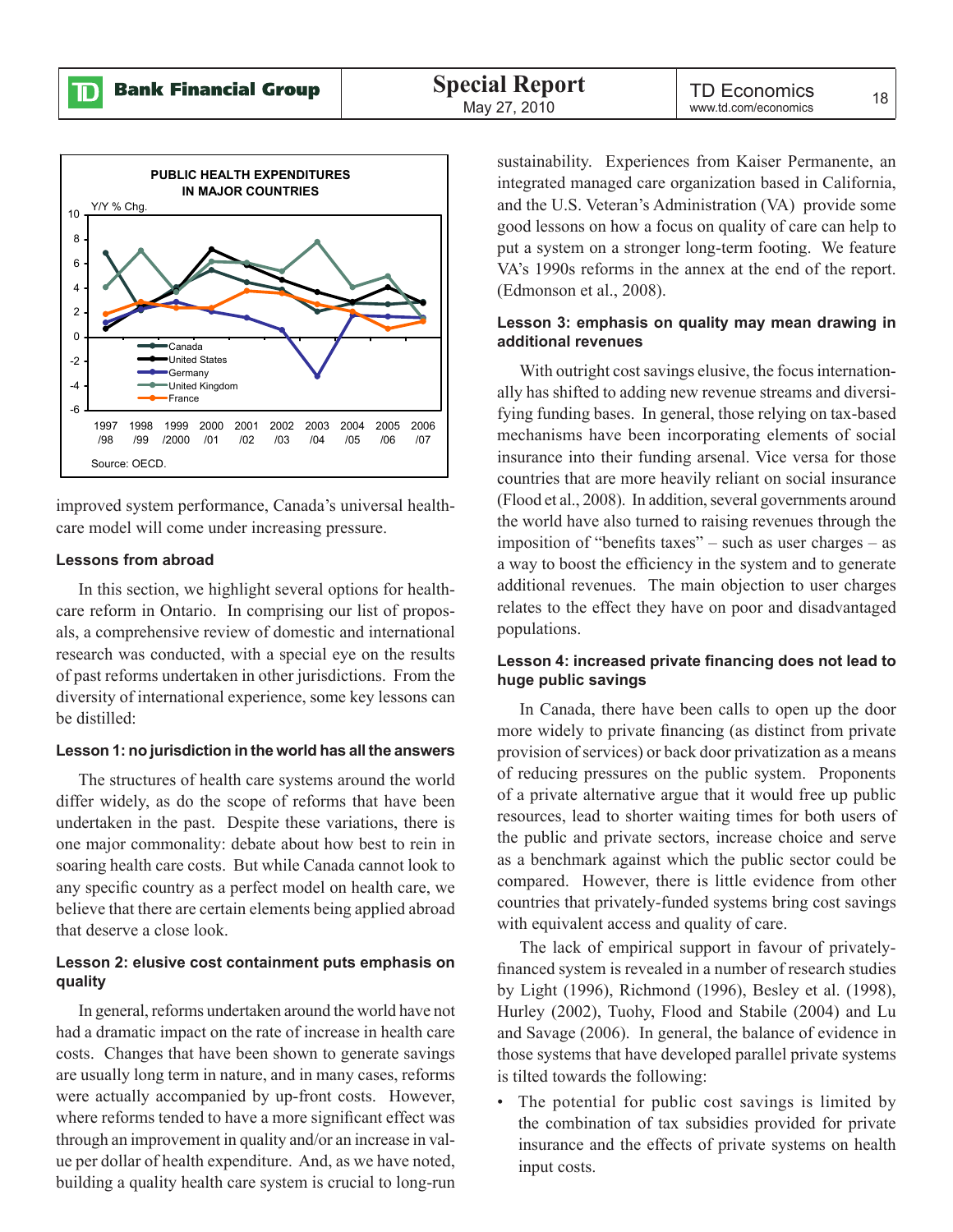![](_page_15_Figure_3.jpeg)

improved system performance, Canada's universal healthcare model will come under increasing pressure.

#### **Lessons from abroad**

In this section, we highlight several options for healthcare reform in Ontario. In comprising our list of proposals, a comprehensive review of domestic and international research was conducted, with a special eye on the results of past reforms undertaken in other jurisdictions. From the diversity of international experience, some key lessons can be distilled:

#### **Lesson 1: no jurisdiction in the world has all the answers**

The structures of health care systems around the world differ widely, as do the scope of reforms that have been undertaken in the past. Despite these variations, there is one major commonality: debate about how best to rein in soaring health care costs. But while Canada cannot look to any specific country as a perfect model on health care, we believe that there are certain elements being applied abroad that deserve a close look.

#### **Lesson 2: elusive cost containment puts emphasis on quality**

In general, reforms undertaken around the world have not had a dramatic impact on the rate of increase in health care costs. Changes that have been shown to generate savings are usually long term in nature, and in many cases, reforms were actually accompanied by up-front costs. However, where reforms tended to have a more significant effect was through an improvement in quality and/or an increase in value per dollar of health expenditure. And, as we have noted, building a quality health care system is crucial to long-run

sustainability. Experiences from Kaiser Permanente, an integrated managed care organization based in California, and the U.S. Veteran's Administration (VA) provide some good lessons on how a focus on quality of care can help to put a system on a stronger long-term footing. We feature VA's 1990s reforms in the annex at the end of the report. (Edmonson et al., 2008).

#### **Lesson 3: emphasis on quality may mean drawing in additional revenues**

With outright cost savings elusive, the focus internationally has shifted to adding new revenue streams and diversifying funding bases. In general, those relying on tax-based mechanisms have been incorporating elements of social insurance into their funding arsenal. Vice versa for those countries that are more heavily reliant on social insurance (Flood et al., 2008). In addition, several governments around the world have also turned to raising revenues through the imposition of "benefits taxes" – such as user charges – as a way to boost the efficiency in the system and to generate additional revenues. The main objection to user charges relates to the effect they have on poor and disadvantaged populations.

#### **Lesson 4: increased private financing does not lead to huge public savings**

In Canada, there have been calls to open up the door more widely to private financing (as distinct from private provision of services) or back door privatization as a means of reducing pressures on the public system. Proponents of a private alternative argue that it would free up public resources, lead to shorter waiting times for both users of the public and private sectors, increase choice and serve as a benchmark against which the public sector could be compared. However, there is little evidence from other countries that privately-funded systems bring cost savings with equivalent access and quality of care.

The lack of empirical support in favour of privatelyfinanced system is revealed in a number of research studies by Light (1996), Richmond (1996), Besley et al. (1998), Hurley (2002), Tuohy, Flood and Stabile (2004) and Lu and Savage (2006). In general, the balance of evidence in those systems that have developed parallel private systems is tilted towards the following:

• The potential for public cost savings is limited by the combination of tax subsidies provided for private insurance and the effects of private systems on health input costs.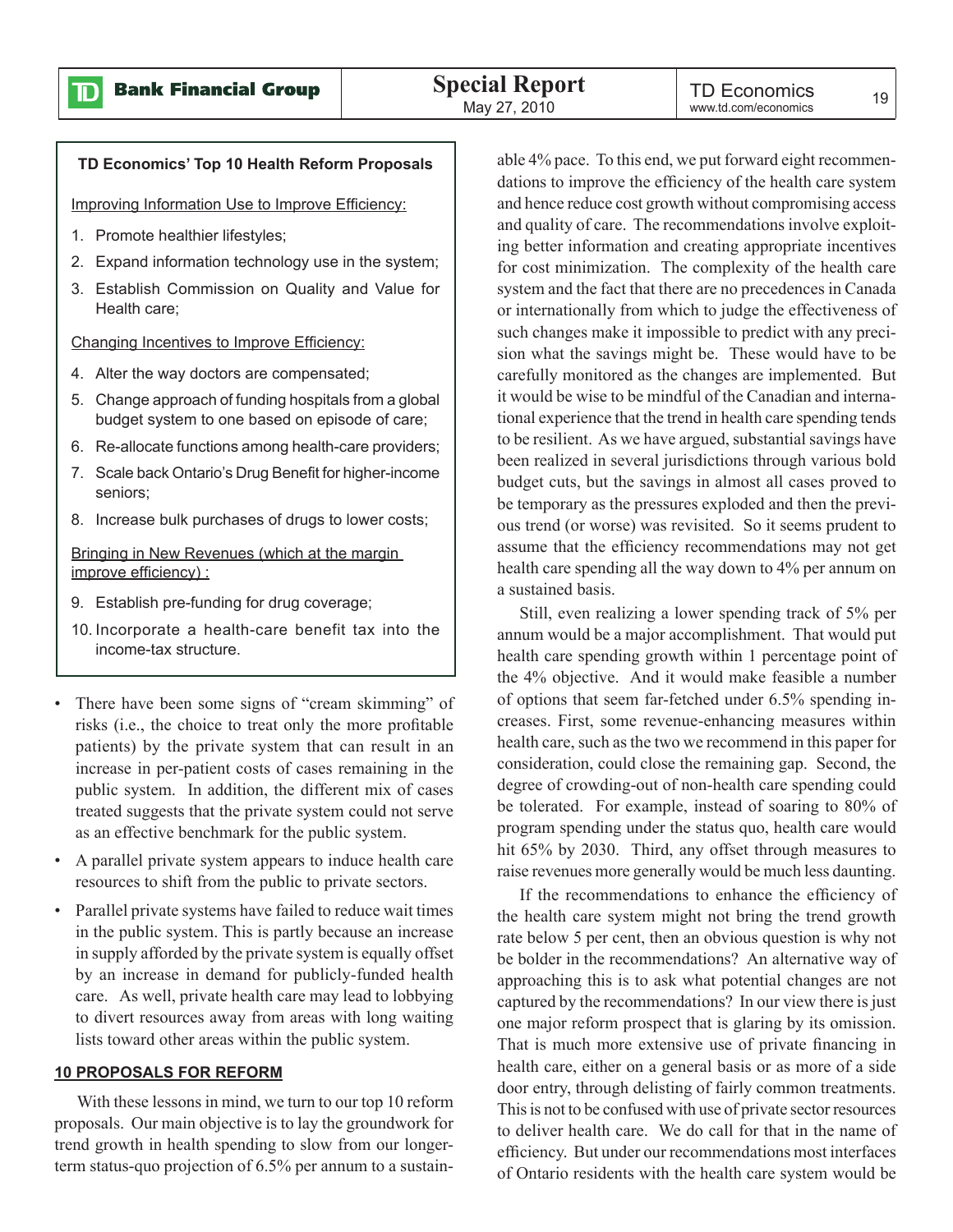$\mathbf D$ 

#### **TD Economics' Top 10 Health Reform Proposals**

Improving Information Use to Improve Efficiency:

- 1. Promote healthier lifestyles;
- 2. Expand information technology use in the system;
- 3. Establish Commission on Quality and Value for Health care;

Changing Incentives to Improve Efficiency:

- 4. Alter the way doctors are compensated;
- 5. Change approach of funding hospitals from a global budget system to one based on episode of care;
- 6. Re-allocate functions among health-care providers;
- 7. Scale back Ontario's Drug Benefit for higher-income seniors;
- 8. Increase bulk purchases of drugs to lower costs;

Bringing in New Revenues (which at the margin improve efficiency) :

- 9. Establish pre-funding for drug coverage;
- 10. Incorporate a health-care benefit tax into the income-tax structure.
- There have been some signs of "cream skimming" of risks (i.e., the choice to treat only the more profitable patients) by the private system that can result in an increase in per-patient costs of cases remaining in the public system. In addition, the different mix of cases treated suggests that the private system could not serve as an effective benchmark for the public system.
- A parallel private system appears to induce health care resources to shift from the public to private sectors.
- Parallel private systems have failed to reduce wait times in the public system. This is partly because an increase in supply afforded by the private system is equally offset by an increase in demand for publicly-funded health care. As well, private health care may lead to lobbying to divert resources away from areas with long waiting lists toward other areas within the public system.

#### **10 PROPOSALS FOR REFORM**

With these lessons in mind, we turn to our top 10 reform proposals. Our main objective is to lay the groundwork for trend growth in health spending to slow from our longerterm status-quo projection of 6.5% per annum to a sustain-

able 4% pace. To this end, we put forward eight recommendations to improve the efficiency of the health care system and hence reduce cost growth without compromising access and quality of care. The recommendations involve exploiting better information and creating appropriate incentives for cost minimization. The complexity of the health care system and the fact that there are no precedences in Canada or internationally from which to judge the effectiveness of such changes make it impossible to predict with any precision what the savings might be. These would have to be carefully monitored as the changes are implemented. But it would be wise to be mindful of the Canadian and international experience that the trend in health care spending tends to be resilient. As we have argued, substantial savings have been realized in several jurisdictions through various bold budget cuts, but the savings in almost all cases proved to be temporary as the pressures exploded and then the previous trend (or worse) was revisited. So it seems prudent to assume that the efficiency recommendations may not get health care spending all the way down to 4% per annum on a sustained basis.

Still, even realizing a lower spending track of 5% per annum would be a major accomplishment. That would put health care spending growth within 1 percentage point of the 4% objective. And it would make feasible a number of options that seem far-fetched under 6.5% spending increases. First, some revenue-enhancing measures within health care, such as the two we recommend in this paper for consideration, could close the remaining gap. Second, the degree of crowding-out of non-health care spending could be tolerated. For example, instead of soaring to 80% of program spending under the status quo, health care would hit 65% by 2030. Third, any offset through measures to raise revenues more generally would be much less daunting.

If the recommendations to enhance the efficiency of the health care system might not bring the trend growth rate below 5 per cent, then an obvious question is why not be bolder in the recommendations? An alternative way of approaching this is to ask what potential changes are not captured by the recommendations? In our view there is just one major reform prospect that is glaring by its omission. That is much more extensive use of private financing in health care, either on a general basis or as more of a side door entry, through delisting of fairly common treatments. This is not to be confused with use of private sector resources to deliver health care. We do call for that in the name of efficiency. But under our recommendations most interfaces of Ontario residents with the health care system would be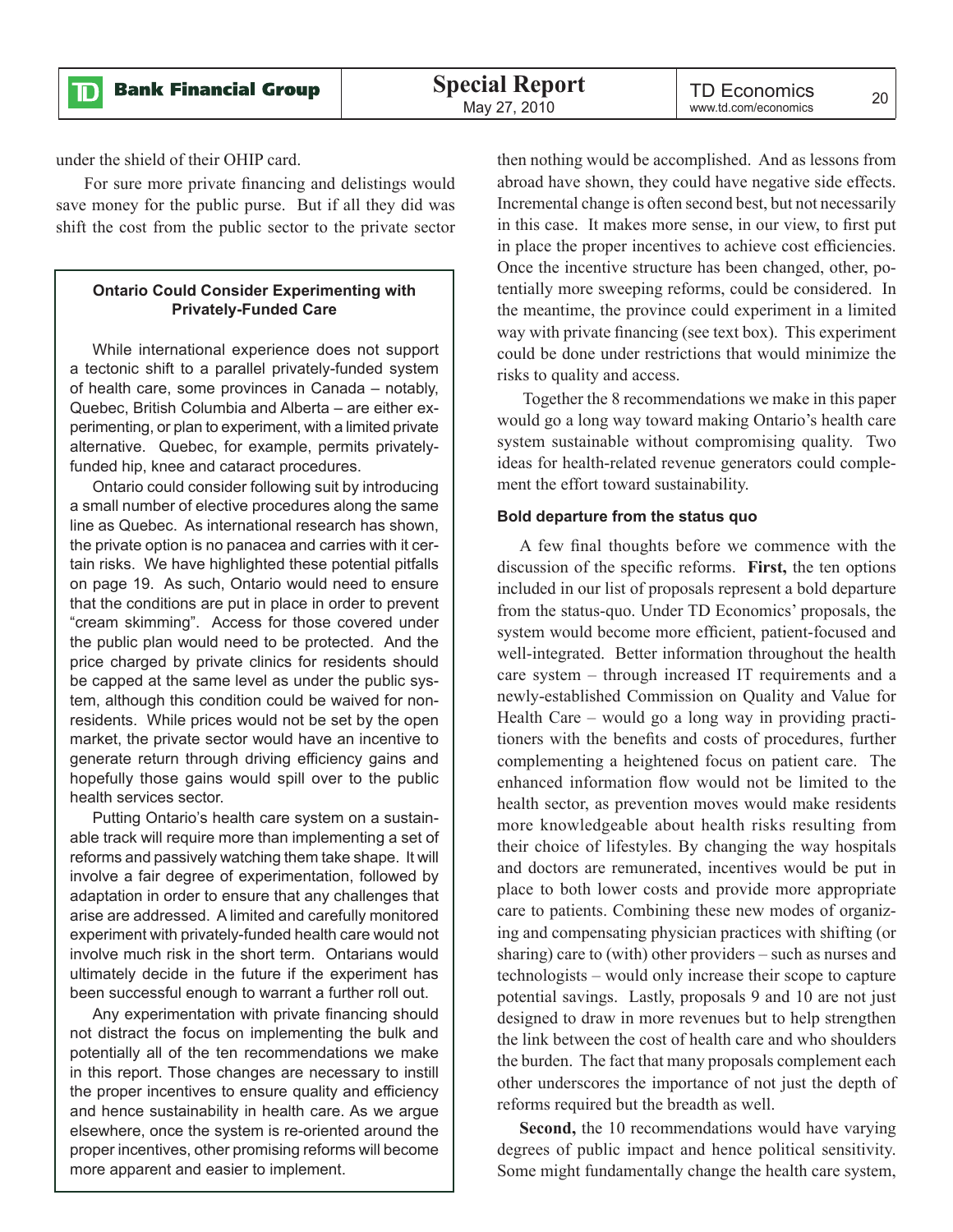**Bank Financial Group** 

under the shield of their OHIP card.

D

 For sure more private financing and delistings would save money for the public purse. But if all they did was shift the cost from the public sector to the private sector

#### **Ontario Could Consider Experimenting with Privately-Funded Care**

While international experience does not support a tectonic shift to a parallel privately-funded system of health care, some provinces in Canada – notably, Quebec, British Columbia and Alberta – are either experimenting, or plan to experiment, with a limited private alternative. Quebec, for example, permits privatelyfunded hip, knee and cataract procedures.

Ontario could consider following suit by introducing a small number of elective procedures along the same line as Quebec. As international research has shown, the private option is no panacea and carries with it certain risks. We have highlighted these potential pitfalls on page 19. As such, Ontario would need to ensure that the conditions are put in place in order to prevent "cream skimming". Access for those covered under the public plan would need to be protected. And the price charged by private clinics for residents should be capped at the same level as under the public system, although this condition could be waived for nonresidents. While prices would not be set by the open market, the private sector would have an incentive to generate return through driving efficiency gains and hopefully those gains would spill over to the public health services sector.

Putting Ontario's health care system on a sustainable track will require more than implementing a set of reforms and passively watching them take shape. It will involve a fair degree of experimentation, followed by adaptation in order to ensure that any challenges that arise are addressed. A limited and carefully monitored experiment with privately-funded health care would not involve much risk in the short term. Ontarians would ultimately decide in the future if the experiment has been successful enough to warrant a further roll out.

Any experimentation with private financing should not distract the focus on implementing the bulk and potentially all of the ten recommendations we make in this report. Those changes are necessary to instill the proper incentives to ensure quality and efficiency and hence sustainability in health care. As we argue elsewhere, once the system is re-oriented around the proper incentives, other promising reforms will become more apparent and easier to implement.

then nothing would be accomplished. And as lessons from abroad have shown, they could have negative side effects. Incremental change is often second best, but not necessarily in this case. It makes more sense, in our view, to first put in place the proper incentives to achieve cost efficiencies. Once the incentive structure has been changed, other, potentially more sweeping reforms, could be considered. In the meantime, the province could experiment in a limited way with private financing (see text box). This experiment could be done under restrictions that would minimize the risks to quality and access.

 Together the 8 recommendations we make in this paper would go a long way toward making Ontario's health care system sustainable without compromising quality. Two ideas for health-related revenue generators could complement the effort toward sustainability.

#### **Bold departure from the status quo**

A few final thoughts before we commence with the discussion of the specific reforms. **First,** the ten options included in our list of proposals represent a bold departure from the status-quo. Under TD Economics' proposals, the system would become more efficient, patient-focused and well-integrated. Better information throughout the health care system – through increased IT requirements and a newly-established Commission on Quality and Value for Health Care – would go a long way in providing practitioners with the benefits and costs of procedures, further complementing a heightened focus on patient care. The enhanced information flow would not be limited to the health sector, as prevention moves would make residents more knowledgeable about health risks resulting from their choice of lifestyles. By changing the way hospitals and doctors are remunerated, incentives would be put in place to both lower costs and provide more appropriate care to patients. Combining these new modes of organizing and compensating physician practices with shifting (or sharing) care to (with) other providers – such as nurses and technologists – would only increase their scope to capture potential savings. Lastly, proposals 9 and 10 are not just designed to draw in more revenues but to help strengthen the link between the cost of health care and who shoulders the burden. The fact that many proposals complement each other underscores the importance of not just the depth of reforms required but the breadth as well.

**Second,** the 10 recommendations would have varying degrees of public impact and hence political sensitivity. Some might fundamentally change the health care system,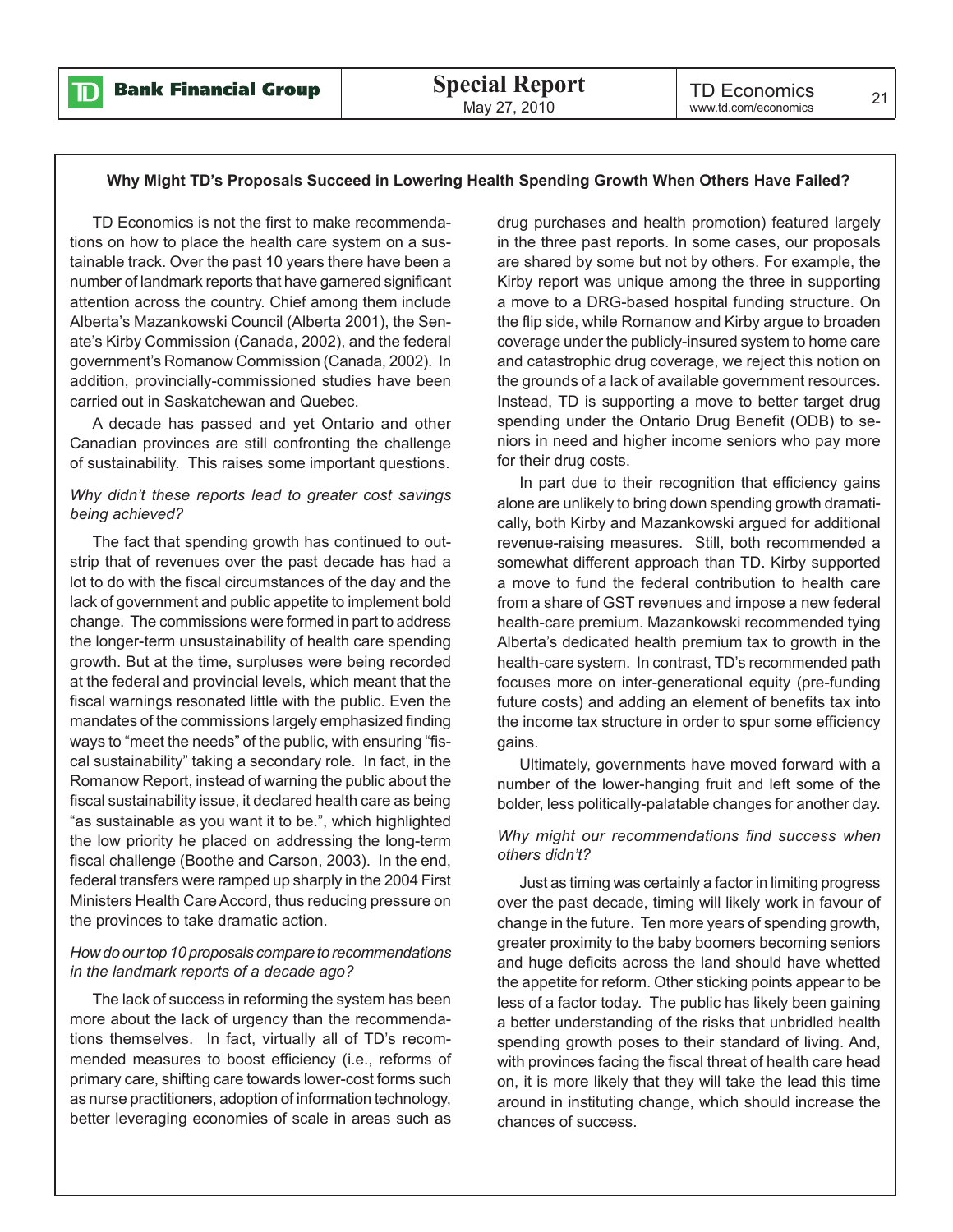![](_page_18_Picture_0.jpeg)

#### **Why Might TD's Proposals Succeed in Lowering Health Spending Growth When Others Have Failed?**

TD Economics is not the first to make recommendations on how to place the health care system on a sustainable track. Over the past 10 years there have been a number of landmark reports that have garnered significant attention across the country. Chief among them include Alberta's Mazankowski Council (Alberta 2001), the Senate's Kirby Commission (Canada, 2002), and the federal government's Romanow Commission (Canada, 2002). In addition, provincially-commissioned studies have been carried out in Saskatchewan and Quebec.

A decade has passed and yet Ontario and other Canadian provinces are still confronting the challenge of sustainability. This raises some important questions.

#### *Why didn't these reports lead to greater cost savings being achieved?*

The fact that spending growth has continued to outstrip that of revenues over the past decade has had a lot to do with the fiscal circumstances of the day and the lack of government and public appetite to implement bold change. The commissions were formed in part to address the longer-term unsustainability of health care spending growth. But at the time, surpluses were being recorded at the federal and provincial levels, which meant that the fiscal warnings resonated little with the public. Even the mandates of the commissions largely emphasized finding ways to "meet the needs" of the public, with ensuring "fiscal sustainability" taking a secondary role. In fact, in the Romanow Report, instead of warning the public about the fiscal sustainability issue, it declared health care as being "as sustainable as you want it to be.", which highlighted the low priority he placed on addressing the long-term fiscal challenge (Boothe and Carson, 2003). In the end, federal transfers were ramped up sharply in the 2004 First Ministers Health Care Accord, thus reducing pressure on the provinces to take dramatic action.

#### *How do our top 10 proposals compare to recommendations in the landmark reports of a decade ago?*

The lack of success in reforming the system has been more about the lack of urgency than the recommendations themselves. In fact, virtually all of TD's recommended measures to boost efficiency (i.e., reforms of primary care, shifting care towards lower-cost forms such as nurse practitioners, adoption of information technology, better leveraging economies of scale in areas such as

drug purchases and health promotion) featured largely in the three past reports. In some cases, our proposals are shared by some but not by others. For example, the Kirby report was unique among the three in supporting a move to a DRG-based hospital funding structure. On the flip side, while Romanow and Kirby argue to broaden coverage under the publicly-insured system to home care and catastrophic drug coverage, we reject this notion on the grounds of a lack of available government resources. Instead, TD is supporting a move to better target drug spending under the Ontario Drug Benefit (ODB) to seniors in need and higher income seniors who pay more for their drug costs.

In part due to their recognition that efficiency gains alone are unlikely to bring down spending growth dramatically, both Kirby and Mazankowski argued for additional revenue-raising measures. Still, both recommended a somewhat different approach than TD. Kirby supported a move to fund the federal contribution to health care from a share of GST revenues and impose a new federal health-care premium. Mazankowski recommended tying Alberta's dedicated health premium tax to growth in the health-care system. In contrast, TD's recommended path focuses more on inter-generational equity (pre-funding future costs) and adding an element of benefits tax into the income tax structure in order to spur some efficiency gains.

Ultimately, governments have moved forward with a number of the lower-hanging fruit and left some of the bolder, less politically-palatable changes for another day.

#### *Why might our recommendations find success when others didn't?*

Just as timing was certainly a factor in limiting progress over the past decade, timing will likely work in favour of change in the future. Ten more years of spending growth, greater proximity to the baby boomers becoming seniors and huge deficits across the land should have whetted the appetite for reform. Other sticking points appear to be less of a factor today. The public has likely been gaining a better understanding of the risks that unbridled health spending growth poses to their standard of living. And, with provinces facing the fiscal threat of health care head on, it is more likely that they will take the lead this time around in instituting change, which should increase the chances of success.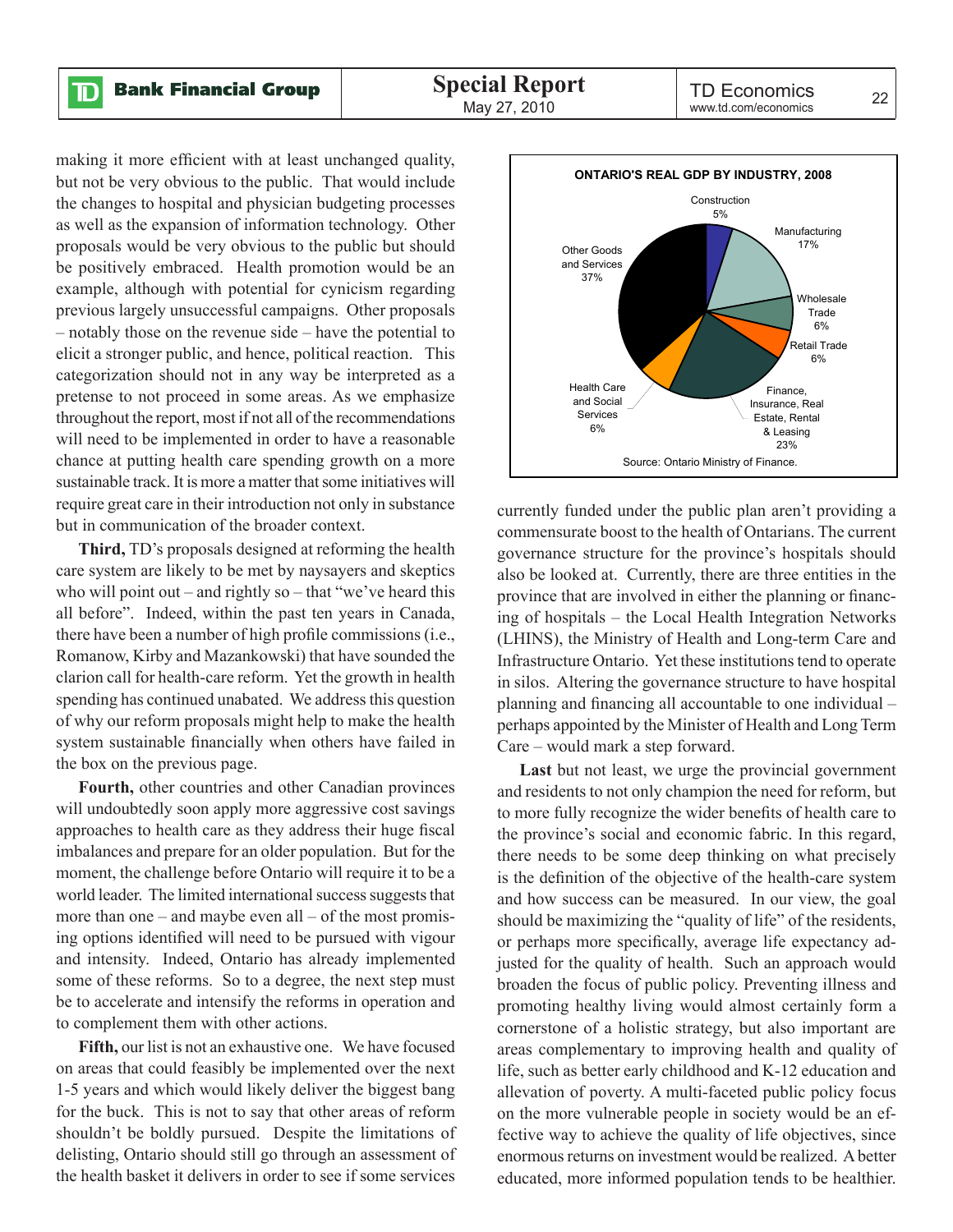making it more efficient with at least unchanged quality, but not be very obvious to the public. That would include the changes to hospital and physician budgeting processes as well as the expansion of information technology. Other proposals would be very obvious to the public but should be positively embraced. Health promotion would be an example, although with potential for cynicism regarding previous largely unsuccessful campaigns. Other proposals – notably those on the revenue side – have the potential to elicit a stronger public, and hence, political reaction. This categorization should not in any way be interpreted as a pretense to not proceed in some areas. As we emphasize throughout the report, most if not all of the recommendations will need to be implemented in order to have a reasonable chance at putting health care spending growth on a more sustainable track. It is more a matter that some initiatives will require great care in their introduction not only in substance but in communication of the broader context.

**Third,** TD's proposals designed at reforming the health care system are likely to be met by naysayers and skeptics who will point out – and rightly so – that "we've heard this all before". Indeed, within the past ten years in Canada, there have been a number of high profile commissions (i.e., Romanow, Kirby and Mazankowski) that have sounded the clarion call for health-care reform. Yet the growth in health spending has continued unabated. We address this question of why our reform proposals might help to make the health system sustainable financially when others have failed in the box on the previous page.

**Fourth,** other countries and other Canadian provinces will undoubtedly soon apply more aggressive cost savings approaches to health care as they address their huge fiscal imbalances and prepare for an older population. But for the moment, the challenge before Ontario will require it to be a world leader. The limited international success suggests that more than one – and maybe even all – of the most promising options identified will need to be pursued with vigour and intensity. Indeed, Ontario has already implemented some of these reforms. So to a degree, the next step must be to accelerate and intensify the reforms in operation and to complement them with other actions.

**Fifth,** our list is not an exhaustive one. We have focused on areas that could feasibly be implemented over the next 1-5 years and which would likely deliver the biggest bang for the buck. This is not to say that other areas of reform shouldn't be boldly pursued. Despite the limitations of delisting, Ontario should still go through an assessment of the health basket it delivers in order to see if some services

![](_page_19_Figure_7.jpeg)

currently funded under the public plan aren't providing a commensurate boost to the health of Ontarians. The current governance structure for the province's hospitals should also be looked at. Currently, there are three entities in the province that are involved in either the planning or financing of hospitals – the Local Health Integration Networks (LHINS), the Ministry of Health and Long-term Care and Infrastructure Ontario. Yet these institutions tend to operate in silos. Altering the governance structure to have hospital planning and financing all accountable to one individual – perhaps appointed by the Minister of Health and Long Term Care – would mark a step forward.

**Last** but not least, we urge the provincial government and residents to not only champion the need for reform, but to more fully recognize the wider benefits of health care to the province's social and economic fabric. In this regard, there needs to be some deep thinking on what precisely is the definition of the objective of the health-care system and how success can be measured. In our view, the goal should be maximizing the "quality of life" of the residents, or perhaps more specifically, average life expectancy adjusted for the quality of health. Such an approach would broaden the focus of public policy. Preventing illness and promoting healthy living would almost certainly form a cornerstone of a holistic strategy, but also important are areas complementary to improving health and quality of life, such as better early childhood and K-12 education and allevation of poverty. A multi-faceted public policy focus on the more vulnerable people in society would be an effective way to achieve the quality of life objectives, since enormous returns on investment would be realized. A better educated, more informed population tends to be healthier.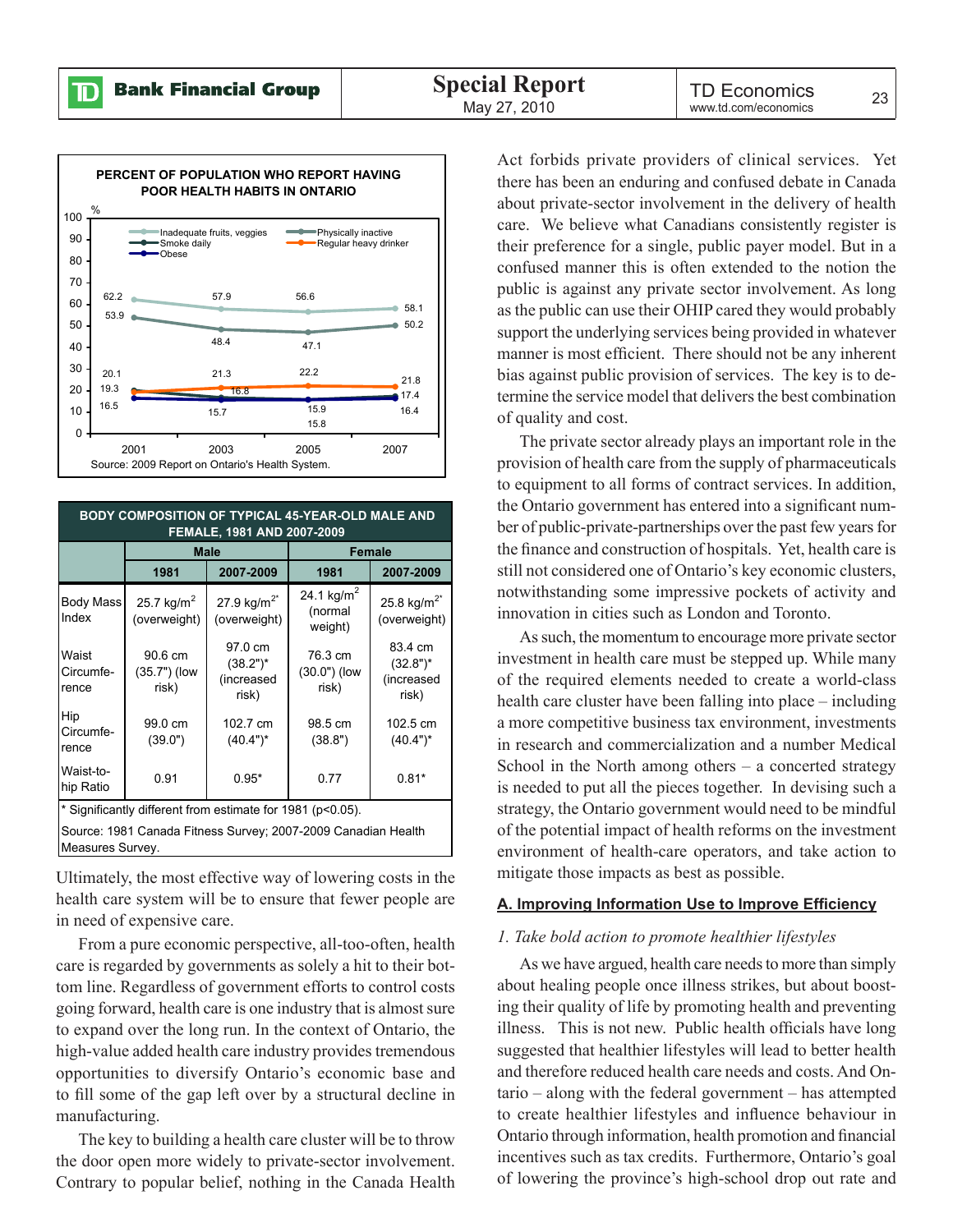![](_page_20_Figure_3.jpeg)

| <b>BODY COMPOSITION OF TYPICAL 45-YEAR-OLD MALE AND</b><br>FEMALE, 1981 AND 2007-2009 |                                        |                                               |                                              |                                               |  |  |
|---------------------------------------------------------------------------------------|----------------------------------------|-----------------------------------------------|----------------------------------------------|-----------------------------------------------|--|--|
|                                                                                       |                                        | <b>Male</b>                                   | <b>Female</b>                                |                                               |  |  |
|                                                                                       | 1981                                   | 2007-2009                                     | 1981                                         | 2007-2009                                     |  |  |
| <b>Body Mass</b><br>Index                                                             | 25.7 kg/m <sup>2</sup><br>(overweight) | 27.9 $kg/m^{2*}$<br>(overweight)              | 24.1 kg/m <sup>2</sup><br>(normal<br>weight) | 25.8 kg/m <sup>2*</sup><br>(overweight)       |  |  |
| Waist<br>Circumfe-<br>rence                                                           | 90.6 cm<br>(35.7") (low<br>risk)       | 97.0 cm<br>$(38.2")^*$<br>(increased<br>risk) | 76.3 cm<br>$(30.0")$ (low<br>risk)           | 83.4 cm<br>$(32.8")^*$<br>(increased<br>risk) |  |  |
| Hip<br>Circumfe-<br>rence                                                             | 99.0 cm<br>(39.0")                     | 102.7 cm<br>$(40.4")^*$                       | 98.5 cm<br>(38.8")                           | 102.5 cm<br>$(40.4")^*$                       |  |  |
| Waist-to-<br>hip Ratio                                                                | 0.91                                   | $0.95*$                                       | 0.77                                         | $0.81*$                                       |  |  |
| * Significantly different from estimate for 1981 (p<0.05).                            |                                        |                                               |                                              |                                               |  |  |
| Source: 1981 Canada Fitness Survey; 2007-2009 Canadian Health<br>Measures Survey.     |                                        |                                               |                                              |                                               |  |  |

Ultimately, the most effective way of lowering costs in the health care system will be to ensure that fewer people are in need of expensive care.

From a pure economic perspective, all-too-often, health care is regarded by governments as solely a hit to their bottom line. Regardless of government efforts to control costs going forward, health care is one industry that is almost sure to expand over the long run. In the context of Ontario, the high-value added health care industry provides tremendous opportunities to diversify Ontario's economic base and to fill some of the gap left over by a structural decline in manufacturing.

The key to building a health care cluster will be to throw the door open more widely to private-sector involvement. Contrary to popular belief, nothing in the Canada Health

Act forbids private providers of clinical services. Yet there has been an enduring and confused debate in Canada about private-sector involvement in the delivery of health care. We believe what Canadians consistently register is their preference for a single, public payer model. But in a confused manner this is often extended to the notion the public is against any private sector involvement. As long as the public can use their OHIP cared they would probably support the underlying services being provided in whatever manner is most efficient. There should not be any inherent bias against public provision of services. The key is to determine the service model that delivers the best combination of quality and cost.

The private sector already plays an important role in the provision of health care from the supply of pharmaceuticals to equipment to all forms of contract services. In addition, the Ontario government has entered into a significant number of public-private-partnerships over the past few years for the finance and construction of hospitals. Yet, health care is still not considered one of Ontario's key economic clusters, notwithstanding some impressive pockets of activity and innovation in cities such as London and Toronto.

As such, the momentum to encourage more private sector investment in health care must be stepped up. While many of the required elements needed to create a world-class health care cluster have been falling into place – including a more competitive business tax environment, investments in research and commercialization and a number Medical School in the North among others  $-$  a concerted strategy is needed to put all the pieces together. In devising such a strategy, the Ontario government would need to be mindful of the potential impact of health reforms on the investment environment of health-care operators, and take action to mitigate those impacts as best as possible.

#### **A. Improving Information Use to Improve Efficiency**

#### *1. Take bold action to promote healthier lifestyles*

As we have argued, health care needs to more than simply about healing people once illness strikes, but about boosting their quality of life by promoting health and preventing illness. This is not new. Public health officials have long suggested that healthier lifestyles will lead to better health and therefore reduced health care needs and costs. And Ontario – along with the federal government – has attempted to create healthier lifestyles and influence behaviour in Ontario through information, health promotion and financial incentives such as tax credits. Furthermore, Ontario's goal of lowering the province's high-school drop out rate and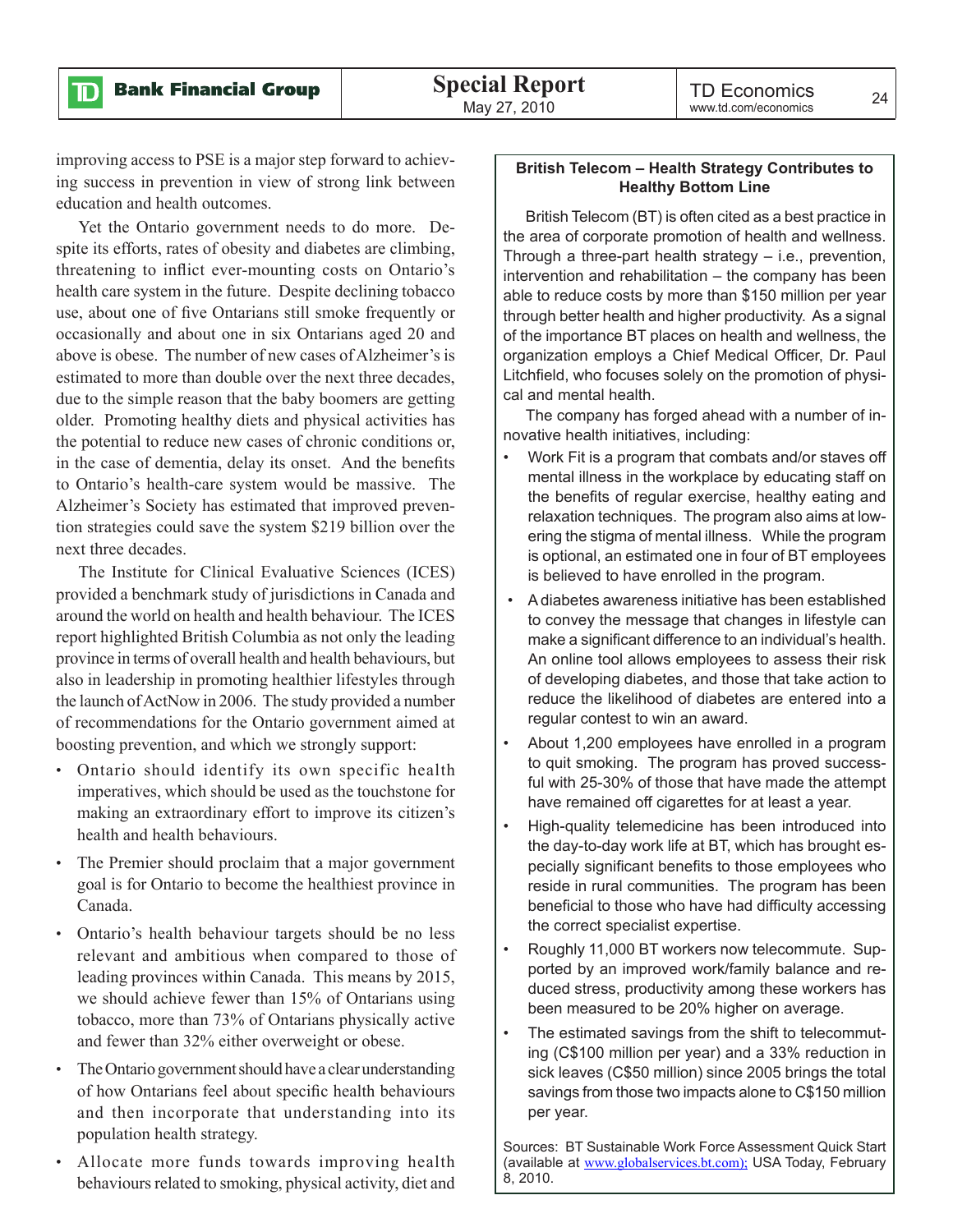$\mathbf{D}$ 

improving access to PSE is a major step forward to achieving success in prevention in view of strong link between education and health outcomes.

Yet the Ontario government needs to do more. Despite its efforts, rates of obesity and diabetes are climbing, threatening to inflict ever-mounting costs on Ontario's health care system in the future. Despite declining tobacco use, about one of five Ontarians still smoke frequently or occasionally and about one in six Ontarians aged 20 and above is obese. The number of new cases of Alzheimer's is estimated to more than double over the next three decades, due to the simple reason that the baby boomers are getting older. Promoting healthy diets and physical activities has the potential to reduce new cases of chronic conditions or, in the case of dementia, delay its onset. And the benefits to Ontario's health-care system would be massive. The Alzheimer's Society has estimated that improved prevention strategies could save the system \$219 billion over the next three decades.

The Institute for Clinical Evaluative Sciences (ICES) provided a benchmark study of jurisdictions in Canada and around the world on health and health behaviour. The ICES report highlighted British Columbia as not only the leading province in terms of overall health and health behaviours, but also in leadership in promoting healthier lifestyles through the launch of ActNow in 2006. The study provided a number of recommendations for the Ontario government aimed at boosting prevention, and which we strongly support:

- Ontario should identify its own specific health imperatives, which should be used as the touchstone for making an extraordinary effort to improve its citizen's health and health behaviours.
- The Premier should proclaim that a major government goal is for Ontario to become the healthiest province in Canada.
- Ontario's health behaviour targets should be no less relevant and ambitious when compared to those of leading provinces within Canada. This means by 2015, we should achieve fewer than 15% of Ontarians using tobacco, more than 73% of Ontarians physically active and fewer than 32% either overweight or obese.
- The Ontario government should have a clear understanding of how Ontarians feel about specific health behaviours and then incorporate that understanding into its population health strategy.
- Allocate more funds towards improving health behaviours related to smoking, physical activity, diet and

#### **British Telecom – Health Strategy Contributes to Healthy Bottom Line**

British Telecom (BT) is often cited as a best practice in the area of corporate promotion of health and wellness. Through a three-part health strategy – i.e., prevention, intervention and rehabilitation – the company has been able to reduce costs by more than \$150 million per year through better health and higher productivity. As a signal of the importance BT places on health and wellness, the organization employs a Chief Medical Officer, Dr. Paul Litchfield, who focuses solely on the promotion of physical and mental health.

The company has forged ahead with a number of innovative health initiatives, including:

- Work Fit is a program that combats and/or staves off mental illness in the workplace by educating staff on the benefits of regular exercise, healthy eating and relaxation techniques. The program also aims at lowering the stigma of mental illness. While the program is optional, an estimated one in four of BT employees is believed to have enrolled in the program.
- A diabetes awareness initiative has been established to convey the message that changes in lifestyle can make a significant difference to an individual's health. An online tool allows employees to assess their risk of developing diabetes, and those that take action to reduce the likelihood of diabetes are entered into a regular contest to win an award.
- About 1,200 employees have enrolled in a program to quit smoking. The program has proved successful with 25-30% of those that have made the attempt have remained off cigarettes for at least a year.
- High-quality telemedicine has been introduced into the day-to-day work life at BT, which has brought especially significant benefits to those employees who reside in rural communities. The program has been beneficial to those who have had difficulty accessing the correct specialist expertise.
- Roughly 11,000 BT workers now telecommute. Supported by an improved work/family balance and reduced stress, productivity among these workers has been measured to be 20% higher on average.
- The estimated savings from the shift to telecommuting (C\$100 million per year) and a 33% reduction in sick leaves (C\$50 million) since 2005 brings the total savings from those two impacts alone to C\$150 million per year.

Sources: BT Sustainable Work Force Assessment Quick Start (available at ww[w.globalservices.bt.com\);](http://www.globalservices.bt.com) USA Today, February 8, 2010.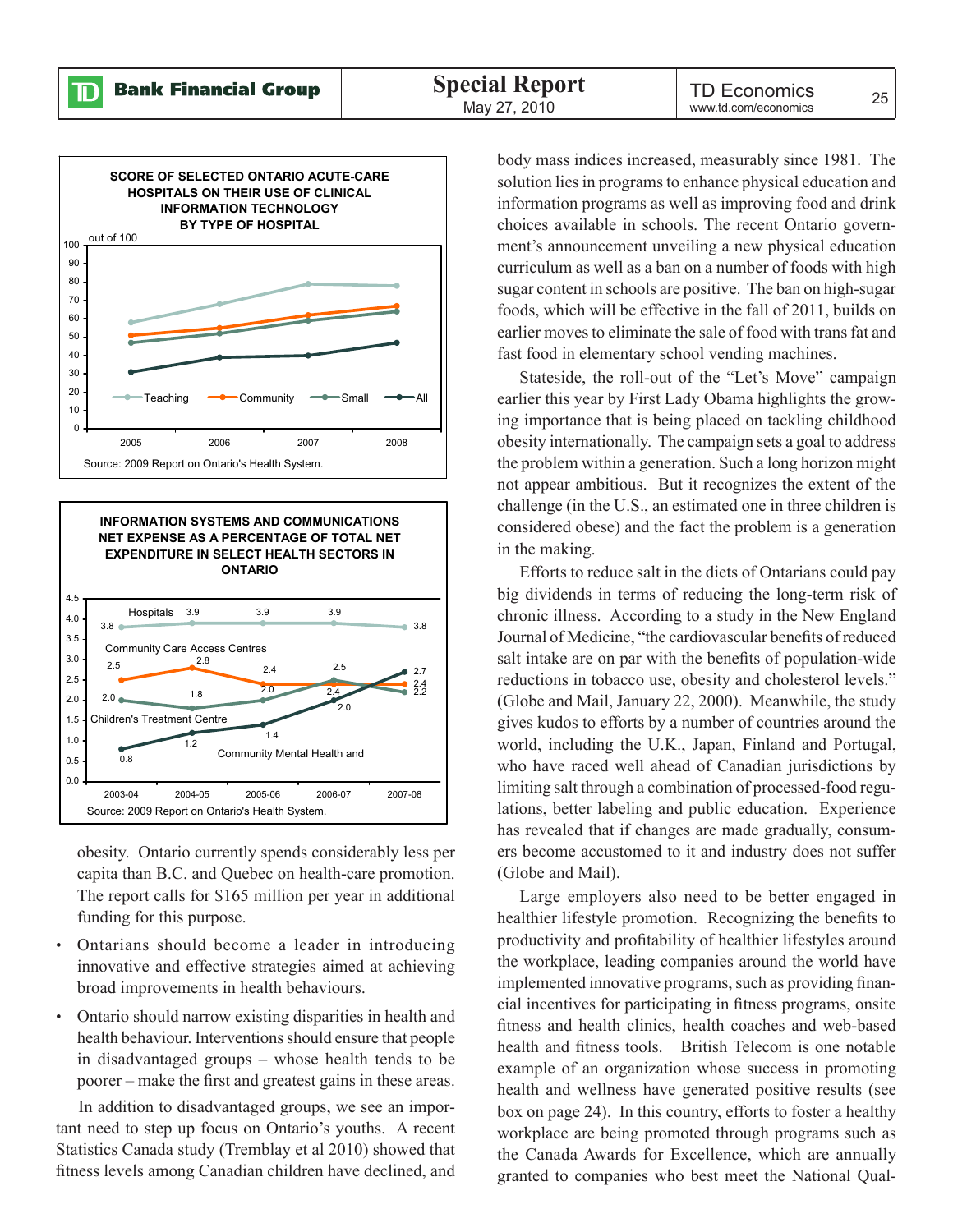![](_page_22_Figure_3.jpeg)

![](_page_22_Figure_4.jpeg)

obesity. Ontario currently spends considerably less per capita than B.C. and Quebec on health-care promotion. The report calls for \$165 million per year in additional funding for this purpose.

- Ontarians should become a leader in introducing innovative and effective strategies aimed at achieving broad improvements in health behaviours.
- Ontario should narrow existing disparities in health and health behaviour. Interventions should ensure that people in disadvantaged groups – whose health tends to be poorer – make the first and greatest gains in these areas.

In addition to disadvantaged groups, we see an important need to step up focus on Ontario's youths. A recent Statistics Canada study (Tremblay et al 2010) showed that fitness levels among Canadian children have declined, and

body mass indices increased, measurably since 1981. The solution lies in programs to enhance physical education and information programs as well as improving food and drink choices available in schools. The recent Ontario government's announcement unveiling a new physical education curriculum as well as a ban on a number of foods with high sugar content in schools are positive. The ban on high-sugar foods, which will be effective in the fall of 2011, builds on earlier moves to eliminate the sale of food with trans fat and fast food in elementary school vending machines.

Stateside, the roll-out of the "Let's Move" campaign earlier this year by First Lady Obama highlights the growing importance that is being placed on tackling childhood obesity internationally. The campaign sets a goal to address the problem within a generation. Such a long horizon might not appear ambitious. But it recognizes the extent of the challenge (in the U.S., an estimated one in three children is considered obese) and the fact the problem is a generation in the making.

Efforts to reduce salt in the diets of Ontarians could pay big dividends in terms of reducing the long-term risk of chronic illness. According to a study in the New England Journal of Medicine, "the cardiovascular benefits of reduced salt intake are on par with the benefits of population-wide reductions in tobacco use, obesity and cholesterol levels." (Globe and Mail, January 22, 2000). Meanwhile, the study gives kudos to efforts by a number of countries around the world, including the U.K., Japan, Finland and Portugal, who have raced well ahead of Canadian jurisdictions by limiting salt through a combination of processed-food regulations, better labeling and public education. Experience has revealed that if changes are made gradually, consumers become accustomed to it and industry does not suffer (Globe and Mail).

Large employers also need to be better engaged in healthier lifestyle promotion. Recognizing the benefits to productivity and profitability of healthier lifestyles around the workplace, leading companies around the world have implemented innovative programs, such as providing financial incentives for participating in fitness programs, onsite fitness and health clinics, health coaches and web-based health and fitness tools. British Telecom is one notable example of an organization whose success in promoting health and wellness have generated positive results (see box on page 24). In this country, efforts to foster a healthy workplace are being promoted through programs such as the Canada Awards for Excellence, which are annually granted to companies who best meet the National Qual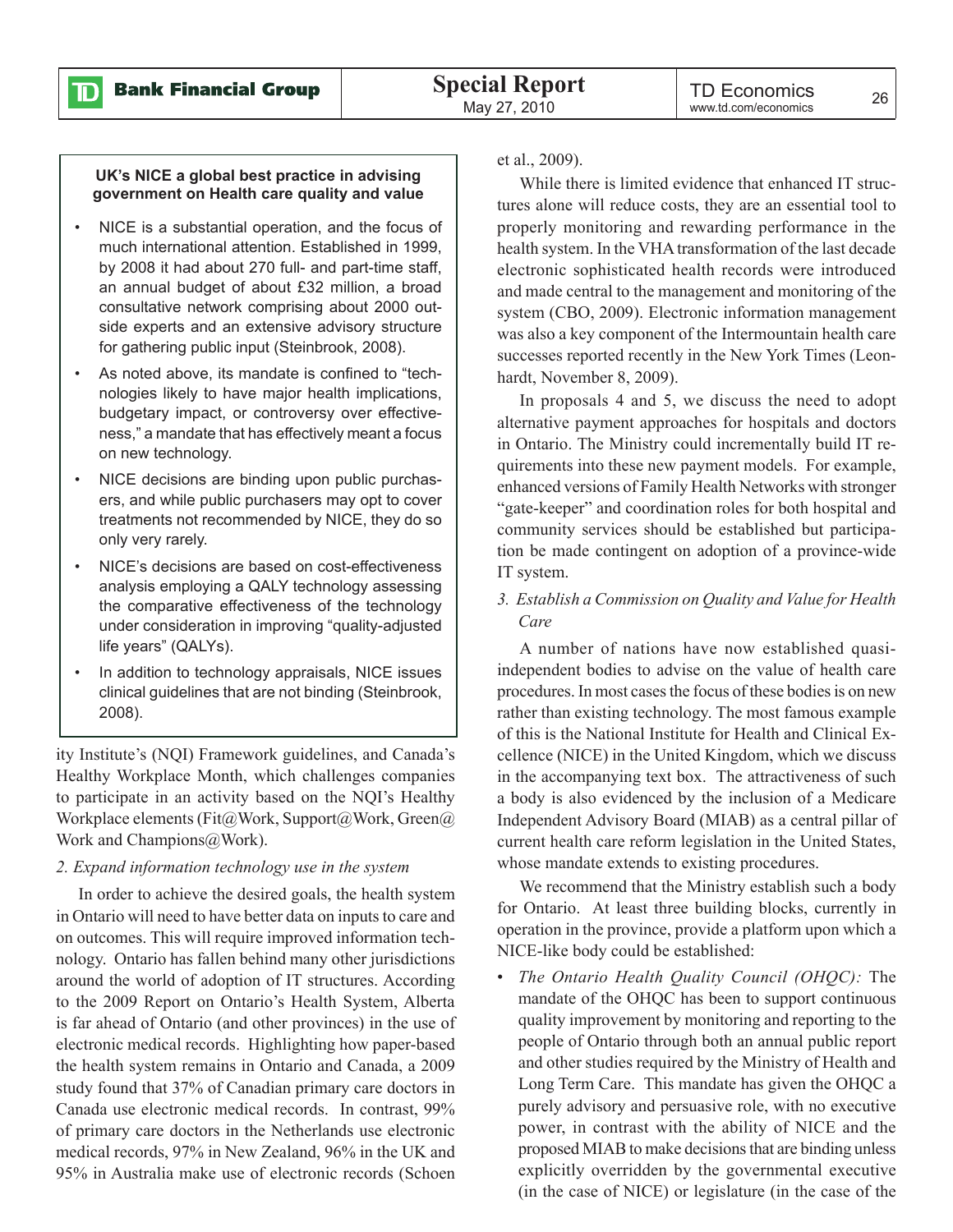D

#### **UK's NICE a global best practice in advising government on Health care quality and value**

- NICE is a substantial operation, and the focus of much international attention. Established in 1999, by 2008 it had about 270 full- and part-time staff, an annual budget of about £32 million, a broad consultative network comprising about 2000 outside experts and an extensive advisory structure for gathering public input (Steinbrook, 2008).
- As noted above, its mandate is confined to "technologies likely to have major health implications, budgetary impact, or controversy over effectiveness," a mandate that has effectively meant a focus on new technology.
- NICE decisions are binding upon public purchasers, and while public purchasers may opt to cover treatments not recommended by NICE, they do so only very rarely.
- NICE's decisions are based on cost-effectiveness analysis employing a QALY technology assessing the comparative effectiveness of the technology under consideration in improving "quality-adjusted life years" (QALYs).
- In addition to technology appraisals, NICE issues clinical guidelines that are not binding (Steinbrook, 2008).

ity Institute's (NQI) Framework guidelines, and Canada's Healthy Workplace Month, which challenges companies to participate in an activity based on the NQI's Healthy Workplace elements (Fit@Work, Support@Work, Green@ Work and Champions@Work).

#### *2. Expand information technology use in the system*

In order to achieve the desired goals, the health system in Ontario will need to have better data on inputs to care and on outcomes. This will require improved information technology. Ontario has fallen behind many other jurisdictions around the world of adoption of IT structures. According to the 2009 Report on Ontario's Health System, Alberta is far ahead of Ontario (and other provinces) in the use of electronic medical records. Highlighting how paper-based the health system remains in Ontario and Canada, a 2009 study found that 37% of Canadian primary care doctors in Canada use electronic medical records. In contrast, 99% of primary care doctors in the Netherlands use electronic medical records, 97% in New Zealand, 96% in the UK and 95% in Australia make use of electronic records (Schoen

et al., 2009).

While there is limited evidence that enhanced IT structures alone will reduce costs, they are an essential tool to properly monitoring and rewarding performance in the health system. In the VHA transformation of the last decade electronic sophisticated health records were introduced and made central to the management and monitoring of the system (CBO, 2009). Electronic information management was also a key component of the Intermountain health care successes reported recently in the New York Times (Leonhardt, November 8, 2009).

In proposals 4 and 5, we discuss the need to adopt alternative payment approaches for hospitals and doctors in Ontario. The Ministry could incrementally build IT requirements into these new payment models. For example, enhanced versions of Family Health Networks with stronger "gate-keeper" and coordination roles for both hospital and community services should be established but participation be made contingent on adoption of a province-wide IT system.

*3. Establish a Commission on Quality and Value for Health Care*

A number of nations have now established quasiindependent bodies to advise on the value of health care procedures. In most cases the focus of these bodies is on new rather than existing technology. The most famous example of this is the National Institute for Health and Clinical Excellence (NICE) in the United Kingdom, which we discuss in the accompanying text box. The attractiveness of such a body is also evidenced by the inclusion of a Medicare Independent Advisory Board (MIAB) as a central pillar of current health care reform legislation in the United States, whose mandate extends to existing procedures.

We recommend that the Ministry establish such a body for Ontario. At least three building blocks, currently in operation in the province, provide a platform upon which a NICE-like body could be established:

• *The Ontario Health Quality Council (OHQC):* The mandate of the OHQC has been to support continuous quality improvement by monitoring and reporting to the people of Ontario through both an annual public report and other studies required by the Ministry of Health and Long Term Care. This mandate has given the OHQC a purely advisory and persuasive role, with no executive power, in contrast with the ability of NICE and the proposed MIAB to make decisions that are binding unless explicitly overridden by the governmental executive (in the case of NICE) or legislature (in the case of the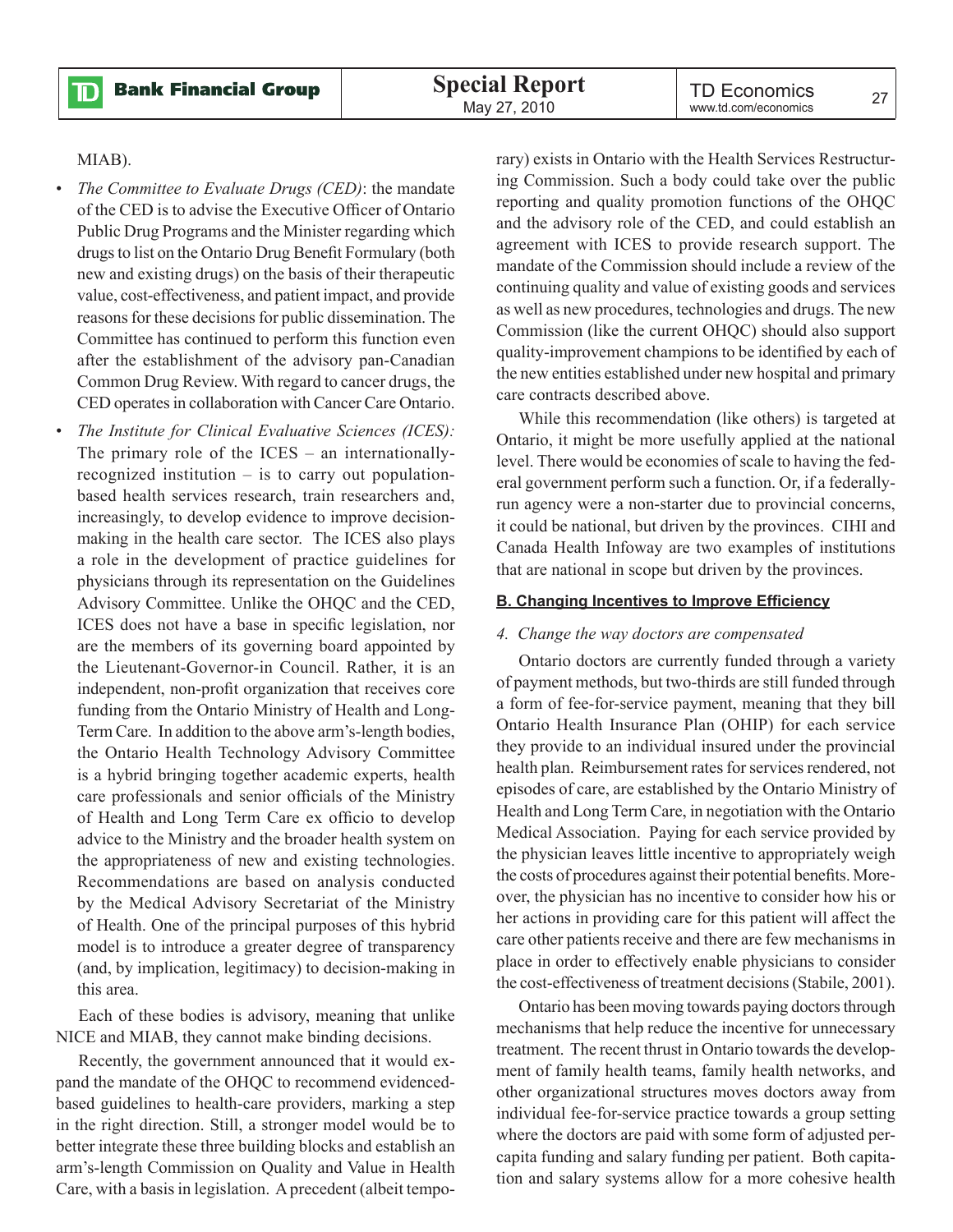**Bank Financial Group** 

TD Economics TD ECONOMICS 27<br>www.td.com/economics 27

#### MIAB).

 $\mathbf D$ 

- *The Committee to Evaluate Drugs (CED)*: the mandate of the CED is to advise the Executive Officer of Ontario Public Drug Programs and the Minister regarding which drugs to list on the Ontario Drug Benefit Formulary (both new and existing drugs) on the basis of their therapeutic value, cost-effectiveness, and patient impact, and provide reasons for these decisions for public dissemination. The Committee has continued to perform this function even after the establishment of the advisory pan-Canadian Common Drug Review. With regard to cancer drugs, the CED operates in collaboration with Cancer Care Ontario.
- *The Institute for Clinical Evaluative Sciences (ICES):* The primary role of the ICES – an internationallyrecognized institution – is to carry out populationbased health services research, train researchers and, increasingly, to develop evidence to improve decisionmaking in the health care sector. The ICES also plays a role in the development of practice guidelines for physicians through its representation on the Guidelines Advisory Committee. Unlike the OHQC and the CED, ICES does not have a base in specific legislation, nor are the members of its governing board appointed by the Lieutenant-Governor-in Council. Rather, it is an independent, non-profit organization that receives core funding from the Ontario Ministry of Health and Long-Term Care. In addition to the above arm's-length bodies, the Ontario Health Technology Advisory Committee is a hybrid bringing together academic experts, health care professionals and senior officials of the Ministry of Health and Long Term Care ex officio to develop advice to the Ministry and the broader health system on the appropriateness of new and existing technologies. Recommendations are based on analysis conducted by the Medical Advisory Secretariat of the Ministry of Health. One of the principal purposes of this hybrid model is to introduce a greater degree of transparency (and, by implication, legitimacy) to decision-making in this area.

Each of these bodies is advisory, meaning that unlike NICE and MIAB, they cannot make binding decisions.

Recently, the government announced that it would expand the mandate of the OHQC to recommend evidencedbased guidelines to health-care providers, marking a step in the right direction. Still, a stronger model would be to better integrate these three building blocks and establish an arm's-length Commission on Quality and Value in Health Care, with a basis in legislation. A precedent (albeit temporary) exists in Ontario with the Health Services Restructuring Commission. Such a body could take over the public reporting and quality promotion functions of the OHQC and the advisory role of the CED, and could establish an agreement with ICES to provide research support. The mandate of the Commission should include a review of the continuing quality and value of existing goods and services as well as new procedures, technologies and drugs. The new Commission (like the current OHQC) should also support quality-improvement champions to be identified by each of the new entities established under new hospital and primary care contracts described above.

While this recommendation (like others) is targeted at Ontario, it might be more usefully applied at the national level. There would be economies of scale to having the federal government perform such a function. Or, if a federallyrun agency were a non-starter due to provincial concerns, it could be national, but driven by the provinces. CIHI and Canada Health Infoway are two examples of institutions that are national in scope but driven by the provinces.

#### **B. Changing Incentives to Improve Efficiency**

#### *4. Change the way doctors are compensated*

Ontario doctors are currently funded through a variety of payment methods, but two-thirds are still funded through a form of fee-for-service payment, meaning that they bill Ontario Health Insurance Plan (OHIP) for each service they provide to an individual insured under the provincial health plan. Reimbursement rates for services rendered, not episodes of care, are established by the Ontario Ministry of Health and Long Term Care, in negotiation with the Ontario Medical Association. Paying for each service provided by the physician leaves little incentive to appropriately weigh the costs of procedures against their potential benefits. Moreover, the physician has no incentive to consider how his or her actions in providing care for this patient will affect the care other patients receive and there are few mechanisms in place in order to effectively enable physicians to consider the cost-effectiveness of treatment decisions (Stabile, 2001).

Ontario has been moving towards paying doctors through mechanisms that help reduce the incentive for unnecessary treatment. The recent thrust in Ontario towards the development of family health teams, family health networks, and other organizational structures moves doctors away from individual fee-for-service practice towards a group setting where the doctors are paid with some form of adjusted percapita funding and salary funding per patient. Both capitation and salary systems allow for a more cohesive health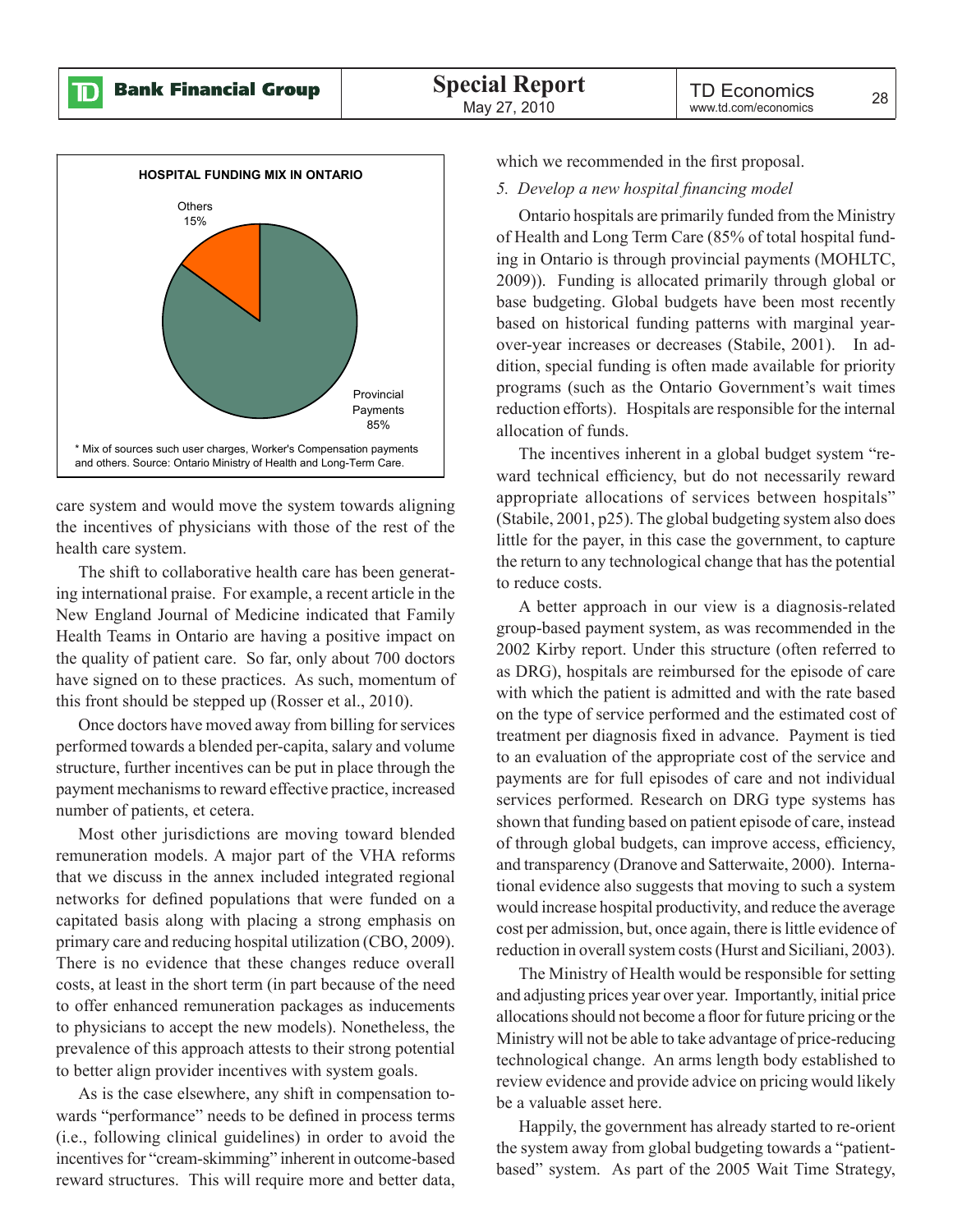![](_page_25_Figure_3.jpeg)

care system and would move the system towards aligning the incentives of physicians with those of the rest of the health care system.

The shift to collaborative health care has been generating international praise. For example, a recent article in the New England Journal of Medicine indicated that Family Health Teams in Ontario are having a positive impact on the quality of patient care. So far, only about 700 doctors have signed on to these practices. As such, momentum of this front should be stepped up (Rosser et al., 2010).

Once doctors have moved away from billing for services performed towards a blended per-capita, salary and volume structure, further incentives can be put in place through the payment mechanisms to reward effective practice, increased number of patients, et cetera.

Most other jurisdictions are moving toward blended remuneration models. A major part of the VHA reforms that we discuss in the annex included integrated regional networks for defined populations that were funded on a capitated basis along with placing a strong emphasis on primary care and reducing hospital utilization (CBO, 2009). There is no evidence that these changes reduce overall costs, at least in the short term (in part because of the need to offer enhanced remuneration packages as inducements to physicians to accept the new models). Nonetheless, the prevalence of this approach attests to their strong potential to better align provider incentives with system goals.

As is the case elsewhere, any shift in compensation towards "performance" needs to be defined in process terms (i.e., following clinical guidelines) in order to avoid the incentives for "cream-skimming" inherent in outcome-based reward structures. This will require more and better data,

which we recommended in the first proposal.

#### *5. Develop a new hospital financing model*

Ontario hospitals are primarily funded from the Ministry of Health and Long Term Care (85% of total hospital funding in Ontario is through provincial payments (MOHLTC, 2009)). Funding is allocated primarily through global or base budgeting. Global budgets have been most recently based on historical funding patterns with marginal yearover-year increases or decreases (Stabile, 2001). In addition, special funding is often made available for priority programs (such as the Ontario Government's wait times reduction efforts). Hospitals are responsible for the internal allocation of funds.

The incentives inherent in a global budget system "reward technical efficiency, but do not necessarily reward appropriate allocations of services between hospitals" (Stabile, 2001, p25). The global budgeting system also does little for the payer, in this case the government, to capture the return to any technological change that has the potential to reduce costs.

A better approach in our view is a diagnosis-related group-based payment system, as was recommended in the 2002 Kirby report. Under this structure (often referred to as DRG), hospitals are reimbursed for the episode of care with which the patient is admitted and with the rate based on the type of service performed and the estimated cost of treatment per diagnosis fixed in advance. Payment is tied to an evaluation of the appropriate cost of the service and payments are for full episodes of care and not individual services performed. Research on DRG type systems has shown that funding based on patient episode of care, instead of through global budgets, can improve access, efficiency, and transparency (Dranove and Satterwaite, 2000). International evidence also suggests that moving to such a system would increase hospital productivity, and reduce the average cost per admission, but, once again, there is little evidence of reduction in overall system costs (Hurst and Siciliani, 2003).

The Ministry of Health would be responsible for setting and adjusting prices year over year. Importantly, initial price allocations should not become a floor for future pricing or the Ministry will not be able to take advantage of price-reducing technological change. An arms length body established to review evidence and provide advice on pricing would likely be a valuable asset here.

Happily, the government has already started to re-orient the system away from global budgeting towards a "patientbased" system. As part of the 2005 Wait Time Strategy,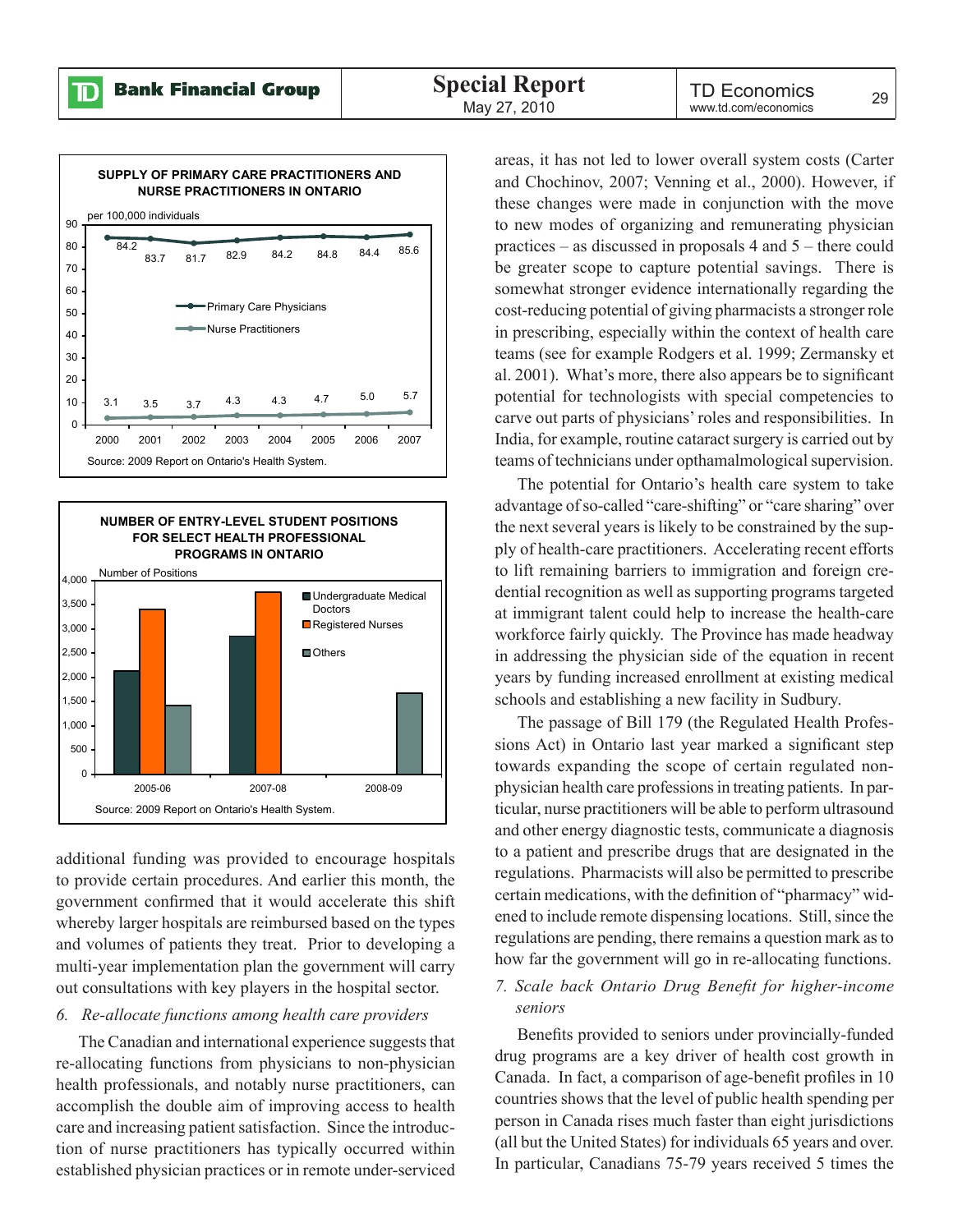$\mathbb D$ 

![](_page_26_Figure_3.jpeg)

![](_page_26_Figure_4.jpeg)

additional funding was provided to encourage hospitals to provide certain procedures. And earlier this month, the government confirmed that it would accelerate this shift whereby larger hospitals are reimbursed based on the types and volumes of patients they treat. Prior to developing a multi-year implementation plan the government will carry out consultations with key players in the hospital sector.

#### *6. Re-allocate functions among health care providers*

The Canadian and international experience suggests that re-allocating functions from physicians to non-physician health professionals, and notably nurse practitioners, can accomplish the double aim of improving access to health care and increasing patient satisfaction. Since the introduction of nurse practitioners has typically occurred within established physician practices or in remote under-serviced areas, it has not led to lower overall system costs (Carter and Chochinov, 2007; Venning et al., 2000). However, if these changes were made in conjunction with the move to new modes of organizing and remunerating physician practices – as discussed in proposals 4 and 5 – there could be greater scope to capture potential savings. There is somewhat stronger evidence internationally regarding the cost-reducing potential of giving pharmacists a stronger role in prescribing, especially within the context of health care teams (see for example Rodgers et al. 1999; Zermansky et al. 2001). What's more, there also appears be to significant potential for technologists with special competencies to carve out parts of physicians' roles and responsibilities. In India, for example, routine cataract surgery is carried out by teams of technicians under opthamalmological supervision.

The potential for Ontario's health care system to take advantage of so-called "care-shifting" or "care sharing" over the next several years is likely to be constrained by the supply of health-care practitioners. Accelerating recent efforts to lift remaining barriers to immigration and foreign credential recognition as well as supporting programs targeted at immigrant talent could help to increase the health-care workforce fairly quickly. The Province has made headway in addressing the physician side of the equation in recent years by funding increased enrollment at existing medical schools and establishing a new facility in Sudbury.

The passage of Bill 179 (the Regulated Health Professions Act) in Ontario last year marked a significant step towards expanding the scope of certain regulated nonphysician health care professions in treating patients. In particular, nurse practitioners will be able to perform ultrasound and other energy diagnostic tests, communicate a diagnosis to a patient and prescribe drugs that are designated in the regulations. Pharmacists will also be permitted to prescribe certain medications, with the definition of "pharmacy" widened to include remote dispensing locations. Still, since the regulations are pending, there remains a question mark as to how far the government will go in re-allocating functions.

#### *7. Scale back Ontario Drug Benefit for higher-income seniors*

Benefits provided to seniors under provincially-funded drug programs are a key driver of health cost growth in Canada. In fact, a comparison of age-benefit profiles in 10 countries shows that the level of public health spending per person in Canada rises much faster than eight jurisdictions (all but the United States) for individuals 65 years and over. In particular, Canadians 75-79 years received 5 times the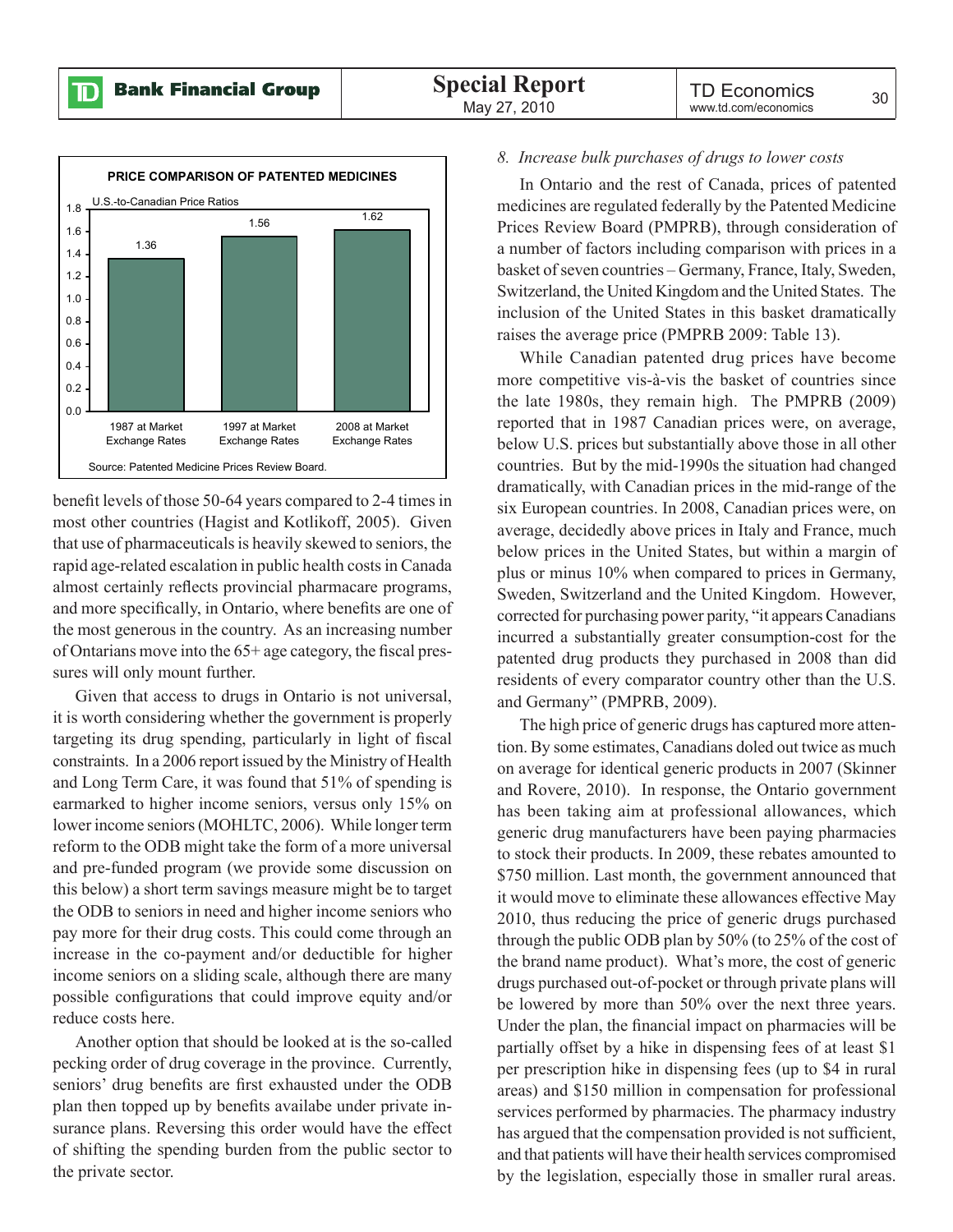![](_page_27_Figure_3.jpeg)

benefit levels of those 50-64 years compared to 2-4 times in most other countries (Hagist and Kotlikoff, 2005). Given that use of pharmaceuticals is heavily skewed to seniors, the rapid age-related escalation in public health costs in Canada almost certainly reflects provincial pharmacare programs, and more specifically, in Ontario, where benefits are one of the most generous in the country. As an increasing number of Ontarians move into the 65+ age category, the fiscal pressures will only mount further.

Given that access to drugs in Ontario is not universal, it is worth considering whether the government is properly targeting its drug spending, particularly in light of fiscal constraints. In a 2006 report issued by the Ministry of Health and Long Term Care, it was found that 51% of spending is earmarked to higher income seniors, versus only 15% on lower income seniors (MOHLTC, 2006). While longer term reform to the ODB might take the form of a more universal and pre-funded program (we provide some discussion on this below) a short term savings measure might be to target the ODB to seniors in need and higher income seniors who pay more for their drug costs. This could come through an increase in the co-payment and/or deductible for higher income seniors on a sliding scale, although there are many possible configurations that could improve equity and/or reduce costs here.

Another option that should be looked at is the so-called pecking order of drug coverage in the province. Currently, seniors' drug benefits are first exhausted under the ODB plan then topped up by benefits availabe under private insurance plans. Reversing this order would have the effect of shifting the spending burden from the public sector to the private sector.

#### *8. Increase bulk purchases of drugs to lower costs*

In Ontario and the rest of Canada, prices of patented medicines are regulated federally by the Patented Medicine Prices Review Board (PMPRB), through consideration of a number of factors including comparison with prices in a basket of seven countries – Germany, France, Italy, Sweden, Switzerland, the United Kingdom and the United States. The inclusion of the United States in this basket dramatically raises the average price (PMPRB 2009: Table 13).

While Canadian patented drug prices have become more competitive vis-à-vis the basket of countries since the late 1980s, they remain high. The PMPRB (2009) reported that in 1987 Canadian prices were, on average, below U.S. prices but substantially above those in all other countries. But by the mid-1990s the situation had changed dramatically, with Canadian prices in the mid-range of the six European countries. In 2008, Canadian prices were, on average, decidedly above prices in Italy and France, much below prices in the United States, but within a margin of plus or minus 10% when compared to prices in Germany, Sweden, Switzerland and the United Kingdom. However, corrected for purchasing power parity, "it appears Canadians incurred a substantially greater consumption-cost for the patented drug products they purchased in 2008 than did residents of every comparator country other than the U.S. and Germany" (PMPRB, 2009).

The high price of generic drugs has captured more attention. By some estimates, Canadians doled out twice as much on average for identical generic products in 2007 (Skinner and Rovere, 2010). In response, the Ontario government has been taking aim at professional allowances, which generic drug manufacturers have been paying pharmacies to stock their products. In 2009, these rebates amounted to \$750 million. Last month, the government announced that it would move to eliminate these allowances effective May 2010, thus reducing the price of generic drugs purchased through the public ODB plan by 50% (to 25% of the cost of the brand name product). What's more, the cost of generic drugs purchased out-of-pocket or through private plans will be lowered by more than 50% over the next three years. Under the plan, the financial impact on pharmacies will be partially offset by a hike in dispensing fees of at least \$1 per prescription hike in dispensing fees (up to \$4 in rural areas) and \$150 million in compensation for professional services performed by pharmacies. The pharmacy industry has argued that the compensation provided is not sufficient, and that patients will have their health services compromised by the legislation, especially those in smaller rural areas.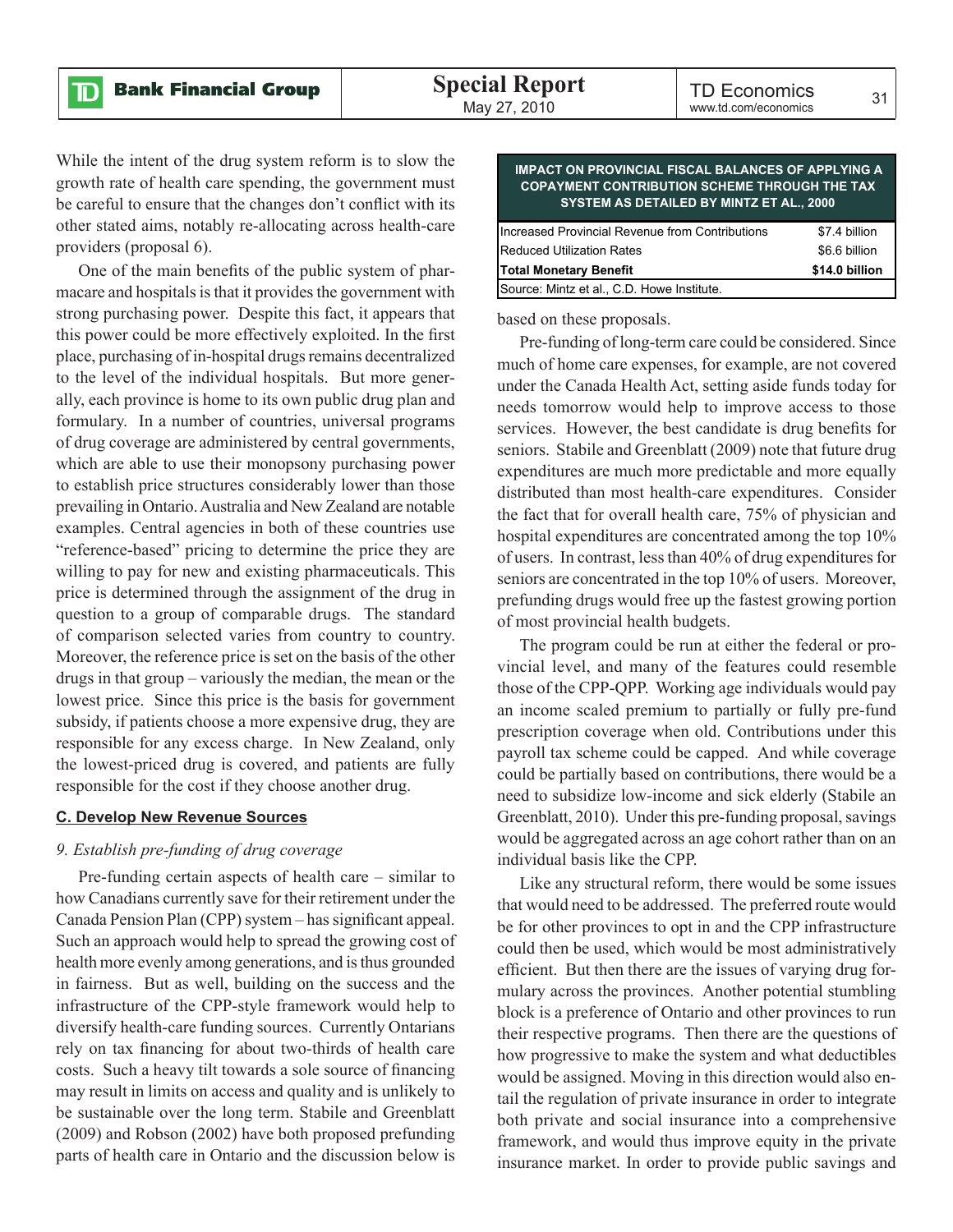While the intent of the drug system reform is to slow the growth rate of health care spending, the government must be careful to ensure that the changes don't conflict with its other stated aims, notably re-allocating across health-care providers (proposal 6).

One of the main benefits of the public system of pharmacare and hospitals is that it provides the government with strong purchasing power. Despite this fact, it appears that this power could be more effectively exploited. In the first place, purchasing of in-hospital drugs remains decentralized to the level of the individual hospitals. But more generally, each province is home to its own public drug plan and formulary. In a number of countries, universal programs of drug coverage are administered by central governments, which are able to use their monopsony purchasing power to establish price structures considerably lower than those prevailing in Ontario. Australia and New Zealand are notable examples. Central agencies in both of these countries use "reference-based" pricing to determine the price they are willing to pay for new and existing pharmaceuticals. This price is determined through the assignment of the drug in question to a group of comparable drugs. The standard of comparison selected varies from country to country. Moreover, the reference price is set on the basis of the other drugs in that group – variously the median, the mean or the lowest price. Since this price is the basis for government subsidy, if patients choose a more expensive drug, they are responsible for any excess charge. In New Zealand, only the lowest-priced drug is covered, and patients are fully responsible for the cost if they choose another drug.

#### **C. Develop New Revenue Sources**

#### *9. Establish pre-funding of drug coverage*

Pre-funding certain aspects of health care – similar to how Canadians currently save for their retirement under the Canada Pension Plan (CPP) system – has significant appeal. Such an approach would help to spread the growing cost of health more evenly among generations, and is thus grounded in fairness. But as well, building on the success and the infrastructure of the CPP-style framework would help to diversify health-care funding sources. Currently Ontarians rely on tax financing for about two-thirds of health care costs. Such a heavy tilt towards a sole source of financing may result in limits on access and quality and is unlikely to be sustainable over the long term. Stabile and Greenblatt (2009) and Robson (2002) have both proposed prefunding parts of health care in Ontario and the discussion below is

| <b>COPAYMENT CONTRIBUTION SCHEME THROUGH THE TAX</b><br>SYSTEM AS DETAILED BY MINTZ ET AL., 2000 |                |
|--------------------------------------------------------------------------------------------------|----------------|
| Increased Provincial Revenue from Contributions                                                  | \$7.4 billion  |
| <b>Reduced Utilization Rates</b>                                                                 | \$6.6 billion  |
| <b>Total Monetary Benefit</b>                                                                    | \$14.0 billion |

**IMPACT ON PROVINCIAL FISCAL BALANCES OF APPLYING.** 

| Source: Mintz et al., C.D. Howe Institute. |
|--------------------------------------------|
| based on these proposals.                  |

Pre-funding of long-term care could be considered. Since much of home care expenses, for example, are not covered under the Canada Health Act, setting aside funds today for needs tomorrow would help to improve access to those services. However, the best candidate is drug benefits for seniors. Stabile and Greenblatt (2009) note that future drug expenditures are much more predictable and more equally distributed than most health-care expenditures. Consider the fact that for overall health care, 75% of physician and hospital expenditures are concentrated among the top 10% of users. In contrast, less than 40% of drug expenditures for seniors are concentrated in the top 10% of users. Moreover, prefunding drugs would free up the fastest growing portion of most provincial health budgets.

The program could be run at either the federal or provincial level, and many of the features could resemble those of the CPP-QPP. Working age individuals would pay an income scaled premium to partially or fully pre-fund prescription coverage when old. Contributions under this payroll tax scheme could be capped. And while coverage could be partially based on contributions, there would be a need to subsidize low-income and sick elderly (Stabile an Greenblatt, 2010). Under this pre-funding proposal, savings would be aggregated across an age cohort rather than on an individual basis like the CPP.

Like any structural reform, there would be some issues that would need to be addressed. The preferred route would be for other provinces to opt in and the CPP infrastructure could then be used, which would be most administratively efficient. But then there are the issues of varying drug formulary across the provinces. Another potential stumbling block is a preference of Ontario and other provinces to run their respective programs. Then there are the questions of how progressive to make the system and what deductibles would be assigned. Moving in this direction would also entail the regulation of private insurance in order to integrate both private and social insurance into a comprehensive framework, and would thus improve equity in the private insurance market. In order to provide public savings and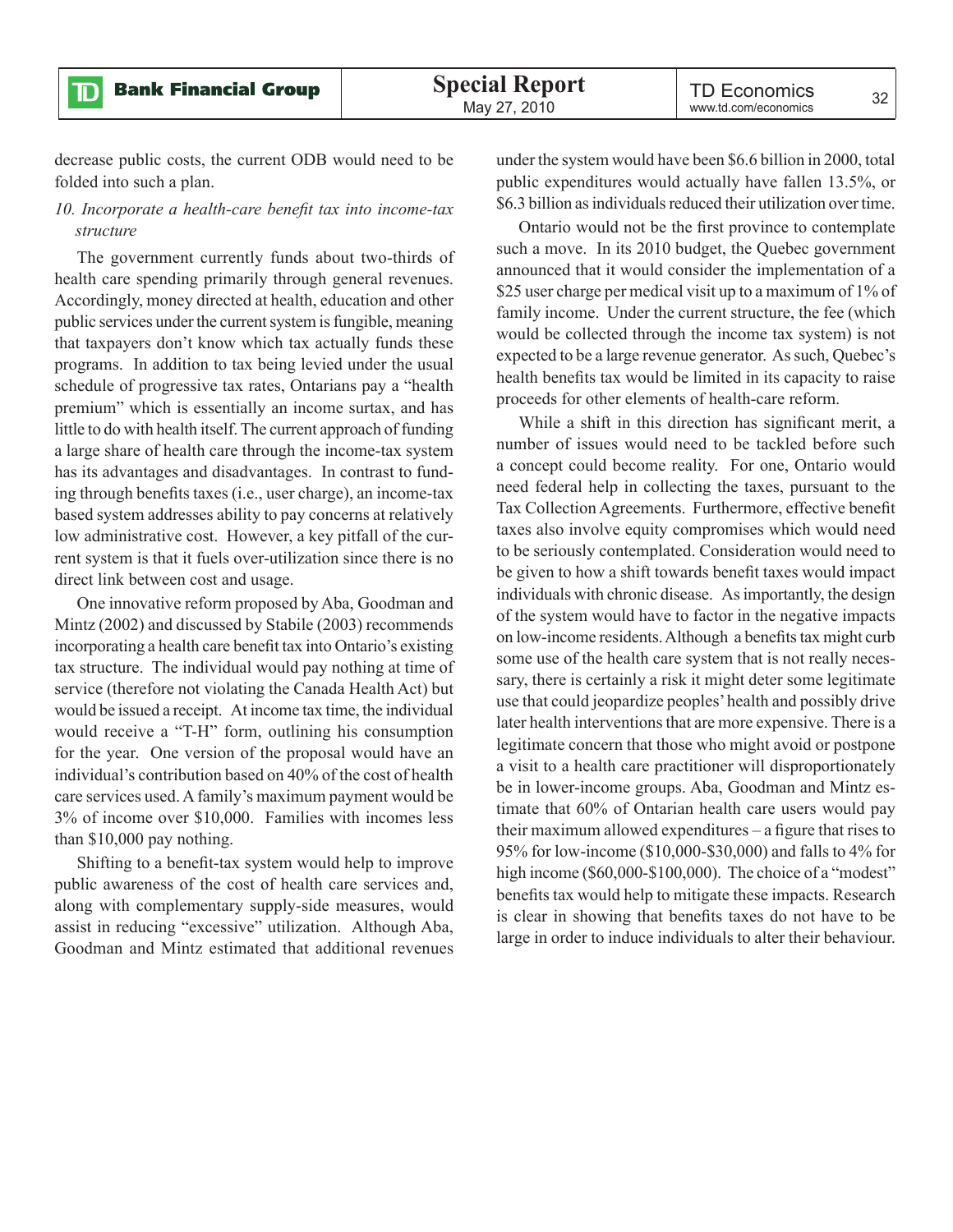decrease public costs, the current ODB would need to be folded into such a plan.

#### *10. Incorporate a health-care benefit tax into income-tax structure*

The government currently funds about two-thirds of health care spending primarily through general revenues. Accordingly, money directed at health, education and other public services under the current system is fungible, meaning that taxpayers don't know which tax actually funds these programs. In addition to tax being levied under the usual schedule of progressive tax rates, Ontarians pay a "health premium" which is essentially an income surtax, and has little to do with health itself. The current approach of funding a large share of health care through the income-tax system has its advantages and disadvantages. In contrast to funding through benefits taxes (i.e., user charge), an income-tax based system addresses ability to pay concerns at relatively low administrative cost. However, a key pitfall of the current system is that it fuels over-utilization since there is no direct link between cost and usage.

One innovative reform proposed by Aba, Goodman and Mintz (2002) and discussed by Stabile (2003) recommends incorporating a health care benefit tax into Ontario's existing tax structure. The individual would pay nothing at time of service (therefore not violating the Canada Health Act) but would be issued a receipt. At income tax time, the individual would receive a "T-H" form, outlining his consumption for the year. One version of the proposal would have an individual's contribution based on 40% of the cost of health care services used. A family's maximum payment would be 3% of income over \$10,000. Families with incomes less than \$10,000 pay nothing.

Shifting to a benefit-tax system would help to improve public awareness of the cost of health care services and, along with complementary supply-side measures, would assist in reducing "excessive" utilization. Although Aba, Goodman and Mintz estimated that additional revenues

under the system would have been \$6.6 billion in 2000, total public expenditures would actually have fallen 13.5%, or \$6.3 billion as individuals reduced their utilization over time.

Ontario would not be the first province to contemplate such a move. In its 2010 budget, the Quebec government announced that it would consider the implementation of a \$25 user charge per medical visit up to a maximum of 1% of family income. Under the current structure, the fee (which would be collected through the income tax system) is not expected to be a large revenue generator. As such, Quebec's health benefits tax would be limited in its capacity to raise proceeds for other elements of health-care reform.

While a shift in this direction has significant merit, a number of issues would need to be tackled before such a concept could become reality. For one, Ontario would need federal help in collecting the taxes, pursuant to the Tax Collection Agreements. Furthermore, effective benefit taxes also involve equity compromises which would need to be seriously contemplated. Consideration would need to be given to how a shift towards benefit taxes would impact individuals with chronic disease. As importantly, the design of the system would have to factor in the negative impacts on low-income residents. Although a benefits tax might curb some use of the health care system that is not really necessary, there is certainly a risk it might deter some legitimate use that could jeopardize peoples' health and possibly drive later health interventions that are more expensive. There is a legitimate concern that those who might avoid or postpone a visit to a health care practitioner will disproportionately be in lower-income groups. Aba, Goodman and Mintz estimate that 60% of Ontarian health care users would pay their maximum allowed expenditures – a figure that rises to 95% for low-income (\$10,000-\$30,000) and falls to 4% for high income (\$60,000-\$100,000). The choice of a "modest" benefits tax would help to mitigate these impacts. Research is clear in showing that benefits taxes do not have to be large in order to induce individuals to alter their behaviour.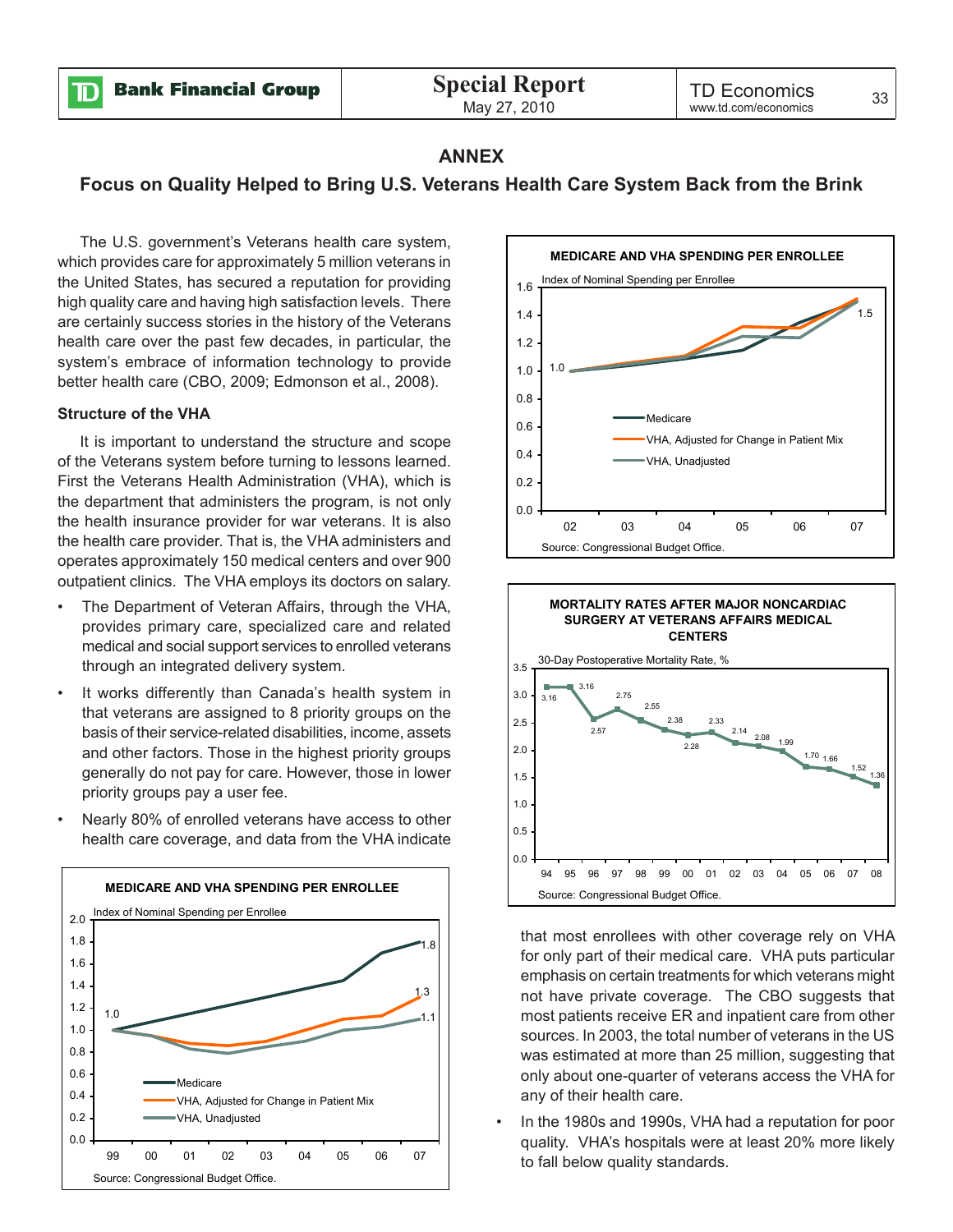**Bank Financial Group** ID

#### **ANNEX**

#### **Focus on Quality Helped to Bring U.S. Veterans Health Care System Back from the Brink**

The U.S. government's Veterans health care system, which provides care for approximately 5 million veterans in the United States, has secured a reputation for providing high quality care and having high satisfaction levels. There are certainly success stories in the history of the Veterans health care over the past few decades, in particular, the system's embrace of information technology to provide better health care (CBO, 2009; Edmonson et al., 2008).

#### **Structure of the VHA**

It is important to understand the structure and scope of the Veterans system before turning to lessons learned. First the Veterans Health Administration (VHA), which is the department that administers the program, is not only the health insurance provider for war veterans. It is also the health care provider. That is, the VHA administers and operates approximately 150 medical centers and over 900 outpatient clinics. The VHA employs its doctors on salary.

- The Department of Veteran Affairs, through the VHA, provides primary care, specialized care and related medical and social support services to enrolled veterans through an integrated delivery system.
- It works differently than Canada's health system in that veterans are assigned to 8 priority groups on the basis of their service-related disabilities, income, assets and other factors. Those in the highest priority groups generally do not pay for care. However, those in lower priority groups pay a user fee.
- Nearly 80% of enrolled veterans have access to other health care coverage, and data from the VHA indicate

![](_page_30_Figure_11.jpeg)

![](_page_30_Figure_12.jpeg)

![](_page_30_Figure_13.jpeg)

that most enrollees with other coverage rely on VHA for only part of their medical care. VHA puts particular emphasis on certain treatments for which veterans might not have private coverage. The CBO suggests that most patients receive ER and inpatient care from other sources. In 2003, the total number of veterans in the US was estimated at more than 25 million, suggesting that only about one-quarter of veterans access the VHA for any of their health care.

• In the 1980s and 1990s, VHA had a reputation for poor quality. VHA's hospitals were at least 20% more likely to fall below quality standards.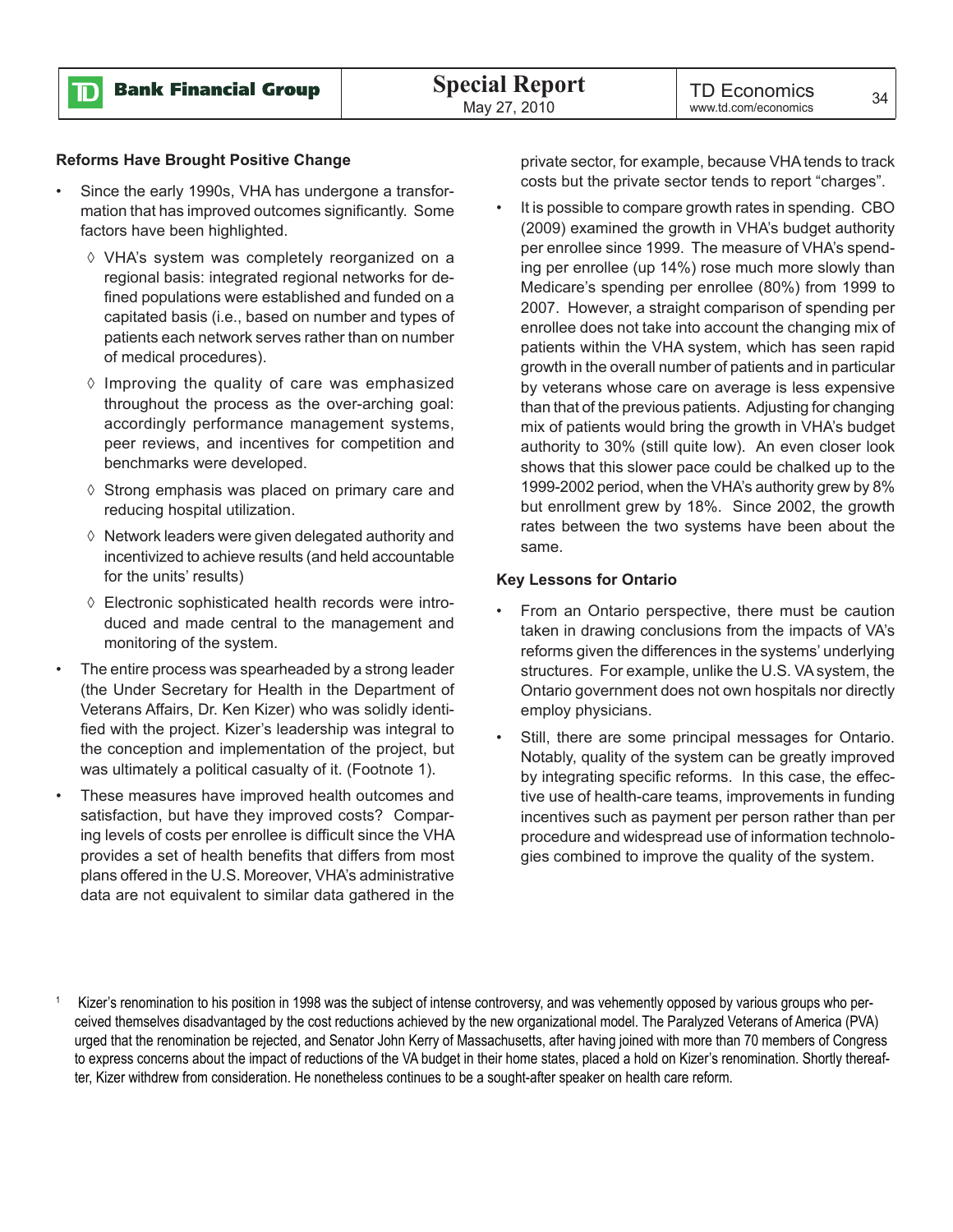![](_page_31_Picture_0.jpeg)

#### **Reforms Have Brought Positive Change**

- Since the early 1990s, VHA has undergone a transformation that has improved outcomes significantly. Some factors have been highlighted.
	- ◊ VHA's system was completely reorganized on a regional basis: integrated regional networks for defined populations were established and funded on a capitated basis (i.e., based on number and types of patients each network serves rather than on number of medical procedures).
	- ◊ Improving the quality of care was emphasized throughout the process as the over-arching goal: accordingly performance management systems, peer reviews, and incentives for competition and benchmarks were developed.
	- ◊ Strong emphasis was placed on primary care and reducing hospital utilization.
	- ◊ Network leaders were given delegated authority and incentivized to achieve results (and held accountable for the units' results)
	- ◊ Electronic sophisticated health records were introduced and made central to the management and monitoring of the system.
- The entire process was spearheaded by a strong leader (the Under Secretary for Health in the Department of Veterans Affairs, Dr. Ken Kizer) who was solidly identified with the project. Kizer's leadership was integral to the conception and implementation of the project, but was ultimately a political casualty of it. (Footnote 1).
- These measures have improved health outcomes and satisfaction, but have they improved costs? Comparing levels of costs per enrollee is difficult since the VHA provides a set of health benefits that differs from most plans offered in the U.S. Moreover, VHA's administrative data are not equivalent to similar data gathered in the

private sector, for example, because VHA tends to track costs but the private sector tends to report "charges".

It is possible to compare growth rates in spending. CBO (2009) examined the growth in VHA's budget authority per enrollee since 1999. The measure of VHA's spending per enrollee (up 14%) rose much more slowly than Medicare's spending per enrollee (80%) from 1999 to 2007. However, a straight comparison of spending per enrollee does not take into account the changing mix of patients within the VHA system, which has seen rapid growth in the overall number of patients and in particular by veterans whose care on average is less expensive than that of the previous patients. Adjusting for changing mix of patients would bring the growth in VHA's budget authority to 30% (still quite low). An even closer look shows that this slower pace could be chalked up to the 1999-2002 period, when the VHA's authority grew by 8% but enrollment grew by 18%. Since 2002, the growth rates between the two systems have been about the same.

#### **Key Lessons for Ontario**

- From an Ontario perspective, there must be caution taken in drawing conclusions from the impacts of VA's reforms given the differences in the systems' underlying structures. For example, unlike the U.S. VA system, the Ontario government does not own hospitals nor directly employ physicians.
- Still, there are some principal messages for Ontario. Notably, quality of the system can be greatly improved by integrating specific reforms. In this case, the effective use of health-care teams, improvements in funding incentives such as payment per person rather than per procedure and widespread use of information technologies combined to improve the quality of the system.

Kizer's renomination to his position in 1998 was the subject of intense controversy, and was vehemently opposed by various groups who perceived themselves disadvantaged by the cost reductions achieved by the new organizational model. The Paralyzed Veterans of America (PVA) urged that the renomination be rejected, and Senator John Kerry of Massachusetts, after having joined with more than 70 members of Congress to express concerns about the impact of reductions of the VA budget in their home states, placed a hold on Kizer's renomination. Shortly thereafter, Kizer withdrew from consideration. He nonetheless continues to be a sought-after speaker on health care reform.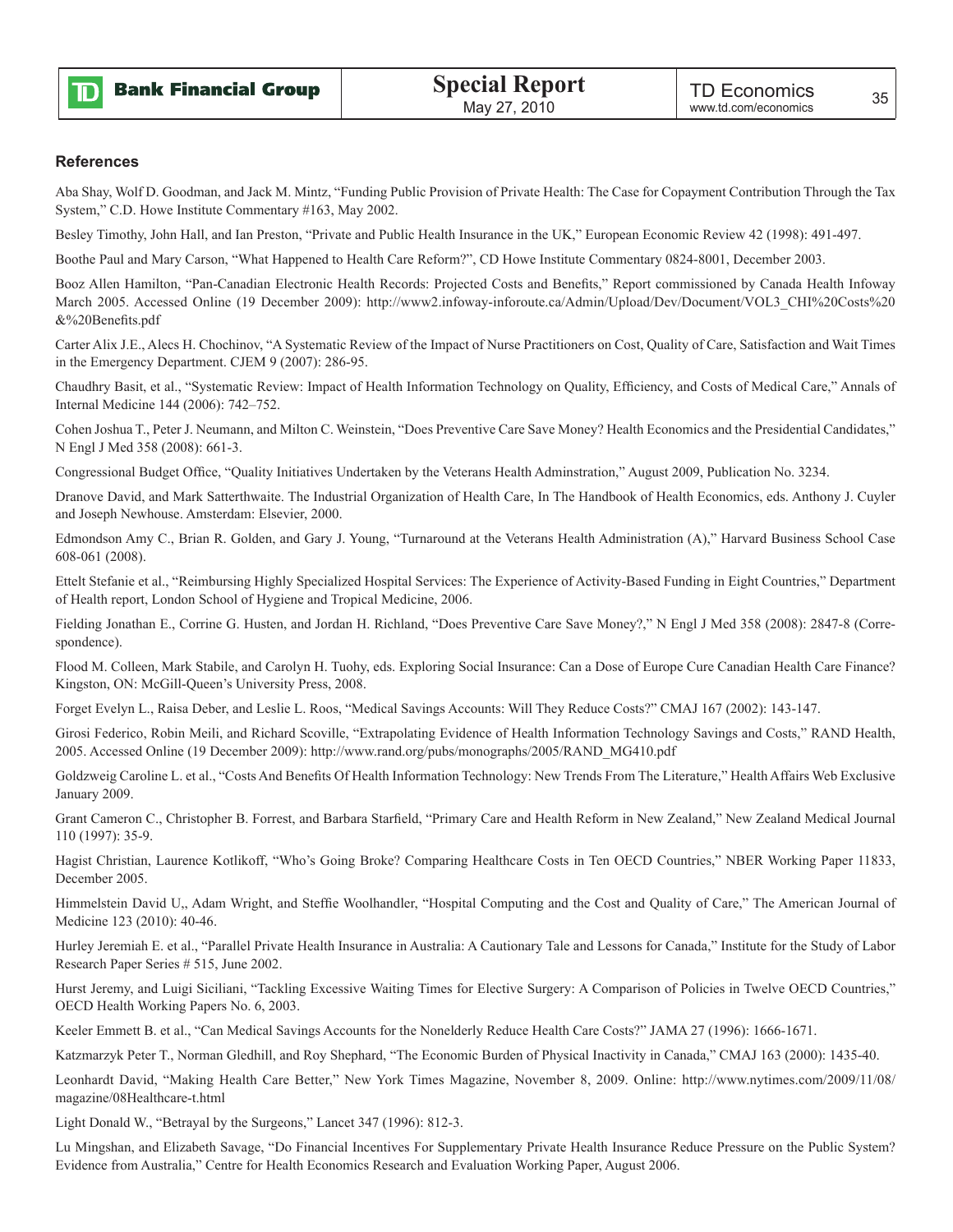![](_page_32_Picture_0.jpeg)

#### **References**

Aba Shay, Wolf D. Goodman, and Jack M. Mintz, "Funding Public Provision of Private Health: The Case for Copayment Contribution Through the Tax System," C.D. Howe Institute Commentary #163, May 2002.

Besley Timothy, John Hall, and Ian Preston, "Private and Public Health Insurance in the UK," European Economic Review 42 (1998): 491-497.

Boothe Paul and Mary Carson, "What Happened to Health Care Reform?", CD Howe Institute Commentary 0824-8001, December 2003.

Booz Allen Hamilton, "Pan-Canadian Electronic Health Records: Projected Costs and Benefits," Report commissioned by Canada Health Infoway March 2005. Accessed Online (19 December 2009): http://www2.infoway-inforoute.ca/Admin/Upload/Dev/Document/VOL3\_CHI%20Costs%20 &%20Benefits.pdf

Carter Alix J.E., Alecs H. Chochinov, "A Systematic Review of the Impact of Nurse Practitioners on Cost, Quality of Care, Satisfaction and Wait Times in the Emergency Department. CJEM 9 (2007): 286-95.

Chaudhry Basit, et al., "Systematic Review: Impact of Health Information Technology on Quality, Efficiency, and Costs of Medical Care," Annals of Internal Medicine 144 (2006): 742–752.

Cohen Joshua T., Peter J. Neumann, and Milton C. Weinstein, "Does Preventive Care Save Money? Health Economics and the Presidential Candidates," N Engl J Med 358 (2008): 661-3.

Congressional Budget Office, "Quality Initiatives Undertaken by the Veterans Health Adminstration," August 2009, Publication No. 3234.

Dranove David, and Mark Satterthwaite. The Industrial Organization of Health Care, In The Handbook of Health Economics, eds. Anthony J. Cuyler and Joseph Newhouse. Amsterdam: Elsevier, 2000.

Edmondson Amy C., Brian R. Golden, and Gary J. Young, "Turnaround at the Veterans Health Administration (A)," Harvard Business School Case 608-061 (2008).

Ettelt Stefanie et al., "Reimbursing Highly Specialized Hospital Services: The Experience of Activity-Based Funding in Eight Countries," Department of Health report, London School of Hygiene and Tropical Medicine, 2006.

Fielding Jonathan E., Corrine G. Husten, and Jordan H. Richland, "Does Preventive Care Save Money?," N Engl J Med 358 (2008): 2847-8 (Correspondence).

Flood M. Colleen, Mark Stabile, and Carolyn H. Tuohy, eds. Exploring Social Insurance: Can a Dose of Europe Cure Canadian Health Care Finance? Kingston, ON: McGill-Queen's University Press, 2008.

Forget Evelyn L., Raisa Deber, and Leslie L. Roos, "Medical Savings Accounts: Will They Reduce Costs?" CMAJ 167 (2002): 143-147.

Girosi Federico, Robin Meili, and Richard Scoville, "Extrapolating Evidence of Health Information Technology Savings and Costs," RAND Health, 2005. Accessed Online (19 December 2009): http://www.rand.org/pubs/monographs/2005/RAND\_MG410.pdf

Goldzweig Caroline L. et al., "Costs And Benefits Of Health Information Technology: New Trends From The Literature," Health Affairs Web Exclusive January 2009.

Grant Cameron C., Christopher B. Forrest, and Barbara Starfield, "Primary Care and Health Reform in New Zealand," New Zealand Medical Journal 110 (1997): 35-9.

Hagist Christian, Laurence Kotlikoff, "Who's Going Broke? Comparing Healthcare Costs in Ten OECD Countries," NBER Working Paper 11833, December 2005.

Himmelstein David U,, Adam Wright, and Steffie Woolhandler, "Hospital Computing and the Cost and Quality of Care," The American Journal of Medicine 123 (2010): 40-46.

Hurley Jeremiah E. et al., "Parallel Private Health Insurance in Australia: A Cautionary Tale and Lessons for Canada," Institute for the Study of Labor Research Paper Series # 515, June 2002.

Hurst Jeremy, and Luigi Siciliani, "Tackling Excessive Waiting Times for Elective Surgery: A Comparison of Policies in Twelve OECD Countries," OECD Health Working Papers No. 6, 2003.

Keeler Emmett B. et al., "Can Medical Savings Accounts for the Nonelderly Reduce Health Care Costs?" JAMA 27 (1996): 1666-1671.

Katzmarzyk Peter T., Norman Gledhill, and Roy Shephard, "The Economic Burden of Physical Inactivity in Canada," CMAJ 163 (2000): 1435-40.

Leonhardt David, "Making Health Care Better," New York Times Magazine, November 8, 2009. Online: http://www.nytimes.com/2009/11/08/ magazine/08Healthcare-t.html

Light Donald W., "Betrayal by the Surgeons," Lancet 347 (1996): 812-3.

Lu Mingshan, and Elizabeth Savage, "Do Financial Incentives For Supplementary Private Health Insurance Reduce Pressure on the Public System? Evidence from Australia," Centre for Health Economics Research and Evaluation Working Paper, August 2006.